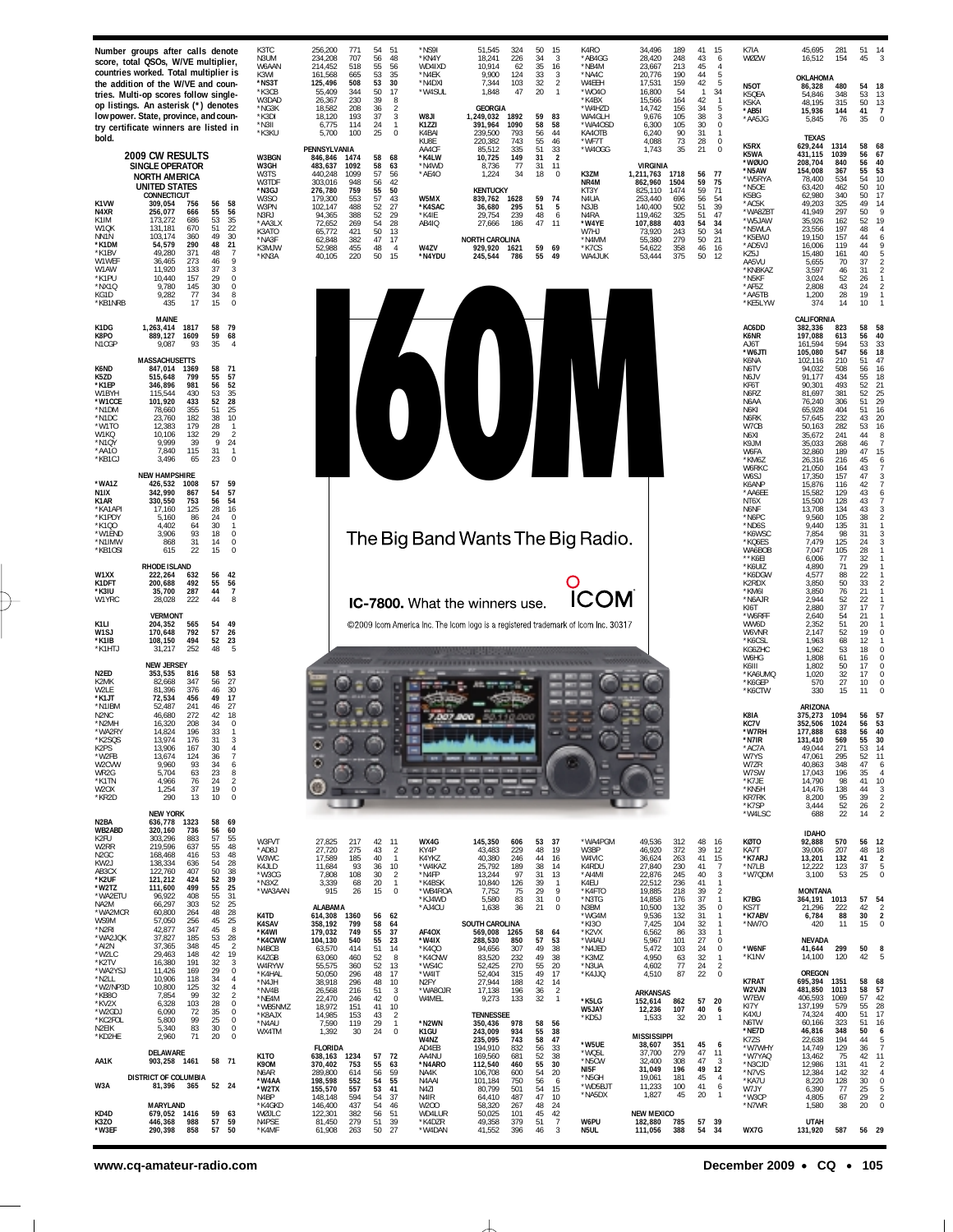| Number groups after calls denote<br>score, total QSOs, W/VE multiplier,<br>countries worked. Total multiplier is<br>the addition of the W/VE and coun-                                                                                                                                                                                                                                                                                                                                                                                                                                                                                                                                                                         | K3TC<br>N3UM<br>W6AAN<br>K3WI<br>*NS3T                                                                        | *NS9I<br>34,496<br>256,200<br>771<br>54<br>51<br>51,545<br>324<br>50<br>15<br>K4RO<br>189<br>41<br>15<br>707<br>56<br>*KN4Y<br>34<br>234,208<br>48<br>18,241<br>226<br>3<br>*AB4GG<br>28,420<br>248<br>43<br>6<br>214,452<br>518<br>55<br>56<br>WD4IXD<br>10.914<br>35<br>*NB4M<br>213<br>$\overline{4}$<br>62<br>16<br>23,667<br>45<br>35<br>161,568<br>665<br>53<br>*N4EK<br>9,900<br>124<br>33<br>3<br>*NA4C<br>20,776<br>190<br>44<br>5<br>$\overline{\mathbf{c}}$<br>5<br>508<br>53<br>30<br>*N4DXI<br>7,344<br>103<br>32<br>W4EEH<br>159<br>42<br>125,496<br>17,531                                                                                                                                                                                                                                                                                                                                                                                                                                                                                                                                                                                                                                                                                                                                                                                                                                                                                                                        | K7IA<br>45,695<br>281<br>51<br>WØZW<br>154<br>45<br>16,512<br>OKLAHOMA<br><b>N5OT</b><br>480<br>86,328<br>54                                                                                                                                                                                                                                                                                                                                                                                                                                                                                                                                                                        | 14<br>3<br>18                                                                                                                                                                                                                |
|--------------------------------------------------------------------------------------------------------------------------------------------------------------------------------------------------------------------------------------------------------------------------------------------------------------------------------------------------------------------------------------------------------------------------------------------------------------------------------------------------------------------------------------------------------------------------------------------------------------------------------------------------------------------------------------------------------------------------------|---------------------------------------------------------------------------------------------------------------|--------------------------------------------------------------------------------------------------------------------------------------------------------------------------------------------------------------------------------------------------------------------------------------------------------------------------------------------------------------------------------------------------------------------------------------------------------------------------------------------------------------------------------------------------------------------------------------------------------------------------------------------------------------------------------------------------------------------------------------------------------------------------------------------------------------------------------------------------------------------------------------------------------------------------------------------------------------------------------------------------------------------------------------------------------------------------------------------------------------------------------------------------------------------------------------------------------------------------------------------------------------------------------------------------------------------------------------------------------------------------------------------------------------------------------------------------------------------------------------------------|-------------------------------------------------------------------------------------------------------------------------------------------------------------------------------------------------------------------------------------------------------------------------------------------------------------------------------------------------------------------------------------------------------------------------------------------------------------------------------------------------------------------------------------------------------------------------------------------------------------------------------------------------------------------------------------|------------------------------------------------------------------------------------------------------------------------------------------------------------------------------------------------------------------------------|
| tries. Multi-op scores follow single-<br>op listings. An asterisk (*) denotes<br>low power. State, province, and coun-<br>try certificate winners are listed in                                                                                                                                                                                                                                                                                                                                                                                                                                                                                                                                                                | *K3CB<br>W3DAD<br>*NG3K<br>*K3DI<br>*N3II<br>*K3KU                                                            | 55,409<br>344<br>50<br>17<br>*W4SUL<br>1,848<br>47<br>20<br>$\mathbf{1}$<br>*W040<br>16,800<br>54<br>$\mathbf{1}$<br>34<br>230<br>39<br>8<br>*K4BX<br>42<br>26,367<br>15,566<br>164<br>$\mathbf{1}$<br>GEORGIA<br>18,582<br>208<br>36<br>$\overline{\mathbf{2}}$<br>*W4HZD<br>14,742<br>156<br>34<br>5<br>37<br>3<br>$\sqrt{3}$<br>193<br><b>IL8W</b><br>1,249,032<br>1892<br>59<br>83<br>WA4GLH<br>105<br>38<br>18,120<br>9,676<br>$\bf 0$<br>6,775<br>114<br>24<br>$\overline{1}$<br>K1ZZI<br>391,964<br>1090<br>58<br>58<br>*WA4OSD<br>6,300<br>105<br>30<br>$\mathbf 0$<br>100<br>25<br>K4BAI<br>56<br>90<br>31<br>5,700<br>239,500<br>793<br>44<br>KA4OTB<br>6,240<br>$\mathbf{1}$                                                                                                                                                                                                                                                                                                                                                                                                                                                                                                                                                                                                                                                                                                                                                                                                          | K5QEA<br>54,846<br>348<br>53<br>315<br>50<br>K5KA<br>48,195<br>*AB5I<br>41<br>15,936<br>144<br>*AA5JG<br>35<br>5,845<br>76                                                                                                                                                                                                                                                                                                                                                                                                                                                                                                                                                          | 13<br>13<br>$\overline{7}$<br>$\Omega$                                                                                                                                                                                       |
| bold.<br>2009 CW RESULTS<br>SINGLE OPERATOR<br><b>NORTH AMERICA</b><br><b>UNITED STATES</b><br>CONNECTICUT<br>K1VW<br>309,054<br>756<br>56<br>58<br>N4XR<br>55<br>56<br>256,077<br>666<br>53<br>K1IM<br>173,272<br>686<br>35<br>$22\,$<br>51<br>W1QK<br>670<br>131,181<br>49<br>30<br>NN1N<br>103,174<br>360<br>21<br>290<br>48<br>*K1DM<br>54,579<br>49,280<br>371<br>*K1BV<br>48<br>$\overline{7}$<br>9<br>46<br>W1WEF<br>273<br>36,465<br>133<br>37<br>3<br>W1AW<br>11,920<br>$\bf 0$<br>*K1PU<br>10,440<br>157<br>29<br>*NX1Q<br>9,780<br>145<br>30<br>$\bf 0$<br>KG1D<br>9,282<br>77<br>34<br>8<br>15<br>$\mathbf 0$<br>*KB1NRB<br>435<br>17                                                                              | W3BGN<br>W3GH<br>W3TS<br>W3TDF<br>*N3GJ<br>W3SO<br>W3PN<br>N3RJ<br>*AA3LX<br>K3ATO<br>*NA3F<br>K3MJW<br>*KN3A | 55<br>28<br>$\bf 0$<br>KU8E<br>220,382<br>743<br>46<br>*WF7T<br>4,088<br>73<br>33<br>PENNSYLVANIA<br>51<br>*W4OGG<br>1,743<br>$\bf 0$<br>AA4CF<br>335<br>35<br>21<br>85,512<br>58<br>149<br>31<br>$\overline{2}$<br>846,846<br>1474<br>68<br>*K4LW<br>10,725<br>58<br>1092<br>VIRGINIA<br>483,637<br>63<br>*N4WD<br>77<br>31<br>8,736<br>11<br>57<br>56<br>*AE4O<br>1,224<br>34<br>18<br>K3ZM<br>440,248<br>1099<br>$\Omega$<br>1,211,763<br>1718<br>56<br>77<br>42<br>59<br>75<br>303,016<br>948<br>56<br>NR4M<br>1504<br>862,960<br>276,780<br>759<br>55<br>$\begin{array}{c} 50 \\ 43 \end{array}$<br><b>KENTUCKY</b><br>KT3Y<br>1474<br>59<br>71<br>825,110<br>57<br>W5MX<br>59<br>179,300<br>553<br>839,762<br>1628<br>74<br>N4UA<br>253,440<br>696<br>56<br>54<br>52<br>27<br>102,147<br>488<br>*K4SAC<br>36,680<br>295<br>51<br>5<br>502<br>51<br>39<br>N3JB<br>140,400<br>94,365<br>388<br>52<br>29<br>*K4IE<br>29,754<br>239<br>48<br>6<br>N4RA<br>119,462<br>325<br>51<br>47<br>28<br>269<br>54<br>AB4IQ<br>27,666<br>186<br>47<br>11<br>*W4YE<br>107,888<br>403<br>54<br>34<br>72,652<br>50<br>65,772<br>421<br>13<br>W7HJ<br>73,920<br>243<br>50<br>34<br>382<br>47<br>17<br><b>NORTH CAROLINA</b><br>*N4MM<br>55,380<br>279<br>50<br>21<br>62,848<br>W4ZV<br>52,988<br>455<br>48<br>$\overline{4}$<br>929,920<br>59<br>69<br>*K7CS<br>54,622<br>358<br>46<br>16<br>1621<br>50<br>375<br>220<br>15<br>55<br>49<br>50<br>12<br>40,105<br>*N4YDU<br>245,544<br>786<br>WA4JUK<br>53,444 | <b>TEXAS</b><br>K5RX<br>629,244<br>1314<br>58<br>K5WA<br>431,115<br>1039<br>56<br>*wøuo<br>840<br>56<br>55<br>208,704<br>*N5AW<br>154,008<br>367<br>54<br>78,400<br>534<br>*W5RYA<br>50<br>*N5OE<br>63,420<br>462<br>340<br>50<br>K5BG<br>62,980<br>*AC5K<br>49,203<br>325<br>49<br>297<br>50<br>*WA8ZBT<br>41,949<br>52<br>*W5JAW<br>35,926<br>162<br>48<br>*N5WLA<br>197<br>23,556<br>19,150<br>157<br>44<br>*K5EWJ<br>119<br>44<br>*AD5VJ<br>16,006<br>KZ5J<br>15,480<br>161<br>40<br>37<br>AA5VU<br>5,655<br>70<br>*KN8KAZ<br>3.597<br>$\frac{46}{52}$<br>31<br>26<br>*N5KF<br>3,024<br>43<br>24<br>*AF5Z<br>2,808<br>28<br>*AA5TB<br>1,200<br>19<br>10<br>*KE5LYW<br>374<br>14 | 68<br>67<br>40<br>53<br>10<br>10<br>17<br>14<br>$\overline{Q}$<br>19<br>$\overline{4}$<br>6<br>9<br>$\frac{5}{2}$<br>$\overline{2}$<br>$\mathbf{1}$<br>$\sqrt{2}$<br>$\mathbf{1}$<br>$\overline{1}$                          |
| <b>MAINE</b><br>K1DG<br>1,263,414<br>1817<br>58<br>79<br>K8PO<br>889,127<br>1609<br>59<br>68<br>N1CGP<br>35<br>9,087<br>93<br>$\overline{4}$                                                                                                                                                                                                                                                                                                                                                                                                                                                                                                                                                                                   |                                                                                                               |                                                                                                                                                                                                                                                                                                                                                                                                                                                                                                                                                                                                                                                                                                                                                                                                                                                                                                                                                                                                                                                                                                                                                                                                                                                                                                                                                                                                                                                                                                  | CALIFORNIA<br>58<br>AC6DD<br>382,336<br>823<br>56<br>K6NR<br>197,088<br>613<br>53<br>AJ6T<br>161,594<br>594<br>56<br>547<br>*W6JTI<br>105,080                                                                                                                                                                                                                                                                                                                                                                                                                                                                                                                                       | 58<br>40<br>$\frac{33}{18}$                                                                                                                                                                                                  |
| <b>MASSACHUSETTS</b><br>K6ND<br>58<br>71<br>847,014<br>1369<br>K5ZD<br>55<br>57<br>515,648<br>799<br>52<br>981<br>56<br>*K1EP<br>346.896<br>430<br>53<br>35<br>W1BYH<br>115,544<br>52<br>28<br>*W1CCE<br>101,920<br>433<br>*N1DM<br>355<br>51<br>25<br>78,660<br>*N1DC<br>23,760<br>182<br>38<br>10<br>*W1TO<br>179<br>28<br>12.383<br>$\mathbf{1}$<br>W1KQ<br>10,106<br>132<br>29<br>$\overline{2}$<br>9,999<br>39<br>9<br>24<br>*N1QY<br>115<br>31<br>*AA10<br>7,840<br>$\mathbf{1}$<br>23<br>*KB1CJ<br>3,496<br>65<br>$\mathbf 0$                                                                                                                                                                                           |                                                                                                               | $\overline{\mathsf{N}}$<br>$\mathbf 0$                                                                                                                                                                                                                                                                                                                                                                                                                                                                                                                                                                                                                                                                                                                                                                                                                                                                                                                                                                                                                                                                                                                                                                                                                                                                                                                                                                                                                                                           | 102,116<br>51<br>K6NA<br>210<br>56<br>508<br>N <sub>6</sub> TV<br>94,032<br>$\frac{55}{52}$<br>91.177<br>434<br>N <sub>6</sub> JV<br>493<br>KF6T<br>90,301<br>52<br>81,697<br>381<br>N6RZ<br>51<br>N6AA<br>76,240<br>306<br>N6KI<br>404<br>$\frac{51}{43}$<br>65,928<br>232<br>N6RK<br>57,645<br>53<br>50,163<br>282<br>W7CB<br>N6XI<br>35,672<br>241<br>44<br>268<br>46<br>K <sub>9</sub> JM<br>35,033<br>W6FA<br>32,860<br>189<br>47<br>45<br>*KM6Z<br>216<br>26,316<br>W6RKC<br>43<br>21,050<br>164                                                                                                                                                                              | 47<br>16<br>$\begin{array}{c} 18 \\ 21 \end{array}$<br>$\frac{25}{29}$<br>$\begin{array}{c} 16 \\ 20 \end{array}$<br>$\begin{array}{c} 16 \\ 8 \end{array}$<br>$\overline{7}$<br>15<br>$\ddot{\mathbf{6}}$<br>$\overline{7}$ |
| <b>NEW HAMPSHIRE</b><br>*WA1Z<br>57<br>59<br>426,532<br>1008<br>57<br>N1IX<br>342,990<br>867<br>54<br>753<br>56<br>54<br>K1AR<br>330,550<br>*KA1API<br>125<br>28<br>16<br>17,160<br>*K1PDY<br>86<br>5,160<br>24<br>0<br>*K100<br>4,402<br>64<br>30<br>$\mathbf{1}$<br>*W1END<br>3,906<br>93<br>18<br>$\bf 0$<br>*N1IMW<br>868<br>31<br>14<br>0<br>22<br>615<br>15<br>$\mathbf{0}$<br>*KB1OSI<br><b>RHODE ISLAND</b>                                                                                                                                                                                                                                                                                                            |                                                                                                               | The Big Band Wants The Big Radio.                                                                                                                                                                                                                                                                                                                                                                                                                                                                                                                                                                                                                                                                                                                                                                                                                                                                                                                                                                                                                                                                                                                                                                                                                                                                                                                                                                                                                                                                | 47<br>W6SJ<br>157<br>17,350<br>42<br>K6ANP<br>15,876<br>116<br>43<br>*AA6EE<br>129<br>15,582<br>15,500<br>128<br>43<br>NT6X<br>43<br>N6NF<br>13,708<br>134<br>38<br>31<br>*N6PC<br>105<br>9,560<br>135<br>*ND6S<br>9,440<br>98<br>31<br>*K6WSC<br>7,854<br>*KQ6ES<br>7,479<br>125<br>24<br>WA6BOB<br>105<br>28<br>7.047<br>32<br>**K6EI<br>6,006<br>77<br>71                                                                                                                                                                                                                                                                                                                        | $\sqrt{3}$<br>$\overline{7}$<br>6<br>$\overline{7}$<br>3<br>$\sqrt{2}$<br>$\overline{1}$<br>3<br>3<br>$\mathbf{1}$<br>$\overline{1}$<br>$\mathbf{1}$                                                                         |
| 56<br>W1XX<br>222,264<br>632<br>42<br>55<br>K1DFT<br>200,688<br>492<br>56<br>287<br>44<br>$\overline{7}$<br>*K3IU<br>35,700<br>44<br>8<br>W1YRC<br>222<br>28,028                                                                                                                                                                                                                                                                                                                                                                                                                                                                                                                                                               |                                                                                                               | <b>OM</b><br>IC-7800. What the winners use.                                                                                                                                                                                                                                                                                                                                                                                                                                                                                                                                                                                                                                                                                                                                                                                                                                                                                                                                                                                                                                                                                                                                                                                                                                                                                                                                                                                                                                                      | 29<br>*K6UIZ<br>4,890<br>*K6DGW<br>88<br>$\frac{22}{33}$<br>4,577<br>$50\,$<br>K2RDX<br>3,850<br>3,850<br>76<br>21<br>*KM6I<br>52<br>22<br>*N6AJR<br>2,944<br>2,880<br>37<br>17<br>KI6T                                                                                                                                                                                                                                                                                                                                                                                                                                                                                             | $\overline{1}$<br>$\sqrt{2}$<br>$\overline{1}$<br>$\mathbf{1}$<br>$\overline{7}$                                                                                                                                             |
| <b>VERMONT</b><br>K1LI<br>49<br>204,352<br>565<br>54<br>792<br>57<br>26<br>W1SJ<br>170,648<br>494<br>52<br>*K1IB<br>108,150<br>23<br>*K1HTJ<br>31,217<br>252<br>48<br>-5<br><b>NEW JERSEY</b>                                                                                                                                                                                                                                                                                                                                                                                                                                                                                                                                  |                                                                                                               | ©2009 Icom America Inc. The Icom logo is a registered trademark of Icom Inc. 30317                                                                                                                                                                                                                                                                                                                                                                                                                                                                                                                                                                                                                                                                                                                                                                                                                                                                                                                                                                                                                                                                                                                                                                                                                                                                                                                                                                                                               | 54<br>*W6RFF<br>2,640<br>21<br>51<br>WW6D<br>2.352<br>20<br>52<br>19<br>W6VNR<br>2,147<br>68<br>12<br>1.963<br>*K6CSL<br>53<br>KG6ZHC<br>1,962<br>18<br>W6HG<br>1,808<br>61<br>16<br>50<br>17<br>K6III<br>1,802                                                                                                                                                                                                                                                                                                                                                                                                                                                                     | $\mathbf{1}$<br>$\overline{1}$<br>0<br>$\overline{1}$<br>0<br>$\bf 0$<br>$\theta$                                                                                                                                            |
| N <sub>2ED</sub><br>816<br>58<br>53<br>353,535<br>K2MK<br>82,668<br>347<br>56<br>27<br>W2LE<br>376<br>46<br>30<br>81,396<br>*K1JT<br>72,534<br>456<br>49<br>17<br>*N1IBM<br>241<br>46<br>27<br>52,487<br>272<br>N <sub>2</sub> N <sub>C</sub><br>46,680<br>42<br>18<br>208<br>34<br>$\Omega$<br>*N2MH<br>16,320<br>*WA2RY<br>33<br>14,824<br>196<br>1<br>K2SQS<br>176<br>31<br>K <sub>2</sub> PS<br>13,906<br>167<br>30<br>$\overline{4}$<br>*W2FB<br>13,674<br>124<br>$\overline{7}$<br>36<br>93<br>W2CVW<br>9,960<br>34<br>6<br>WR2G<br>5,704<br>63<br>23<br>8<br>*K1TN<br>24<br>4,966<br>76<br>$\overline{2}$<br>1,254<br>37<br>19<br>0<br>W <sub>2</sub> OX<br>290<br>13<br>10<br>$\mathbf{0}$<br>*KR2D<br><b>NEW YORK</b> |                                                                                                               | ō<br>0000000 00                                                                                                                                                                                                                                                                                                                                                                                                                                                                                                                                                                                                                                                                                                                                                                                                                                                                                                                                                                                                                                                                                                                                                                                                                                                                                                                                                                                                                                                                                  | 32<br>17<br>*KA6UMQ<br>1,020<br>27<br>*K6GEP<br>570<br>10<br>330<br>15<br>*K6CTW<br>11<br>ARIZONA<br>K8IA<br>375,273<br>1094<br>56<br>KC7V<br>56<br>352,506<br>1024<br>56<br>*W7RH<br>177,888<br>638<br>'N7IR<br>131,410<br>*AC7A<br>49,044<br>271<br>53<br>W7YS<br>47,061<br>295<br>52<br>W7ZR<br>348<br>47<br>40,863<br>W7SW<br>17,043<br>196<br>35<br>41<br>*K7JE<br>14,790<br>98<br>*KN5H<br>14,476<br>138<br>44<br>KR7RK<br>39<br>8,200<br>95<br>*K7SP<br>3,444<br>52<br>26<br>*W4LSC<br>22<br>688<br>14                                                                                                                                                                       | $\theta$<br>$\theta$<br>$\Omega$<br>57<br>53<br>40<br>30<br>14<br>11<br>6<br>$\overline{4}$<br>$10$<br>3<br>$\frac{2}{2}$<br>$\overline{2}$                                                                                  |
| N2BA<br>636,778<br>1323<br>58<br>69<br>WB2ABD<br>320,160<br>56<br>736<br>60<br>K2FU<br>303,296<br>883<br>57<br>55<br>219,596<br>637<br>W2RR<br>55<br>48<br>N <sub>2</sub> GC<br>168,468<br>416<br>53<br>48<br>28<br>KW2J<br>138,334<br>636<br>54<br>122,760<br>50<br>AB3CX<br>407<br>38<br>*K2UF<br>121,212<br>424<br>52<br>39<br>111,600<br>499<br>55<br>25<br>*W2TZ<br>*WA2ETU<br>96,922<br>408<br>55<br>31<br>66,297<br>303<br>52<br>25<br>NA <sub>2</sub> M<br>*WA2MCR<br>60,800<br>264<br>48<br>28<br>57,050<br>256<br>45<br>25<br>WS9M<br>*N2RI<br>42,877<br>347<br>45<br>8<br>37,827<br>185<br>53<br>28<br>*WA2JQK                                                                                                      | W3FVT<br>*AD8J<br>W3WC<br>K4JLD<br>*W3CG<br>*N3XZ<br>*WA3AAN<br>K4TD<br><b>K4SAV</b><br>*K4WI                 | 27,825<br>11<br>WX4G<br>145,350<br>53<br>37<br>*WA4PGM<br>49,536<br>48<br>217<br>42<br>606<br>312<br>-16<br>27,720<br>275<br>43<br>$\overline{\mathbf{c}}$<br>KY4P<br>43,483<br>229<br>48<br>19<br>W3BP<br>46,920<br>372<br>39<br>12<br>185<br>40<br>K4YKZ<br>40,380<br>44<br>41<br>17,589<br>$\overline{1}$<br>246<br>W4VIC<br>36,624<br>15<br>-16<br>263<br>11,684<br>93<br>36<br>10<br>*W4KAZ<br>25,792<br>189<br>38<br>14<br>K4RDU<br>27,840<br>230<br>41<br>$\overline{7}$<br>$\overline{2}$<br>7,808<br>108<br>30<br>*N4FP<br>13,244<br>97<br>13<br>*AI4MI<br>22,876<br>40<br>3<br>-31<br>245<br>20<br>10,840<br>22,512<br>3,339<br>68<br>*K4BSK<br>126<br>39<br>K4EU<br>236<br>41<br>$\mathbf{1}$<br>$\mathbf{1}$<br>$\mathbf{1}$<br>$\mathbb O$<br>915<br>15<br>*WB4ROA<br>75<br>29<br>9<br>*K4FTO<br>26<br>7,752<br>19,885<br>218<br>-39<br>2<br>5,580<br>83<br>31<br>*KJ4WD<br>$\mathbf 0$<br>*N3TG<br>14,858<br>176<br>37<br>1<br>ALABAMA<br>21<br>N3BM<br>10,500<br>0<br>*AJ4CU<br>1,638<br>36<br>$^{\circ}$<br>132<br>35<br>614,308<br>1360<br>56<br>62<br>*WG4M<br>9,536<br>132<br>31<br>$\mathbf{1}$<br>SOUTH CAROLINA<br>358,192<br>58<br>7,425<br>799<br>64<br>*KI30<br>104<br>32<br>$\overline{1}$<br>179,032<br>749<br>55<br>37<br>AF40X<br>569,008<br>*K2VX<br>1265<br>58<br>6,562<br>86<br>33<br>$\mathbf{1}$<br>-64                                                                                                                                                        | <b>IDAHO</b><br>KØTO<br>92,888<br>56<br>570<br>KA7T<br>39,006<br>207<br>48<br>*K7ARJ<br>13,201<br>132<br>41<br>*N7LB<br>12,222<br>123<br>37<br>25<br>*W7QDM<br>3,100<br>53<br><b>MONTANA</b><br>K7BG<br>364,191 1013<br>57<br>KS7T<br>222<br>42<br>21,296<br>30<br>*K7ABV<br>6,784<br>88<br>15<br>*NW7O<br>11<br>420                                                                                                                                                                                                                                                                                                                                                                | 12<br>$\begin{array}{c} 18 \\ 2 \end{array}$<br>5<br>$\theta$<br>54<br>$\overline{2}$<br>$\overline{2}$<br>$\mathbf 0$                                                                                                       |
| *AI2N<br>37,365<br>348<br>45<br>$\overline{2}$<br>29,463<br>42<br>19<br>*W2LC<br>148<br>*K2TV<br>16,380<br>191<br>32<br>3<br>$\mathbf 0$<br>*WA2YSJ<br>29<br>11,426<br>169<br>*N2LL<br>10,906<br>118<br>34<br>4                                                                                                                                                                                                                                                                                                                                                                                                                                                                                                                | *K4CWW<br>N4BCB<br>K4ZGB<br>W4RYW<br>*K4HAL<br>*N4JH                                                          | 104,130<br>540<br>55<br>23<br>*W4IX<br>288,530<br>850<br>57<br>53<br>*W4AU<br>5,967<br>101<br>27<br>0<br>14<br>49<br>38<br>*N4JED<br>$\mathbf 0$<br>63,570<br>414<br>51<br>*K4Q0<br>307<br>5,472<br>103<br>24<br>94,656<br>63,060<br>460<br>52<br>8<br>*K4CNW<br>83,520<br>232<br>49<br>38<br>*K3MZ<br>4,950<br>32<br>$\mathbf{1}$<br>63<br>55,575<br>52<br>13<br>*WS4C<br>270<br>55<br>77<br>24<br>$\overline{2}$<br>360<br>52,425<br>20<br>*N3UA<br>4,602<br>50,050<br>296<br>48<br>17<br>*W4IT<br>52,404<br>315<br>49<br>17<br>*K4JJQ<br>4,510<br>87<br>22<br>0<br>38,918<br>48<br>10<br>N <sub>2FY</sub><br>27,944<br>42<br>296<br>188<br>-14                                                                                                                                                                                                                                                                                                                                                                                                                                                                                                                                                                                                                                                                                                                                                                                                                                                | <b>NEVADA</b><br>*W6NF<br>299<br>50<br>41,644<br>14,100<br>120<br>42<br>*K1NV<br>OREGON<br><b>K7RAT</b><br>1351<br>58                                                                                                                                                                                                                                                                                                                                                                                                                                                                                                                                                               | 8<br>5<br>68                                                                                                                                                                                                                 |
| *W2/NP3D<br>10,800<br>125<br>32<br>$\overline{4}$<br>*KB80<br>7,854<br>99<br>32<br>$\overline{2}$<br>$\bf 0$<br>103<br>*KV2X<br>6,328<br>-28<br>$\bf 0$<br>*W2GDJ<br>6,090<br>72<br>35<br>*KC2FOL<br>5,800<br>99<br>25<br>$\mathbf 0$<br>5,340<br>83<br>30<br>$\mathbf 0$<br>N2EIK<br>*KD2HE<br>2,960<br>71<br>20<br>$\mathbf 0$                                                                                                                                                                                                                                                                                                                                                                                               | *NV4B<br>*NE4M<br>*WB5NMZ<br>*K8AJX<br>*N4AU<br>WX4TM                                                         | 26,568<br>216<br>51<br>3<br>*WA8OJR<br>17,138<br>196<br>36<br>$\overline{2}$<br><b>ARKANSAS</b><br>22,470<br>$\mathbf 0$<br>9,273<br>133<br>42<br>W4MEL<br>32<br>246<br>$\overline{1}$<br>*K5LG<br>57<br>862<br>20<br>152,614<br>41<br>18,972<br>151<br>10<br>W5JAY<br>12,236<br>107<br>40<br>6<br>$\overline{2}$<br><b>TENNESSEE</b><br>14,985<br>43<br>153<br>20<br>*KD5J<br>1,533<br>32<br>$\mathbf{1}$<br>7,590<br>29<br>350,436<br>119<br>$\mathbf{1}$<br>*N2WN<br>978<br>58<br>56<br>24<br>$\mathbf 0$<br>1,392<br>30<br>243,009<br>934<br>38<br>K1GU<br>55<br><b>MISSISSIPPI</b><br>58<br>W4NZ<br>235,095<br>743<br>47<br>*W5UE<br>45<br>38,607<br>351<br>-6                                                                                                                                                                                                                                                                                                                                                                                                                                                                                                                                                                                                                                                                                                                                                                                                                              | 695,394<br>W2VJN<br>481,850<br>1013<br>58<br>57<br>W7FW<br>406,593<br>1069<br>55<br>KI7Y<br>137,199<br>579<br>51<br>K4XII<br>400<br>74.324<br>N6TW<br>60,166<br>323<br>51<br>*NE7D<br>348<br>50<br>46,816<br>K7ZS<br>22,638<br>194<br>44                                                                                                                                                                                                                                                                                                                                                                                                                                            | 57<br>42<br>28<br>17<br>16<br>$\boldsymbol{6}$<br>$\frac{5}{7}$                                                                                                                                                              |
| DELAWARE<br>58 71<br>AA1K<br>903,258 1461<br>DISTRICT OF COLUMBIA<br>W3A<br>81,396 365<br>52 24                                                                                                                                                                                                                                                                                                                                                                                                                                                                                                                                                                                                                                | K <sub>1</sub> TO<br>K90M<br>N6AR<br>*W4AA<br>*W2TX                                                           | <b>FLORIDA</b><br>AD4EB<br>194,910<br>832<br>56<br>33<br>*WQ5L<br>37,700<br>279<br>47<br>11<br>638,163 1234<br>57<br>72<br>AA4NU<br>169,560<br>52<br>38<br>681<br>*N5CW<br>32,400<br>308<br>47<br>-3<br>370,402<br>753<br>55<br>*N4ARO<br>112,540<br>460<br>55<br>30<br>63<br>NI5F<br>31,049<br>196<br>49<br>12<br>614<br>59<br>54<br>289,800<br>56<br>NA4K<br>106,708<br>600<br>20<br>*N5GH<br>19,061<br>181<br>45<br>$\overline{4}$<br>198,598<br>552<br>54<br>55<br>N4AAI<br>101,184<br>750<br>56<br>6<br>*WD5BJT<br>6<br>11,233<br>100<br>41<br>155,570<br>557<br>53<br>41<br>80,799<br>N471<br>501<br>54<br>15                                                                                                                                                                                                                                                                                                                                                                                                                                                                                                                                                                                                                                                                                                                                                                                                                                                                              | *W7WHY<br>129<br>14,749<br>36<br>*W7YAQ<br>13,462<br>75<br>42<br>*N3CJD<br>12,986<br>131<br>41<br>12,384<br>*N7VS<br>142<br>32<br>*KA7U<br>128<br>30<br>8,220<br>W7JY<br>77<br>25<br>6,390                                                                                                                                                                                                                                                                                                                                                                                                                                                                                          | 11<br>$\sqrt{2}$<br>$\overline{4}$<br>$\bf 0$<br>5                                                                                                                                                                           |
| MARYLAND<br>KD4D<br>679,052 1416<br>59<br>63<br>57<br>K370<br>988<br>59<br>446.368<br>*W3EF<br>290,398<br>858<br>57<br>50                                                                                                                                                                                                                                                                                                                                                                                                                                                                                                                                                                                                      | N4BP<br>*K4GKD<br>WØJLC<br>N4PSE<br>*K4MF                                                                     | *NA5DX<br>1,827<br>45<br>20<br>$\mathbf{1}$<br>148,148<br>594<br>54<br>37<br>N4IR<br>64,410<br>487<br>47<br>10<br>146,400<br>54<br>W200<br>48<br>437<br>46<br>58,320<br>267<br>24<br>122,301<br>382<br>56<br>51<br>WD4LUR<br>50,025<br>101<br>45<br>42<br><b>NEW MEXICO</b><br>W6PU<br>39<br>182,880<br>785<br>57<br>81,450<br>279<br>51<br>39<br>*K4DZR<br>49,358<br>379<br>51<br>$\overline{7}$<br>61,908<br>50<br>27<br>*W4DAN<br>41,552<br>N5UL<br>111,056<br>388<br>54<br>34<br>263<br>396<br>46<br>3                                                                                                                                                                                                                                                                                                                                                                                                                                                                                                                                                                                                                                                                                                                                                                                                                                                                                                                                                                                       | *W3CP<br>4,805<br>67<br>29<br>*N7WR<br>1,580<br>38<br>20<br><b>UTAH</b><br>WX7G<br>131,920<br>587<br>56 29                                                                                                                                                                                                                                                                                                                                                                                                                                                                                                                                                                          | $\overline{2}$<br>$\theta$                                                                                                                                                                                                   |

 $\mapsto$ 

 $\sim 10$ 

**www.cq-amateur-radio.com December 2009 • CQ • 105**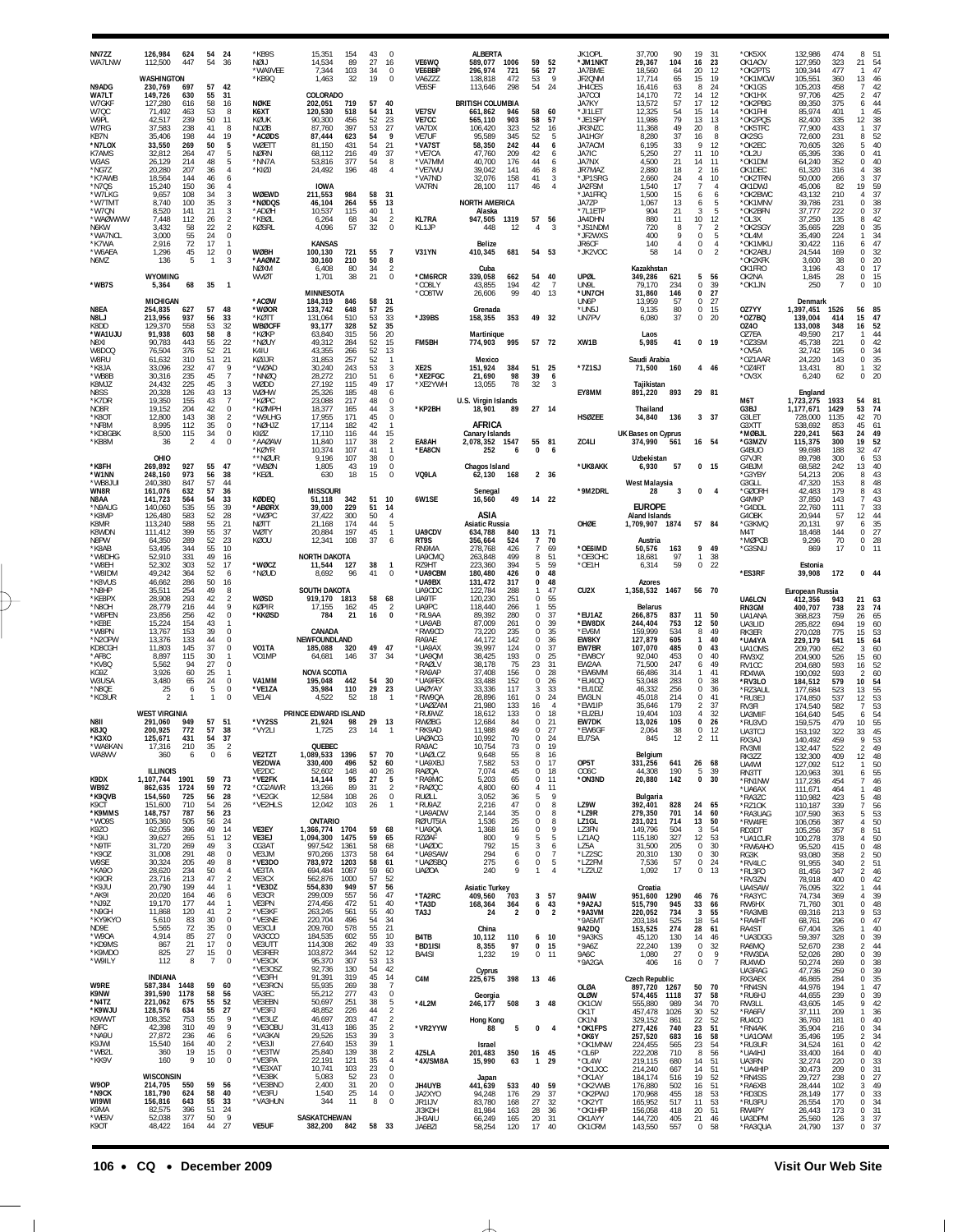| NN7ZZ<br>WA7LNW                    | 126,984<br>624<br>447<br>112.500                                                  | 54<br>54                   | 24<br>-36                                       | *KB9S<br>NØLI<br>*WA9VEE          | 15,351<br>14.534<br>7,344                | 154<br>89<br>103             | 43<br>$\Omega$<br>27<br>16<br>34<br>$\mathbf 0$        | VE6WQ<br>VE6BBP                                               | <b>ALBERTA</b><br>589.077<br>1006<br>296,974<br>721                           |                          | 59<br>52<br>56<br>27                                     | JK10PL<br>*JM1NKT<br>JA7BME                    | 37,700<br>29,367<br>18,560                     | 90<br>104<br>64            | 19<br>16<br>20                             | 31<br>23<br>12                   | *OK5XX<br>OK1AOV<br>*OK2PTS                       | 132,986<br>127.950<br>109,344                    | 474<br>323<br>477               | 8<br>51<br>21<br>$\overline{54}$<br>47<br>$\mathbf{1}$                                             |
|------------------------------------|-----------------------------------------------------------------------------------|----------------------------|-------------------------------------------------|-----------------------------------|------------------------------------------|------------------------------|--------------------------------------------------------|---------------------------------------------------------------|-------------------------------------------------------------------------------|--------------------------|----------------------------------------------------------|------------------------------------------------|------------------------------------------------|----------------------------|--------------------------------------------|----------------------------------|---------------------------------------------------|--------------------------------------------------|---------------------------------|----------------------------------------------------------------------------------------------------|
| N9ADG<br>WA7LT<br>W7GKF<br>W7QC    | WASHINGTON<br>230,769<br>697<br>149.726<br>630<br>127,280<br>616<br>71,492<br>463 | 57<br>55<br>58<br>53       | 42<br>31<br>16<br>8                             | *KB9Q<br>NØKE<br>K6XT             | 1,463<br>COLORADO<br>202,051<br>120,530  | 32<br>719<br>518             | 19<br>$\Omega$<br>57<br>40<br>31<br>54                 | VA6ZZZ<br>VE6SF<br>VE7SV                                      | 138,818<br>472<br>113,646<br>298<br><b>BRITISH COLUMBIA</b><br>946<br>661,862 |                          | 9<br>53<br>54<br>24<br>58<br>60                          | JF2QNM<br>JH4CES<br>JA7COI<br>JA7KY<br>*JI1LET | 17,714<br>16,416<br>14.170<br>13,572<br>12,325 | 65<br>63<br>72<br>57<br>54 | 15<br>8<br>14<br>17<br>15                  | 19<br>24<br>12<br>12<br>14       | *OK1MCW<br>*OK1GS<br>*OK1HX<br>*OK2PBG<br>*OK1FHI | 105,551<br>105,203<br>97,706<br>89,350<br>85,974 | 360<br>458<br>425<br>375<br>401 | 13<br>46<br>42<br>$\overline{7}$<br>47<br>$\overline{\mathbf{c}}$<br>44<br>6<br>45<br>$\mathbf{1}$ |
| W9PL<br>W7RG<br>KB7N               | 42,517<br>239<br>37.583<br>238<br>35,406<br>198                                   | 50<br>41<br>44             | 11<br>8<br>19                                   | KØUK<br>NCØB<br>*ACØDS            | 90,300<br>87.760<br>87,444               | 456<br>397<br>623            | 52<br>23<br>27<br>53<br>54<br>- 9                      | <b>VE7CC</b><br>VA7DX<br>VE7UF                                | 903<br>565,110<br>323<br>106.420<br>95,589                                    | 345                      | 58<br>57<br>52<br>16<br>52<br>5                          | *JE1SPY<br>JR3NZC<br>JA1HGY                    | 11,986<br>11,368<br>8,280                      | 79<br>49<br>37             | 13<br>20<br>16                             | 13<br>8<br>8                     | *OK2PQS<br>*OK5TFC<br>OK2SG                       | 82,400<br>77,900<br>72,600                       | 335<br>433<br>231               | 12<br>38<br>37<br>1<br>52<br>8                                                                     |
| *N7LOX<br><b>K7AMS</b><br>W3AS     | 33,550<br>269<br>32,812<br>264<br>26,129<br>214                                   | 50<br>47<br>48             | 5<br>5<br>5                                     | WØETT<br><b>NØRN</b><br>*NN7A     | 81,150<br>68,112<br>53,816               | 431<br>216<br>377            | 54<br>21<br>49<br>37<br>54<br>8                        | *VA7ST<br>*VE7CA<br>*VA7MM                                    | 58,350<br>242<br>47,760<br>209<br>40,700                                      | 176                      | 44<br>6<br>42<br>6<br>44<br>6                            | <b>JA7ACM</b><br>JA7IC<br>JA7NX                | 6,195<br>5.250<br>4,500                        | 33<br>27<br>21             | Q<br>11<br>14                              | 12<br>10<br>11                   | *OK2EC<br>*OL2U<br>*OK1DM                         | 70,605<br>65,395<br>64,240                       | 326<br>336<br>352               | 40<br>5<br>$\mathbf 0$<br>41<br>0<br>40                                                            |
| *NG7Z<br>*K7AWB<br>*N7QS           | 20,280<br>207<br>18,564<br>144<br>15,240<br>150                                   | 36<br>46<br>36             | $\overline{4}$<br>6<br>$\overline{4}$           | *KIØJ                             | 24.492<br><b>IOWA</b>                    | 196                          | 48                                                     | *VE7WU<br>*VA7ND<br>VA7RN                                     | 39.042<br>141<br>32,076<br>158<br>28,100<br>117                               |                          | 46<br>8<br>41<br>3<br>$\overline{4}$<br>46               | JR7MAZ<br>*JP1SRG<br>JA2FSM                    | 2,880<br>2,660<br>1.540                        | 18<br>24<br>17             | 2<br>4<br>$\overline{7}$                   | 16<br>10<br>$\overline{4}$       | OK1DEC<br>*OK2TRN<br>OK1DWJ                       | 61.320<br>50,000<br>45,006                       | 316<br>266<br>82                | 38<br>4<br>37<br>3<br>59<br>19                                                                     |
| *W7LKG<br>*W7TM1<br>*W7QN          | 9,657<br>108<br>8.740<br>100<br>8,520<br>141                                      | 34<br>35<br>21             | 3<br>3<br>3                                     | <b>WØEWD</b><br>*NØDOS<br>*ADØH   | 211,553<br>46,104<br>10,537              | 984<br>264<br>115            | 58<br>31<br>55<br>13<br>40<br>$\overline{1}$           |                                                               | <b>NORTH AMERICA</b><br>Alaska                                                |                          |                                                          | *JA1FRQ<br>JA7ZP<br>*7L1ETP                    | 1,500<br>1,067<br>904                          | 15<br>13<br>21             | 6<br>6<br>3                                | 6<br>-5<br>5                     | *OK2BWC<br>*OK1MNV<br>*OK2BFN                     | 43,132<br>39.786<br>37,777                       | 210<br>231<br>222               | 37<br>4<br>$\Omega$<br>38<br>37<br>0                                                               |
| *WAØWWW<br>N6KW<br>*WA7NCL         | 7.448<br>112<br>3,432<br>58<br>55<br>3,000                                        | 26<br>22<br>24             | $\sqrt{2}$<br>$\overline{2}$<br>$\mathbf 0$     | *KBØL<br><b>KØSRL</b>             | 6,264<br>4,096                           | 68<br>57                     | 34<br>$\overline{2}$<br>32<br>$\Omega$                 | <b>KL7RA</b><br>KL1JP                                         | 947,505<br>1319<br>448                                                        | 12                       | 57<br>56<br>$\overline{4}$<br>3                          | JA4DHN<br>*JS1NDM<br>*JF2WXS                   | 880<br>720<br>400                              | 11<br>8<br>Q               | 10<br>$\overline{7}$<br>$\Omega$           | 12<br>$\overline{2}$<br>-5       | *OL3X<br>*OK2SGY<br>*OL4M                         | 37,250<br>35,665<br>35,490                       | 135<br>228<br>224               | 42<br>8<br>$\bf 0$<br>35<br>34<br>1                                                                |
| *K7WA<br>*W6AEA<br>N6MZ            | 72<br>2,916<br>1,296<br>45<br>136<br>5                                            | 17<br>12<br>$\mathbf{1}$   | $\mathbf{1}$<br>0<br>3                          | <b>WØBH</b><br>*AAØMZ             | <b>KANSAS</b><br>100,130<br>30,160       | 721<br>210                   | 55<br>$\overline{7}$<br>50<br>8                        | V31YN                                                         | Belize<br>410,345                                                             | 681                      | 54 53                                                    | JR6CF<br>*JK2VOC                               | 140<br>58                                      | 4<br>14                    | $\Omega$<br>$\Omega$                       | $\overline{4}$<br>$\overline{2}$ | *OK1MKU<br>*OK2ABU<br>*OK2KFK                     | 30,422<br>24,544<br>3,600                        | 116<br>169<br>38                | 47<br>6<br>32<br>0<br>$20\,$<br>0                                                                  |
| *WB7S                              | <b>WYOMING</b><br>5,364<br>68                                                     | 35                         | $\overline{\phantom{0}}$                        | <b>NØXM</b><br>WVØT               | 6,408<br>1,701<br><b>MINNESOTA</b>       | 80<br>38                     | 34<br>$\overline{2}$<br>21<br>$\Omega$                 | *CM6RCR<br>*CO8LY<br>*CO8TW                                   | Cuba<br>339.058<br>662<br>43,855                                              | 54<br>194<br>99          | 40<br>42<br>-7<br>40<br>13                               | UPØL<br>UN9L<br>*UN7CH                         | Kazakhstan<br>349.286<br>79,170<br>31.860      | 621<br>234                 | 5<br>$\Omega$<br>$\mathbf{0}$              | 56<br>39<br>27                   | OK1FRO<br>OK2NA<br>*OK1JN                         | 3.196<br>1,845<br>250                            | 43<br>28<br>$\overline{7}$      | 17<br>0<br>$\bf 0$<br>15<br>$\Omega$<br>10                                                         |
| <b>N8FA</b><br>N8LJ                | <b>MICHIGAN</b><br>254,835<br>627<br>213,956<br>937                               | 57<br>56                   | 48<br>33                                        | *ACØW<br>*WØOR<br>*KØTT           | 184,319<br>133,742<br>131,064            | 846<br>648<br>510            | 58<br>31<br>57<br>25<br>33<br>53                       | *J39BS                                                        | 26,606<br>Grenada<br>158,355                                                  | 353                      | 49<br>- 32                                               | UN6P<br>*UN5.<br>UN7PV                         | 13,959<br>9,135<br>6,080                       | 146<br>57<br>80<br>37      | $\Omega$<br>$\Omega$<br>0                  | 27<br>15<br>20                   | OZ7YY<br>*0Z7BQ                                   | Denmark<br>1,397,451<br>139,004                  | 1526<br>414                     | 56<br>85<br>15<br>47                                                                               |
| <b>K8DD</b><br>*WA1UJU<br>N8XI     | 129,370<br>558<br>91,938<br>603<br>90,783<br>443                                  | 53<br>58<br>55             | 32<br>8<br>22                                   | <b>WBØCFF</b><br>*KØKP<br>*NØUY   | 93,177<br>63,840<br>49,312               | 328<br>315<br>284            | 52<br>35<br>56<br>20<br>52<br>15                       | FM5BH                                                         | Martinique<br>995<br>774,903                                                  |                          | 57 72                                                    | XW1B                                           | Laos<br>5,985                                  | 41                         | $\mathbf{0}$                               | - 19                             | 0Z40<br>OZ7EA<br>*OZ3SM                           | 133,008<br>49,590<br>45,738                      | 348<br>217<br>221               | 52<br>16<br>44<br>1<br>42<br>$\Omega$                                                              |
| W8DCQ<br>W8RU<br>*K8JA             | 76,504<br>376<br>61,632<br>310<br>33,096<br>232                                   | 52<br>51<br>47             | 21<br>21<br>9                                   | K4IU<br>KØJJR<br>*WØAD            | 43,355<br>31.853<br>30,240               | 266<br>257<br>243            | 52<br>13<br>52<br>$\mathbf{1}$<br>53<br>3              | XE2S                                                          | Mexico<br>151,924<br>384                                                      |                          | 51<br>25                                                 | *7Z1SJ                                         | Saudi Arabia<br>71,500                         | 160                        |                                            | 4 46                             | *OV5A<br>*OZ1AAR<br>*OZ4RT                        | 32,742<br>24,220<br>13,431                       | 195<br>143<br>80                | 34<br>0<br>35<br>$\,0\,$<br>32<br>1                                                                |
| *WB8B<br>K8MJZ<br>N8SS             | 235<br>30,316<br>24,432<br>225<br>20,328<br>126                                   | 45<br>45<br>43             | $\overline{7}$<br>3<br>13                       | *NNØQ<br>WØDD<br>WØHW             | 28,272<br>27,192<br>25,326               | 210<br>115<br>185            | 51<br>6<br>49<br>17<br>48<br>6                         | *XE2FGC<br>*XE2YWH                                            | 21,690<br>13,055                                                              | 98<br>39<br>78           | 6<br>32<br>$\mathcal{R}$                                 | EY8MM                                          | Taiikistan<br>891,220                          | 893                        | 29 81                                      |                                  | *OV3X                                             | 6,240<br>England                                 | 62                              | $\mathbf 0$<br>20                                                                                  |
| *K7DR<br>NO8R<br>*K8OT             | 155<br>19.350<br>19,152<br>204<br>12,800<br>143                                   | 43<br>42<br>38             | $\overline{7}$<br>$\mathbf 0$<br>$\overline{2}$ | *KØPC<br>*KØMPH<br>*W9LHG         | 23.088<br>18,377<br>17.955               | 217<br>165<br>171            | 48<br>$\Omega$<br>44<br>3<br>45<br>$\mathbf 0$         | *KP2BH                                                        | U.S. Virgin Islands<br>18,901                                                 | -89                      | 27 14                                                    | <b>HSØZEE</b>                                  | Thailand<br>34,840                             | 136                        |                                            | 3 37                             | M6T<br>G3BJ<br>G3LET                              | 1,723,275<br>1,177,671<br>728,000                | 1933<br>1429<br>1135            | 81<br>54<br>53<br>74<br>42<br>70                                                                   |
| *NF8M<br>*KD8GBK<br>*KB8M          | 8,995<br>112<br>8,500<br>115<br>36                                                | 35<br>34<br>$\overline{4}$ | 0<br>$\bf 0$<br>$\Omega$                        | *NØHJZ<br>K107<br>*AAØAW          | 17,114<br>17.110<br>11,840               | 182<br>116<br>117            | 42<br>$\mathbf{1}$<br>44<br>15<br>38<br>$\overline{2}$ | EA8AH                                                         | AFRICA<br>Canary Islands<br>2,078,352 1547                                    |                          | 55<br>81                                                 | ZC4LI                                          | UK Bases on Cyprus<br>374,990                  | 561                        | 16 54                                      |                                  | G3XTT<br>*MØBJL<br>*G3MZV                         | 538,692<br>220,241<br>115,375                    | 853<br>563<br>300               | 45<br>61<br>24<br>49<br>52<br>19                                                                   |
| *K8FH                              | OHIO<br>269,892<br>927                                                            | 55                         | 47                                              | *KØYR<br>**NØUR<br>*WBØN          | 10,374<br>9,196<br>1,805                 | 107<br>107<br>43             | 41<br>$\mathbf{1}$<br>38<br>$\mathbf 0$<br>19<br>0     | <b>*FA8CN</b>                                                 | 252<br>Chagos Island                                                          | 6                        | $\Omega$<br>6                                            | *UK8AKK                                        | Uzbekistan<br>6.930                            | 57                         |                                            | $0$ 15                           | G4BUO<br>G7VJR<br>G4BJM                           | 99,698<br>89,798<br>68,582                       | 188<br>300<br>242               | 32<br>47<br>53<br>6<br>40<br>13                                                                    |
| *W1NN<br>*WB8JU<br>WN8R            | 248,160<br>973<br>847<br>240,380<br>161,076<br>632                                | 56<br>57<br>57             | 38<br>44<br>36                                  | *KEØL                             | 630<br><b>MISSOURI</b>                   | 18                           | 15<br>$\Omega$                                         | VQ9LA                                                         | 62,130<br>Senegal                                                             | 168                      | 2 36                                                     | *9M2DRL                                        | <b>West Malaysia</b><br>28                     | 3                          | $\Omega$                                   | $\overline{4}$                   | *G3YBY<br>G3GLL<br>'GØORH                         | 54,213<br>47.320<br>42,483                       | 206<br>153<br>179               | 43<br>8<br>48<br>8<br>43<br>8                                                                      |
| N8AA<br>*N9AUG<br>*K8MP            | 141,723<br>564<br>140,060<br>535<br>583<br>126,480                                | 54<br>55<br>52             | 33<br>39<br>28                                  | KØDEQ<br>*ABØRX<br>*WØPC          | 51,118<br>39,000<br>37.422               | 342<br>229<br>300            | 10<br>51<br>51<br>14<br>50<br>$\overline{4}$           | 6W1SE                                                         | 16,560<br>ASIA                                                                | 49                       | 14 22                                                    |                                                | <b>EUROPE</b><br>Aland Islands                 |                            |                                            |                                  | G4MKP<br>'G4DDL<br>G4OBK                          | 37,850<br>22,760<br>20,944                       | 143<br>111<br>57                | 43<br>7<br>33<br>$\overline{7}$<br>44<br>12                                                        |
| K8MR<br>K8WDN<br>N8PW              | 113,240<br>588<br>111,412<br>399<br>289<br>64,350                                 | 55<br>55<br>52             | 21<br>37<br>23                                  | <b>NØTT</b><br>WØTY<br>KØOU       | 21.168<br>20,884<br>12.341               | 174<br>197<br>108            | 44<br>5<br>45<br>$\mathbf{1}$<br>37<br>6               | UA9CDV<br>RT9S                                                | <b>Asiatic Russia</b><br>634,788<br>840<br>356,664<br>524                     |                          | 13<br>71<br>7<br>70                                      | OHØE                                           | 1,709,907<br>Austria                           | 1874                       | 57 84                                      |                                  | *G3KMQ<br>M4T<br>*MØPCB                           | 20,131<br>18,468<br>9,296                        | 97<br>144<br>70                 | 35<br>6<br>27<br>0<br>28<br>$\,0\,$                                                                |
| *K8AB<br>*W8DHG<br>*W8EH           | 53,495<br>344<br>52,910<br>331<br>52,302<br>303                                   | 55<br>49<br>52             | 10<br>16<br>17                                  | *WØCZ                             | <b>NORTH DAKOTA</b><br>11,544<br>8.692   | 127<br>96                    | 38<br>-1<br>41<br>$\Omega$                             | RN9MA<br>UA9CMQ<br>RZ9HT<br>*UA9CBM                           | 426<br>278.768<br>499<br>263,848<br>223,360<br>426                            | 394                      | 7<br>69<br>8<br>51<br>5<br>59<br>$\mathbf 0$             | *OE6IMD<br>*OE3CHC<br>*OE1H                    | 50,576<br>18.681<br>6,314                      | 163<br>97<br>59            | 9<br>-1.<br>0                              | 49<br>38<br>22                   | *G3SNU<br>*ES3RF                                  | 869<br>Estonia                                   | 17                              | 0<br>11<br>0.44                                                                                    |
| *W8IDM<br>*K8VUS<br>*N8HP          | 49,242<br>364<br>46,662<br>286<br>35,511<br>254                                   | 52<br>50<br>49             | 6<br>16<br>8<br>$\overline{2}$                  | *NØUD<br><b>WØSD</b>              | SOUTH DAKOTA                             |                              |                                                        | *UA9BX<br>UA9CDC<br>UA9TF                                     | 180,480<br>131,472<br>317<br>122,784<br>288<br>120,230                        |                          | 48<br>0<br>48<br>47<br>1<br>0                            | CU <sub>2</sub> X                              | <b>Azores</b><br>1,358,532                     | 1467                       | 56 70                                      |                                  |                                                   | 39,908<br>European Russia                        | 172                             |                                                                                                    |
| *KE8PX<br>*N8OH<br>*W8PEN<br>*KE8E | 28,908<br>293<br>28,779<br>216<br>23,856<br>256<br>154<br>15,224                  | 42<br>44<br>42<br>43       | 9<br>$\bf 0$                                    | KØPIR<br>*KKØSD                   | 919,170<br>17.155<br>784                 | 1813<br>162<br>21            | 58<br>68<br>45<br>-2<br>16<br>$\Omega$                 | UA9PC<br>*RL9AA<br>*UA9AB                                     | 251<br>118,440<br>266<br>89,392<br>280<br>87,009<br>261                       |                          | 55<br>1<br>55<br>37<br>$\Omega$<br>39<br>$\Omega$        | *EU1AZ<br>*EW8DX                               | Belarus<br>266,875<br>244,404                  | 837<br>753                 | 11<br>12                                   | 50<br>50                         | UA6LCN<br>RN3GM<br>UA1ANA<br>UA3LID               | 412,356<br>400,707<br>368,823<br>285,822         | 943<br>738<br>759<br>694        | 21<br>63<br>74<br>23<br>65<br>26<br>19<br>60                                                       |
| *W8PN<br>*N2OPW<br>KD8CGH          | 13,767<br>153<br>13,376<br>133<br>11.803<br>145                                   | 39<br>44<br>37             | $\mathbf 0$<br>$\mathbf 0$<br>$\bf 0$           | VO1TA                             | CANADA<br>NEWFOUNDLAND<br>185.088        | 320                          | 49<br>47                                               | *RW9CD<br>RA9AE<br>*UA9AX                                     | 73,220<br>142<br>44,172<br>39.997<br>124                                      | 235                      | 35<br>$\Omega$<br>$\Omega$<br>36<br>0<br>37              | *EV6M<br><b>EW8KY</b><br>EW7BR                 | 159,999<br>127,879<br>107,070                  | 534<br>605<br>485          | 8<br>1<br>$\Omega$                         | 49<br>40<br>43                   | RK3ER<br>*UA4YA<br>UA10MS                         | 270,028<br>229,179<br>209,790                    | 775<br>541<br>652               | 53<br>15<br>64<br>15<br>60<br>3                                                                    |
| *AF8C<br>*KV8Q<br>KG9Z             | 8,897<br>115<br>5,562<br>94<br>3,926<br>60                                        | 30<br>27<br>25             | 1<br>$\mathbf 0$<br>1                           | VO1MP                             | 64,681<br><b>NOVA SCOTIA</b>             | 146                          | 37<br>34                                               | *UA9QM<br>*RAØLV<br>*RA9AP                                    | 38,425<br>193<br>38,178<br>37,408<br>156                                      | 75                       | $\Omega$<br>25<br>23<br>31<br>0<br>28                    | *EW8CY<br>EW2AA<br>*EW6MM                      | 92,040<br>71,500<br>66,486                     | 453<br>247<br>314          | 0<br>6                                     | 40<br>49<br>41                   | RW3XZ<br>RV1CC<br>RD4WA                           | 204,900<br>204,680<br>190,092                    | 526<br>593<br>593               | 15<br>60<br>16<br>52<br>60<br>$\overline{2}$                                                       |
| W3USA<br>*N8QE<br>*KC8UR           | 3,480<br>65<br>25<br>6<br>2                                                       | 24<br>5                    | $\mathbf 0$<br>$\mathbf 0$<br>$\Omega$          | VA1MM<br>*VE1ZA<br>VE1AI          | 195.048<br>35,984<br>4.522               | 442<br>110<br>52             | 54<br>-30<br>29<br>23<br>18                            | *UA9FEX<br><b>UAØYAY</b><br>*RW9QA                            | 33,488<br>152<br>33,336<br>117<br>28,896<br>161                               |                          | $\mathbf 0$<br>26<br>3<br>33<br>$\Omega$<br>24           | *EU4CQ<br>*EU1DZ<br>EW3LN                      | 53,048<br>46,332<br>45,018                     | 283<br>256<br>214          | $\Omega$<br>$\Omega$<br><sup>n</sup>       | 38<br>36<br>41                   | *RV3LO<br>*RZ3AUL<br>*RU3EJ                       | 184,512<br>177,684<br>174,850                    | 579<br>523<br>537               | 10<br>54<br>55<br>13<br>53<br>12                                                                   |
| N8II                               | <b>WEST VIRGINIA</b><br>291,060<br>949                                            | 57                         | 51                                              | *VY2SS                            | PRINCE EDWARD ISLAND<br>21,924           | 98                           | 29<br>13                                               | *UAØZAM<br>*RU9WZ<br><b>RWØBG</b>                             | 21,980<br>133<br>18,612<br>12,684                                             | 133<br>84                | 16<br>$\overline{4}$<br>18<br>$\Omega$<br>$\Omega$<br>21 | *EW1IP<br>*EU2EU<br>EW7DK                      | 35,646<br>19.404<br>13,026                     | 179<br>103<br>105          | $\mathfrak{D}$<br>$\Delta$<br>$\mathbf{0}$ | 37<br>32<br>26                   | RV3FI<br>UA3MIF<br>*RU3VD                         | 174,540<br>164,640<br>159,575                    | 582<br>545<br>479               | 53<br>$\overline{7}$<br>54<br>6<br>55<br>10                                                        |
| K8JQ<br>$*$ K3XO<br>*WA8KAN        | 772<br>200,925<br>431<br>210<br>17,316                                            | 57<br>35                   | 38<br>37<br>$\overline{2}$                      | *VY2LI                            | 1,725<br>QUEBEC                          | 23                           | 14                                                     | *RK9AD<br>UAØACG<br>RA9AC                                     | 11,988<br>10.992<br>10,754                                                    | 49<br>70<br>73           | 27<br>0<br>$\Omega$<br>24<br>0<br>19                     | *EW6GF<br><b>FU7SA</b>                         | 2,064<br>845                                   | 38<br>12                   | $^{\circ}$                                 | -12<br>11                        | UA3TCJ<br>RX3A<br>RV3MI                           | 153,192<br>140.492<br>132,447                    | 322<br>459<br>522               | 45<br>33<br>53<br>49<br>2                                                                          |
| WA8WV                              | 360<br>6<br><b>ILLINOIS</b>                                                       | $\mathbb O$                | 6                                               | VE2TZT<br>VE2DWA<br>VE2DC         | 1.089.533 1396<br>330,400<br>52,602      | 496<br>148                   | 57<br>70<br>52<br>60<br>40<br>26                       | *UAØLCZ<br>*UA9XBJ<br>RAØQA                                   | 9,648<br>7,582<br>7,074                                                       | 55<br>53<br>45           | 8<br>-16<br>0<br>17<br>$\Omega$<br>18                    | OP5T<br>006C                                   | Belgium<br>331,256<br>44,308                   | 641<br>190                 | 26<br>-5                                   | 68<br>39                         | RK3ZZ<br>UA4WI<br>RN3TT                           | 132,300<br>127,092<br>120,963                    | 409<br>512<br>391               | 48<br>12<br>$\mathbf{1}$<br>$\begin{array}{c} 50 \\ 55 \end{array}$<br>6                           |
| K9DX<br><b>WB97</b><br>*K9QVB      | 1,107,744<br>1901<br>862,635<br>1724<br>154,560<br>725                            | 59<br>59<br>56             | 73<br>72<br>28                                  | *VE2FK<br>*CG2AWR<br>*VE2GK       | 14,144<br>13,266<br>12,584               | 95<br>89<br>108              | 27<br>5<br>31<br>$\overline{2}$<br>26<br>$\mathbf 0$   | *RA9MC<br>*RAØQC<br>RUØLL                                     | 5,203<br>4,800<br>3,052                                                       | 65<br>60<br>36           | 0<br>11<br>4<br>-11<br>9<br>5                            | *ON3ND                                         | 20,880<br>Bulgaria                             | 142                        | 0                                          | 30                               | *RN1NW<br>*UA6AX<br>*RA3ZC                        | 117,236<br>111,671<br>110,982                    | 454<br>464<br>423               | $\overline{7}$<br>$\substack{46 \\ 48}$<br>1<br>$48\,$<br>5                                        |
| K9CT<br>*K9MMS<br>*WO9S            | 151,600<br>710<br>148,757<br>787<br>505<br>105,360                                | 54<br>56<br>56             | 26<br>23<br>24                                  | *VE2HLS                           | 12,042<br><b>ONTARIO</b>                 | 103                          | 26<br>$\mathbf{1}$                                     | *RU9AZ<br>*UA9ADW<br>RØ/UT5IA                                 | 2,216<br>2,144<br>1,536                                                       | 47<br>35<br>25           | 8<br>$\Omega$<br>$\mathbf 0$<br>8<br>$\mathbf 0$<br>8    | LZ9W<br>*LZ9R<br>LZ1GL                         | 392,401<br>279,350<br>231,021                  | 828<br>701<br>714          | 24<br>14<br>13                             | 65<br>60<br>50                   | *RZ10K<br>*RA3UAG<br>*RW4FE                       | 110,187<br>107,590<br>106,056                    | 339<br>363<br>387               | 7<br>56<br>53<br>5<br>50<br>4                                                                      |
| K9ZO<br>*K9IJ<br>*N9TF             | 62,055<br>396<br>265<br>39,627<br>31,720<br>269                                   | 49<br>51<br>49             | 14<br>12<br>3                                   | VE3EY<br>VE3EJ<br>CG3AT           | 1,366,774 1704<br>1,094,300<br>997,542   | 1475<br>1361                 | 59<br>68<br>59<br>65<br>58<br>68                       | *UA9QA<br><b>RZØAF</b><br>*UAØDC                              | 1,368<br>800<br>792                                                           | 16<br>$\mathsf{o}$<br>15 | 9<br>$\Omega$<br>5<br>5<br>3<br>6<br>$\mathbb O$         | LZ3FN<br>LZ1AQ<br>LZ5A<br>*LZ2SC               | 149,796<br>115,180<br>31,500                   | 504<br>327<br>205          | 3<br>12<br>$\Omega$                        | 54<br>53<br>30                   | RD3DT<br>*UA1CUR<br>*RW6AHO                       | 105,256<br>100,278<br>95,520                     | 357<br>378<br>415               | 8<br>51<br>50<br>4<br>48<br>$\,0\,$                                                                |
| *K90Z<br>W9SE<br>*KA90<br>*K9OR    | 291<br>31,008<br>30,324<br>205<br>234<br>28,620<br>23,716<br>213                  | 48<br>49<br>50<br>47       | $\bf 0$<br>8<br>4<br>$\overline{2}$             | VE3JM<br>*VE3DO<br>VE3TA<br>VE3CX | 970,266<br>783,972<br>694,484<br>562,876 | 1373<br>1203<br>1087<br>1000 | 58<br>64<br>58<br>61<br>59<br>60<br>57<br>52           | *UA9SAW<br>*UAØSBQ<br>UAØ0A                                   | 294<br>275<br>240                                                             | 6<br>6<br>9              | 7<br>$\mathbb O$<br>5<br>4<br>1                          | *LZ2FM<br>*LZ2UZ                               | 20,310<br>7,536<br>1,092                       | 130<br>57<br>17            | $^{\circ}$<br>0<br>$^{\circ}$              | 30<br>24<br>13                   | RG3K<br>*RV4LC<br>*RL3FO                          | 93,080<br>91,955<br>81,456<br>78,918             | 358<br>340<br>347               | 50<br>2<br>51<br>$\sqrt{2}$<br>$\overline{2}$<br>$\frac{46}{42}$<br>$\,0\,$                        |
| *K9JU<br>*AK9I<br>*NJ9Z            | 199<br>20,790<br>20,020<br>164<br>19,170<br>177                                   | 44<br>46<br>44             | $\mathbf{1}$<br>6<br>1                          | *VE3DZ<br>VE3CR<br>VE3PN          | 554,830<br>299,009<br>274,456            | 949<br>557<br>472            | 56<br>57<br>56<br>47<br>51<br>40                       | *TA2RC<br>*TA3D                                               | <b>Asiatic Turkey</b><br>703<br>409,560<br>168,364                            | 364                      | 3 57<br>6<br>43                                          | 9A4W<br>*9A2AJ                                 | Croatia<br>951,600<br>515,790                  | 1290<br>945                | 46<br>33                                   | 76<br>66                         | *RV3ZN<br>UA4SAW<br>*RA3YC<br>RW6HX               | 76,095<br>74,734<br>71,760                       | 400<br>322<br>369<br>301        | 44<br>1<br>39<br>4<br>$\mathbf 0$<br>48                                                            |
| *N9GH<br>*KY9KYO<br>ND9E           | 11,868<br>120<br>5,610<br>83<br>72<br>5,565                                       | 41<br>30<br>35             | $\overline{2}$<br>0<br>$\bf 0$                  | *VE3KF<br>*VE3NE<br>VE3CUI        | 263,245<br>220,704<br>209,760            | 561<br>496<br>578            | 55<br>40<br>54<br>34<br>21                             | TA3J                                                          | 24<br>China                                                                   | $\overline{2}$           | $\overline{2}$<br>0                                      | *9A3VM<br>*9A5MT<br>9A2DQ                      | 220,052<br>203,184<br>153,525                  | 734<br>525<br>274          | 3<br>18<br>28                              | 55<br>54<br>61                   | *RA3MB<br>*RA4HT<br>RA4ST                         | 69,316<br>68,761<br>67,404                       | 213<br>296<br>326               | 9<br>53<br>47<br>$\,0\,$<br>40<br>1                                                                |
| *W90A<br>*KD9MS<br>*K9MDO          | 4,914<br>85<br>21<br>867<br>27<br>825                                             | 27<br>17<br>15             | 0<br>$\bf 0$<br>0                               | VA3CCO<br>VE3UTT<br>VE3RER        | 184,535<br>114,308<br>103,872            | 602<br>262<br>344            | $\frac{55}{55}$<br>10<br>49<br>33<br>52<br>12          | B4TB<br>*BD1ISI<br>BA4SI                                      | 10,112<br>8,355<br>1,232                                                      | 110<br>97<br>19          | 10<br>6<br>0<br>15<br>$\mathbb O$<br>11                  | *9A3KS<br>*9A6Z<br>9A6C                        | 45,120<br>22,240<br>1,080                      | 130<br>139<br>27           | 14<br>0<br>$\Omega$                        | 46<br>32<br>9                    | *UA3DGG<br>RA6MQ<br>*RW3DA                        | 59,397<br>52,670<br>52,026                       | 328<br>238<br>280               | 39<br>$\,0\,$<br>44<br>$\overline{\mathbf{c}}$<br>39<br>$\,0\,$                                    |
| *W9ILY                             | 112<br>8<br><b>INDIANA</b>                                                        | 7                          | $\mathbf 0$                                     | *VE3OX<br>*VE3OSZ<br>*VE3FH       | 95,370<br>92,736<br>91,391               | 307<br>130<br>319            | 13<br>53<br>54<br>42<br>14<br>45                       | C4M                                                           | Cyprus<br>398<br>225,675                                                      |                          | 13 46                                                    | *9A2GA                                         | 406<br>Czech Republic                          | 16                         | 0                                          | $\overline{7}$                   | RU4WD<br>UA3RAG<br>RX3AEX                         | 50,274<br>47,736<br>46,865                       | 269<br>259<br>284               | 38<br>0<br>39<br>0<br>$\,0\,$<br>35                                                                |
| W9RE<br>K9NW<br>*N4TZ              | 587,384 1448<br>391,590<br>1178<br>221,062<br>675                                 | 59<br>58<br>55             | 60<br>56<br>52                                  | *VE3RCN<br>VA3EC<br>VE3EBN        | 55,935<br>55,212<br>50,697               | 269<br>277<br>251            | 38<br>$\overline{7}$<br>$\,0\,$<br>43<br>38            | $\,$ 5<br>*4L2M                                               | Georgia<br>508<br>246,177                                                     |                          | 3<br>48                                                  | OLØA<br>OLØW<br>OK1CW                          | 897,720<br>574,465<br>555,880                  | 1267<br>1118<br>989        | 50<br>37<br>34                             | 70<br>58<br>70                   | *RN4SN<br>*RU6HJ<br>RW3LL                         | 44,976<br>44,655<br>43,605                       | 194<br>239<br>145               | 47<br>1<br>39<br>0<br>$42\,$<br>9                                                                  |
| *K9WJU<br>K9WWT<br>N9FC            | 128,576<br>634<br>108,352<br>753<br>42,398<br>310                                 | 55<br>55<br>49             | 27<br>9<br>9                                    | *VE3FJ<br>*VE3UZ<br>*VE3OBU       | 48,852<br>46,697<br>31,413               | 226<br>203<br>186            | 44<br>47<br>35                                         | $\overline{2}$<br>$\overline{2}$<br>$\overline{2}$<br>*VR2YYW | <b>Hong Kong</b><br>88                                                        | 5                        | $\pmb{0}$<br>$\overline{4}$                              | OK1T<br>OK1NI<br>*OK1FPS                       | 457,478<br>329,152<br>277,426                  | 1026<br>861<br>740         | 30<br>22<br>23                             | 52<br>52<br>51                   | *RA6FV<br>RU4CO<br>*RN4AK                         | 37,111<br>36,760<br>35,904                       | 209<br>181<br>216               | 36<br>1<br>40<br>$\,0\,$<br>$\,0\,$<br>34                                                          |
| *NA9U<br>K9JWI<br>*WB2L            | 27,872<br>236<br>15,540<br>164<br>360<br>19                                       | 46<br>40<br>15             | 6<br>$\overline{2}$<br>$\bf 0$                  | *VA3KAI<br>*VE3JI<br>*VE3TW       | 29,526<br>27,640<br>25,840               | 153<br>153<br>139            | 39<br>39<br>$\mathbf{1}$<br>38                         | 3<br>$\overline{2}$<br>4Z5LA                                  | Israel<br>201,483                                                             | 350                      | 16<br>45                                                 | *OK6Y<br>*OK1MNW<br>*OL6P                      | 257,520<br>224,455<br>222,208                  | 683<br>565<br>710          | 16<br>23<br>8                              | 58<br>54<br>56                   | *UA10AM<br>*RU3UR<br>*UA4HJ                       | 35,496<br>34,524<br>33,400                       | 195<br>161<br>164               | $\overline{\mathbf{c}}$<br>34<br>42<br>$\,0\,$<br>40<br>0                                          |
| *KK9V                              | 160<br>9<br><b>WISCONSIN</b>                                                      | 10                         | $\mathbf 0$                                     | *VE3PA<br>*VE3XAT<br>*VE3BK       | 22,191<br>10,741<br>5,083                | 121<br>103<br>52             | 35<br>$\overline{4}$<br>23<br>23                       | *4X/SM8A<br>$\mathbb O$<br>0                                  | 15,990<br>Japan                                                               | 63                       | 29<br>$\mathbf{1}$                                       | *OL4W<br>*OK1JOC<br>*OK1AY                     | 219,115<br>214,240<br>184,174                  | 680<br>667<br>516          | 14<br>14<br>19                             | 51<br>51<br>52                   | UA3RN<br>*UA4HIP<br>*RN4SS                        | 32,274<br>30,473<br>29,727                       | 220<br>209<br>238               | 33<br>0<br>0<br>31<br>27<br>$\,0\,$                                                                |
| W9OP<br>*N9CK<br>WI9WI             | 550<br>214,705<br>181,790<br>624<br>156,816<br>643                                | 59<br>58<br>55             | 56<br>40<br>33<br>24                            | *VE3BNO<br>*VE3FU<br>*VA3HUN      | 2,400<br>1,540<br>344                    | 31<br>25<br>11               | 20<br>14<br>$\mathbf 0$<br>8<br>0                      | 0<br>JH4UYB<br>JA2XYO<br>JR1IJV                               | 441,639<br>94,248<br>83,780<br>168                                            | 533<br>176               | 40<br>59<br>29<br>37<br>27<br>32                         | *OK2VWB<br>*OK2PWJ<br>*OK2YT                   | 176,880<br>170,968<br>165,952                  | 502<br>455<br>517          | 16<br>18<br>11                             | 51<br>53<br>53                   | *RA6XB<br>*RD3DS<br>*RU3PU                        | 28,444<br>28,149<br>26,554                       | 102<br>177<br>170               | 49<br>3<br>33<br>0<br>34<br>0                                                                      |
| K9MA<br>*WE9V<br>K9OT              | 82,575<br>396<br>52,038<br>377<br>48,422<br>164                                   | 51<br>50<br>44             | 9<br>27                                         | VE5UF                             | SASKATCHEWAN<br>382,200                  | 842                          | 58 33                                                  | JI3KDH<br>JH3AIU<br>JA6BZI                                    | 81,984<br>66,249<br>58,254                                                    | 163<br>165<br>120<br>17  | 28<br>36<br>20<br>31<br>40                               | *OK1HFP<br>OK1AYY<br>OK1CRM                    | 156,058<br>144,720<br>143,550                  | 418<br>405<br>557          | 20<br>21<br>0                              | 51<br>46<br>58                   | RW4PY<br>UA3DPM<br>*RA3QUA                        | 26,443<br>25,560<br>24,790                       | 173<br>126<br>137               | 31<br>0<br>37<br>3<br>37<br>0                                                                      |

**106 • CQ • December 2009 Visit Our Web Site**

Þ.

 $\sim 10$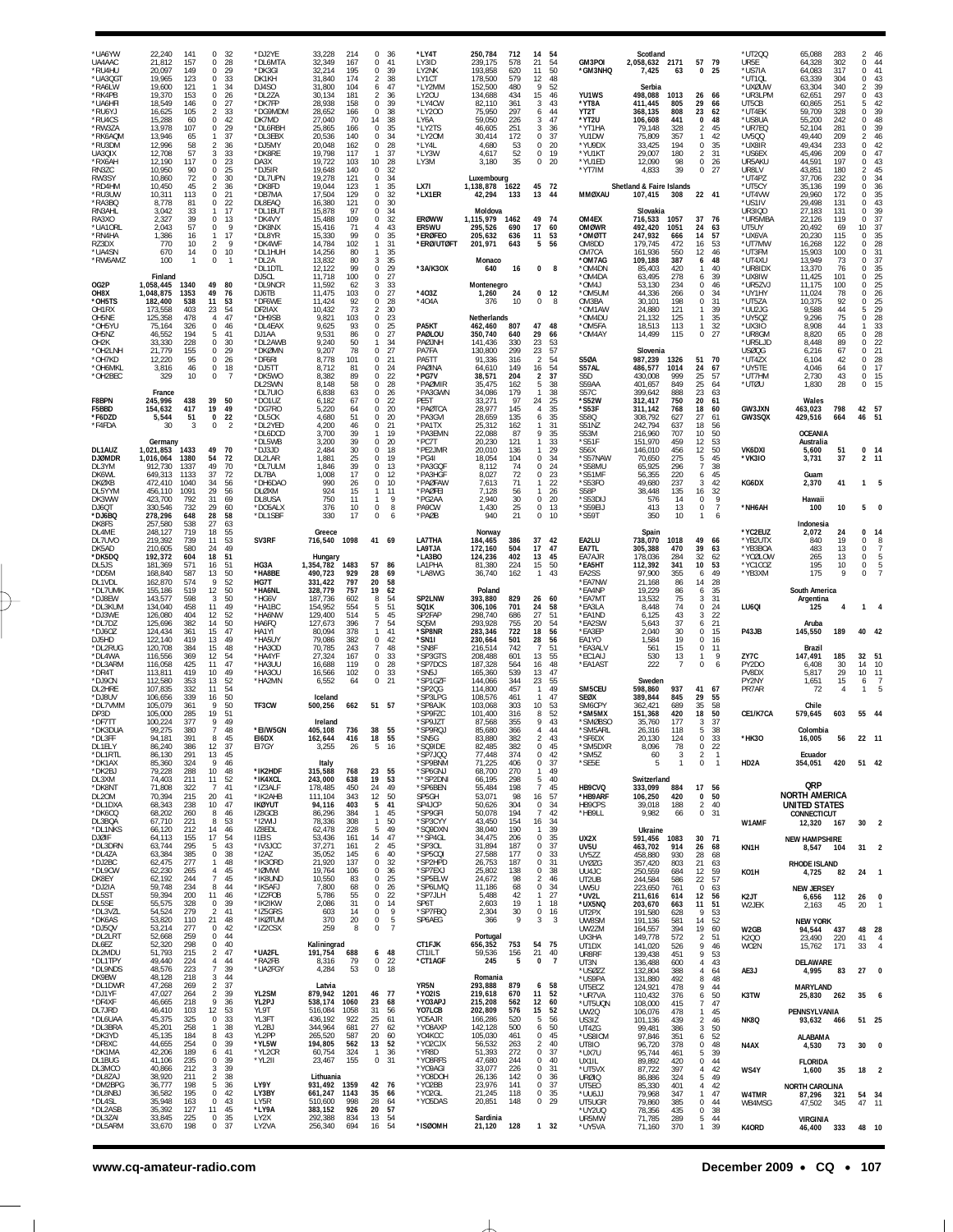| 22,240<br>141<br>21.812<br>157<br>20,097<br>149<br>123<br>19.965<br>19,600<br>121<br>19,370<br>153<br>18,549<br>146<br>105<br>16,625<br>15,288<br>60<br>107<br>13,978<br>13,946<br>65<br>12,996<br>58<br>12,708<br>57<br>12,190<br>117<br>10,950<br>90<br>10,860<br>72<br>45<br>10,450<br>10,311<br>113<br>8,778<br>81<br>3,042<br>33<br>39<br>2,327<br>2,043<br>57<br>16<br>1,386<br>770<br>10                                                                                                                                  | 0<br>32<br>28<br>$\Omega$<br>0<br>29<br>$\,0\,$<br>33<br>34<br>$\mathbf{1}$<br>0<br>26<br>0<br>27<br>33<br>2<br>42<br>0<br>29<br>0<br>37<br>-1<br>36<br>2<br>33<br>3<br>23<br>0<br>$\bf 0$<br>25<br>0<br>30<br>36<br>$\overline{2}$<br>0<br>21<br>$\mathbf 0$<br>22<br>17<br>$\mathbf{1}$<br>$\Omega$<br>13<br>9<br>0<br>17<br>$\mathbf{1}$<br>9<br>$\overline{2}$ | *DJ2YE<br>*DI 6MTA<br>*DK3GI<br>DK1KH<br>DJ4SO<br>*DL2ZA<br>*DK7FP<br>*DG9MDM<br>DK7MD<br>*DL6RBH<br>*DL3EBX<br>*DJ5MY<br>*DK8RE<br>DA3X<br>*DJ5IR<br>*DL7UPN<br>*DK8FD<br>*DB7MA<br>DL8EAQ<br>*DL1BUT<br>*DK4VY<br>*DK8NX<br>*DL8YR<br>*DK4WF | 33,228<br>214<br>32.349<br>167<br>32,214<br>195<br>31,840<br>174<br>31,800<br>104<br>30,134<br>181<br>28,938<br>158<br>28,652<br>166<br>27,040<br>70<br>25,865<br>166<br>20,536<br>140<br>20,048<br>162<br>19,798<br>117<br>19,722<br>103<br>19,648<br>140<br>19,278<br>121<br>19.044<br>123<br>17,504<br>129<br>16,380<br>121<br>15,878<br>97<br>15,488<br>109<br>15,416<br>71<br>99<br>15,330<br>14,784<br>102 | 36<br>41<br>39<br>38<br>47<br>36<br>39<br>38<br>38<br>35<br>34<br>28<br>37<br>28<br>32<br>34<br>35<br>32<br>30<br>34<br>32<br>43<br>35<br>31<br>1 | *LY4T<br>1 Y3ID<br>LY2NK<br>LY1CT<br>*LY2MM<br>LY20U<br>*LY4CW<br>*LY200<br>LY6A<br>*LY2TS<br>*LY20M<br>*LY4L<br>*LY3W<br>LY3M<br>LX7I<br>*LX1ER<br><b>ERØWW</b><br>ER5WU<br>*ERØFEO<br>*ERØ/UTØFT                                                                                                                                                                                                                                                                                                                                                                                                                                                                                                                                                                                                                                                                                                                     | 250,784<br>712<br>239.175<br>578<br>193,858<br>620<br>178,500<br>579<br>152,500<br>480<br>134,688<br>434<br>82,110<br>361<br>297<br>75,950<br>59,050<br>226<br>46,605<br>251<br>30,414<br>172<br>4,680<br>-53<br>52<br>4,617<br>3,180<br>35<br>Luxembourg<br>1,138,878<br>1622<br>42,294<br>133<br>Moldova<br>1,115,979<br>1462<br>295,526<br>690<br>636<br>205,632<br>201,971<br>643                                                                                                               | 14<br>21<br>11<br>12<br>9<br>15<br>3<br>6<br>3<br>3<br>$\Omega$<br>$\Omega$<br>$\mathbf{0}$<br>$\bf{0}$<br>45<br>13<br>49<br>17<br>11<br>5                                                                   |                | GM3POI<br><b>'GM3NHQ</b><br>YU1WS<br>*YT8A<br>YT2T<br>*YT2U<br>*YT1HA<br>YU1DW<br>*YU9DX<br>*YU1KT<br>*YU1ED<br>*YT7IM<br><b>MMØXAU</b><br>OM4EX<br><b>OMØWR</b><br>*OMØTT<br>OM8DD                                                                                                                                                                                                                                                                                                                                                                                                                                                                                           | 7,425<br>Serbia<br>4,833                                                           | 63<br>808<br>441<br>328<br>357<br>194<br>180<br>98<br>39<br>472                                                                                                                                                                                                                                                                                                                                                                                                                                                                                                                                                                                                                                                                                                                                                                                                                                                                                                                                                                                                                                              | 0<br>26<br>29<br>23<br>0<br>2<br>1<br>0<br>$\overline{2}$<br>0<br>0<br>37<br>24<br>14<br>16                                                                                                                                                                                                                                                                                                                                                                                     | *UT200<br>UR5E<br>*US7IA<br>*UT10L<br>*UXØUW<br>*UR3LPM<br>UT5CB<br>*UT4EK<br>*US8UA<br>*UR7EQ<br>UV500<br>*UX8IR<br>*US6EX<br>UR5AKU<br>UR8LV<br>*UT4PZ<br>*UT5CY<br>*UT4VW<br>*US1IV<br><b>UR3IQO</b><br>*UR5MBA<br>UT5UY<br>*UX6VA<br>*UT7MW | 65,088<br>64.328<br>64,083<br>63,339<br>63,304<br>62,651<br>60,865<br>59,709<br>55,200<br>52,104<br>49,440<br>49,434<br>45.496<br>44,591<br>43.851<br>37,706<br>35,136<br>29,960<br>29,498<br>27,183<br>22,126<br>20,492<br>20,230<br>16,268                                                                                                                                                                                                                                                                                                                                                                                                                                                                                                                          | 69                                                                                             | 46<br>2<br>$\mathbf 0$<br>44<br>41<br>0<br>43<br>$\Omega$<br>39<br>$\overline{2}$<br>43<br>$^{\circ}$<br>$\frac{42}{39}$<br>5<br>$\Omega$<br>48<br>$\Omega$<br>39<br>$\Omega$<br>46<br>2<br>42<br>$\Omega$<br>47<br>$\Omega$<br>0<br>43<br>45<br>2<br>0<br>34<br>36<br>$\Omega$<br>35<br>$^{\circ}$<br>43<br>$\Omega$<br>$\frac{39}{37}$<br>$\Omega$<br>$\Omega$<br>37<br>10<br>35<br>$^{\circ}$<br>28<br>0                                                                      |
|----------------------------------------------------------------------------------------------------------------------------------------------------------------------------------------------------------------------------------------------------------------------------------------------------------------------------------------------------------------------------------------------------------------------------------------------------------------------------------------------------------------------------------|--------------------------------------------------------------------------------------------------------------------------------------------------------------------------------------------------------------------------------------------------------------------------------------------------------------------------------------------------------------------|------------------------------------------------------------------------------------------------------------------------------------------------------------------------------------------------------------------------------------------------|------------------------------------------------------------------------------------------------------------------------------------------------------------------------------------------------------------------------------------------------------------------------------------------------------------------------------------------------------------------------------------------------------------------|---------------------------------------------------------------------------------------------------------------------------------------------------|------------------------------------------------------------------------------------------------------------------------------------------------------------------------------------------------------------------------------------------------------------------------------------------------------------------------------------------------------------------------------------------------------------------------------------------------------------------------------------------------------------------------------------------------------------------------------------------------------------------------------------------------------------------------------------------------------------------------------------------------------------------------------------------------------------------------------------------------------------------------------------------------------------------------|-----------------------------------------------------------------------------------------------------------------------------------------------------------------------------------------------------------------------------------------------------------------------------------------------------------------------------------------------------------------------------------------------------------------------------------------------------------------------------------------------------|--------------------------------------------------------------------------------------------------------------------------------------------------------------------------------------------------------------|----------------|-------------------------------------------------------------------------------------------------------------------------------------------------------------------------------------------------------------------------------------------------------------------------------------------------------------------------------------------------------------------------------------------------------------------------------------------------------------------------------------------------------------------------------------------------------------------------------------------------------------------------------------------------------------------------------|------------------------------------------------------------------------------------|--------------------------------------------------------------------------------------------------------------------------------------------------------------------------------------------------------------------------------------------------------------------------------------------------------------------------------------------------------------------------------------------------------------------------------------------------------------------------------------------------------------------------------------------------------------------------------------------------------------------------------------------------------------------------------------------------------------------------------------------------------------------------------------------------------------------------------------------------------------------------------------------------------------------------------------------------------------------------------------------------------------------------------------------------------------------------------------------------------------|---------------------------------------------------------------------------------------------------------------------------------------------------------------------------------------------------------------------------------------------------------------------------------------------------------------------------------------------------------------------------------------------------------------------------------------------------------------------------------|-------------------------------------------------------------------------------------------------------------------------------------------------------------------------------------------------------------------------------------------------|-----------------------------------------------------------------------------------------------------------------------------------------------------------------------------------------------------------------------------------------------------------------------------------------------------------------------------------------------------------------------------------------------------------------------------------------------------------------------------------------------------------------------------------------------------------------------------------------------------------------------------------------------------------------------------------------------------------------------------------------------------------------------|------------------------------------------------------------------------------------------------|----------------------------------------------------------------------------------------------------------------------------------------------------------------------------------------------------------------------------------------------------------------------------------------------------------------------------------------------------------------------------------------------------------------------------------------------------------------------------------|
| 670<br>14<br>100<br>$\mathbf{1}$<br>Finland<br>1,058,445<br>1340<br>1,048,875<br>1353<br>182,400<br>538<br>173,558<br>403<br>125,358<br>478<br>326<br>75,164<br>46,552<br>194<br>228<br>33,330<br>21,779<br>155<br>95<br>12,220<br>3,816<br>46<br>329<br>10<br>France<br>245.996<br>438<br>154,632<br>417<br>5,544<br>51<br>30<br>3                                                                                                                                                                                              | $\bf 0$<br>10<br>0<br>$\mathbf{1}$<br>49<br>80<br>49<br>76<br>11<br>53<br>54<br>23<br>47<br>$\overline{4}$<br>$\mathbf 0$<br>46<br>5<br>41<br>$\Omega$<br>30<br>29<br>0<br>$\Omega$<br>26<br>$\,0\,$<br>18<br>$\overline{7}$<br>0<br>39<br>50<br>19<br>49<br>$\pmb{0}$<br>22<br>0<br>$\overline{2}$                                                                | *DL1HUH<br>*DL2A<br>*DL1DTL<br>DJ5CL<br>*DL9NCR<br>DJ6TB<br>*DF6WE<br>DF2IAX<br>*DH9SB<br>*DL4EAX<br>DJ1AA<br>*DL2AWB<br>*DKØMN<br>*DF6RI<br>*DJ5TT<br>*DK5WO<br>DL2SWN<br>*DL7UI0<br>*DO1UZ<br>*DG7RO<br>*DI 5CK<br>*DL2YED                   | 14,256<br>80<br>13,832<br>80<br>99<br>12,122<br>11.718<br>100<br>11,592<br>62<br>11,475<br>103<br>11,424<br>92<br>73<br>10,432<br>9,821<br>103<br>93<br>9,625<br>9,531<br>86<br>9,240<br>50<br>9,207<br>78<br>8,778<br>101<br>8,712<br>81<br>89<br>8,382<br>8,148<br>58<br>63<br>6,838<br>6,182<br>67<br>5,220<br>64<br>4,680<br>51<br>4,200<br>46                                                               | 35<br>35<br>29<br>27<br>33<br>27<br>28<br>30<br>23<br>25<br>27<br>34<br>27<br>21<br>24<br>22<br>28<br>26<br>22<br>20<br>20<br>21                  | *3A/K3OX<br>*403Z<br>*404A<br>PA5KT<br>PAØLOU<br>PAØJNH<br>PA7FA<br>PA5TT<br>PAØINA<br>*PG7V<br>*PAØMIR<br>*PA3GWN<br>PE5T<br>*PAØTCA<br>*PA3GVI<br>*PA1TX                                                                                                                                                                                                                                                                                                                                                                                                                                                                                                                                                                                                                                                                                                                                                             | Monaco<br>640<br>16<br>Montenegro<br>24<br>1,260<br>10<br>376<br>Netherlands<br>807<br>462,460<br>350,740<br>640<br>141,436<br>330<br>130,800<br>299<br>91,336<br>316<br>64,610<br>149<br>38,571<br>204<br>35,475<br>162<br>34,086<br>179<br>33,271<br>97<br>28,977<br>145<br>28,659<br>135<br>25,312<br>162                                                                                                                                                                                        | 0<br>$\mathbf{0}$<br>$\mathbf 0$<br>47<br>29<br>23<br>23<br>$\overline{2}$<br>16<br>2<br>5<br>$\mathbf{1}$<br>24<br>4<br>6                                                                                   | 8<br>8         | OM7CA<br>*OM7AG<br>*OM4DN<br>*OM4DA<br>*OM4J<br>*OM5UM<br>OM3BA<br><b>OM1AW</b><br>*OM4DU<br>*OM5FA<br>*OM4AY<br><b>S50A</b><br>S57AL<br>S5D<br>S59AA<br>S57C<br>*S52W<br>*S53F<br>S580<br>S51NZ                                                                                                                                                                                                                                                                                                                                                                                                                                                                              |                                                                                    | 550<br>387<br>420<br>234<br>266<br>198<br>125<br>849<br>768<br>637                                                                                                                                                                                                                                                                                                                                                                                                                                                                                                                                                                                                                                                                                                                                                                                                                                                                                                                                                                                                                                           | 12<br>6<br>1<br>6<br>0<br>$\mathbf 0$<br>0<br>$\mathbf{1}$<br>1<br>1<br>0<br>51<br>24<br>25<br>25<br>23<br>20<br>18<br>27<br>18                                                                                                                                                                                                                                                                                                                                                 | *UT3FM<br>*UT4XU<br>*UR8IDX<br>*UX8IW<br>*UR5ZV.<br>*UY1HY<br>*UT5ZA<br>*UU2JG<br>*UY5QZ<br>*UX3IO<br>*UR8GM<br>*UR5LJD<br>USØQG<br>*UT4ZX<br>*UY5TE<br>*UT7HM<br>*UTØU<br><b>GW3JXN</b><br>GW3SQX                                              | 15,903<br>13,949<br>13,370<br>11,425<br>11,175<br>11,024<br>10,375<br>9,588<br>9,296<br>8.908<br>8,820<br>8,448<br>6,216<br>6,104<br>4,046<br>2,730<br>1,830<br>Wales<br>463,023<br>429,516                                                                                                                                                                                                                                                                                                                                                                                                                                                                                                                                                                           | 73<br>76<br>101<br>100<br>78<br>92<br>44<br>75<br>44<br>65<br>89<br>67<br>42<br>64<br>43<br>28 | 31<br>$\Omega$<br>37<br>$\Omega$<br>35<br>$\Omega$<br>$\frac{25}{25}$<br>$\Omega$<br>$\Omega$<br>26<br>$\Omega$<br>25<br>0<br>29<br>5<br>0<br>28<br>33<br>28<br>$\Omega$<br>22<br>$\Omega$<br>21<br>$\Omega$<br>28<br>$\Omega$<br>17<br>0<br>15<br>$^{\circ}$<br>0<br>15<br>57<br>42<br>51<br>46                                                                                                                                                                                 |
| Germany<br>1,021,853<br>1433<br>1,016,064<br>1380<br>912,730<br>1337<br>649,313<br>1133<br>472,410<br>1040<br>456,110<br>1091<br>423,700<br>792<br>330,546<br>732<br>278,296<br>648<br>257.580<br>538                                                                                                                                                                                                                                                                                                                            | 49<br>70<br>54<br>72<br>49<br>70<br>72<br>37<br>56<br>34<br>29<br>56<br>69<br>31<br>60<br>29<br>58<br>28<br>27<br>63                                                                                                                                                                                                                                               | *DL6DCD<br>*DL5WB<br>*DJ3JD<br>DL2LAR<br>*DL7ULM<br>DL7BA<br>*DH6DAO<br><b>DLØXM</b><br>DL8USA<br>*DO5ALX<br>*DL1SBF                                                                                                                           | 39<br>3,200<br>39<br>2,484<br>30<br>25<br>1,881<br>39<br>1.846<br>17<br>1,008<br>990<br>26<br>924<br>15<br>750<br>11<br>376<br>10<br>17<br>330                                                                                                                                                                                                                                                                   | 19<br>1<br>20<br>18<br>19<br>-13<br>12<br>10<br>11<br>1<br>-9<br>8<br>6                                                                           | *PC7T<br>*PE2JMR<br>*PG4I<br>*PA3GQF<br>*PA3HGF<br>*PAØFAW<br>*PAØFEI<br>*PG2AA<br>PA9CW<br>*PAØB                                                                                                                                                                                                                                                                                                                                                                                                                                                                                                                                                                                                                                                                                                                                                                                                                      | 22,088<br>87<br>20,230<br>121<br>20,010<br>136<br>18,054<br>104<br>74<br>8,112<br>72<br>8,027<br>71<br>7,613<br>7,128<br>56<br>30<br>2,940<br>25<br>1,430<br>21<br>940                                                                                                                                                                                                                                                                                                                              | 9<br>$\mathbf{1}$<br>$\Omega$<br>0<br>$\Omega$<br>$^{\circ}$<br>0<br>0                                                                                                                                       |                | S53M<br>*S51F<br>S56X<br>*S57NAW<br>*S58MU<br>*S51MF<br>*S53FO<br>S58P<br>'S53DIJ<br>*S59EIJ<br>*S59T                                                                                                                                                                                                                                                                                                                                                                                                                                                                                                                                                                         | 576<br>413<br>350                                                                  | 707<br>459<br>456<br>275<br>296<br>220<br>237<br>135<br>14<br>13<br>10                                                                                                                                                                                                                                                                                                                                                                                                                                                                                                                                                                                                                                                                                                                                                                                                                                                                                                                                                                                                                                       | 10<br>12<br>12<br>5<br>7<br>6<br>3<br>16<br>0<br>$\bf 0$<br>$\mathbf{1}$                                                                                                                                                                                                                                                                                                                                                                                                        | VK6DXI<br>*VK3I0<br>KG6DX<br>*NH6AH                                                                                                                                                                                                             | <b>OCEANIA</b><br>Australia<br>5,600<br>3,731<br>Guam<br>2,370<br>Hawaii<br>100<br>Indonesia                                                                                                                                                                                                                                                                                                                                                                                                                                                                                                                                                                                                                                                                          | 51<br>37<br>41<br>10                                                                           | 0 14<br>2 11<br>1<br>5                                                                                                                                                                                                                                                                                                                                                                                                                                                           |
| 739<br>219,392<br>210,605<br>580<br>192,372<br>604<br>181,369<br>571<br>168,840<br>587<br>162,870<br>574<br>155,186<br>519<br>143,577<br>598<br>134,040<br>458<br>126,080<br>404<br>125,696<br>382<br>124,434<br>361<br>122,140<br>419<br>120,708<br>384<br>116,556<br>369<br>116,058<br>425<br>113,811<br>419<br>112,580<br>353<br>107,835<br>332<br>106,656<br>339<br>105,079<br>361<br>285<br>105,000<br>100,224<br>377<br>99,275<br>380<br>94.181<br>391<br>86,240<br>386<br>86,130<br>291<br>85,360<br>324<br>79,228<br>288 | 53<br>11<br>24<br>49<br>18<br>51<br>51<br>16<br>50<br>13<br>9<br>52<br>50<br>12<br>50<br>3<br>49<br>11<br>52<br>12<br>50<br>14<br>47<br>15<br>49<br>13<br>48<br>15<br>12<br>54<br>11<br>47<br>10<br>49<br>52<br>13<br>11<br>54<br>50<br>16<br>50<br>9<br>19<br>51<br>9<br>49<br>7<br>48<br>8<br>45<br>37<br>12<br>45<br>13<br>9<br>46<br>10<br>48                  | SV3RF<br>HG3A<br>*HA8BE<br>HG7T<br>*HA6NL<br>*HG6V<br>*HA1BC<br>*HA6NW<br>HA6FQ<br>HA1YI<br>*HA5UY<br>*HA3OD<br>*HA4YF<br>*HA3UU<br>*HA30U<br>*HA2MN<br>TF3CW<br>*EI/W5GN<br><b>FI6DX</b><br>EI7GY<br>*IK2HDF                                  | 1098<br>716,540<br>Hungary<br>1,354,782<br>1483<br>490,723<br>929<br>331,422<br>797<br>328,779<br>757<br>187,736<br>602<br>554<br>154,952<br>129,400<br>514<br>396<br>127,673<br>80,094<br>378<br>79,086<br>382<br>70,785<br>243<br>27,324<br>167<br>16,688<br>119<br>16,566<br>102<br>6,552<br>64<br>Iceland<br>500,256<br>662<br>Ireland<br>736<br>405,108<br>162.644<br>416<br>3,255<br>26<br>Italy<br>768    | 86<br>69<br>58<br>62<br>54<br>51<br>45<br>54<br>41<br>42<br>48<br>33<br>28<br>33<br>21<br>55<br>- 16                                              | LA7THA<br>LA9TJA<br>*LA3BO<br>LA1PHA<br>*LA8WG<br>SP2LNW<br>SQ1K<br>SP2FAP<br>SQ5M<br>*SP8NR<br>*SN1I<br>*SN8F<br>*SP3GTS<br>*SP7DCS<br>*SN5J<br>*SP1GZF<br>*SP2QG<br>*SP3LPG<br>*SP8AJK<br>*SP9FZC<br>*SP9JZT<br>*SP9RQJ<br>*SN5G<br>*SQ9IDE<br>*SP7JQQ<br>*SP9BNM<br>*SP6GNJ                                                                                                                                                                                                                                                                                                                                                                                                                                                                                                                                                                                                                                         | 184,465<br>386<br>172,160<br>504<br>402<br>124,236<br>81,380<br>224<br>36,740<br>162<br>Poland<br>393,880<br>829<br>701<br>306,106<br>298,740<br>686<br>755<br>293,928<br>283,346<br>722<br>230,664<br>501<br>216,514<br>742<br>208,488<br>601<br>187,328<br>564<br>165,360<br>539<br>344<br>144,066<br>114,800<br>457<br>108,576<br>461<br>103,068<br>303<br>101,400<br>316<br>87,568<br>355<br>85,680<br>366<br>83.880<br>382<br>82,485<br>382<br>374<br>77,448<br>71,225<br>406<br>68,700<br>270 | 37<br>17<br>13<br>15<br>$\mathbf{1}$<br>26<br>24<br>27<br>20<br>18<br>28<br>$\overline{7}$<br>13<br>16<br>13<br>23<br>1<br>1<br>10<br>8<br>9<br>4<br>$\mathbf 0$<br>$\bf{0}$<br>$^{\circ}$<br>$\overline{1}$ |                | EA2LU<br>EA7TL<br>EA7AJR<br>*EA5HT<br>EA2SS<br>*EA7NW<br>*EA4NP<br>*EA7MT<br>*EA3LA<br>*EA1ND<br>*EA2SW<br>*EA3EP<br>EA1YO<br>*EA3ALV<br>*EC1AIJ<br>*EA1AST<br>SM5CEU<br><b>SEØX</b><br>SM6CPY<br>'SM5MX<br>'SMØBSO<br>*SM5ARL<br>*SF6DX<br>*SM5DXR<br>*SM5Z<br>*SE5E                                                                                                                                                                                                                                                                                                                                                                                                         | 8,448<br>6,125<br>5,643<br>2,040<br>1,584<br>561<br>530<br>222<br>8,096<br>60<br>5 | 341<br>355<br>86<br>86<br>75<br>74<br>43<br>37<br>30<br>19<br>15<br>13<br>7<br>689<br>420<br>177<br>124<br>78<br>3<br>$\mathbf{1}$                                                                                                                                                                                                                                                                                                                                                                                                                                                                                                                                                                                                                                                                                                                                                                                                                                                                                                                                                                           | 49<br>39<br>32<br>10<br>6<br>14<br>6<br>3<br>$\bf 0$<br>3<br>6<br>0<br>0<br>$\bf 0$<br>1<br>$\mathbf 0$<br>41<br>29<br>35<br>18<br>3<br>5<br>$\Omega$<br>0<br>$\overline{2}$<br>0                                                                                                                                                                                                                                                                                               | *YB2UTX<br>*YB3BOA<br>*YCØLOW<br>*YC1COZ<br>*YB3XM<br>LU60I<br>P43JB<br>ZY7C<br>PY2DO<br>PV8DX<br>PY2NY<br>PR7AR<br>CE1/K7CA<br>*HK30<br>HD2A                                                                                                   | 840<br>483<br>265<br>195<br>175<br>Argentina<br>125<br>Aruba<br>145,550<br>Brazil<br>147,491<br>6,408<br>5,817<br>1,651<br>72<br>Chile<br>579,645<br>Colombia<br>16,005<br>Ecuador<br>354,051                                                                                                                                                                                                                                                                                                                                                                                                                                                                                                                                                                         | 19<br>13<br>13<br>10<br>9<br>4<br>185<br>30<br>29<br>15<br>4<br>56                             | 0<br>14<br>$\Omega$<br>8<br>0<br>$\Omega$<br>0<br>$\Omega$<br>$\mathbf{1}$<br>40 42<br>32<br>51<br>14<br>10<br>10<br>11<br>7<br>6<br>55<br>-44<br>22 11<br>51 42                                                                                                                                                                                                                                                                                                                 |
| 71,808<br>322<br>70,394<br>215<br>68,343<br>238<br>68,202<br>260<br>67,710<br>221<br>66,120<br>212<br>64,113<br>155<br>63,744<br>295<br>63,384<br>385<br>62,475<br>277<br>62,230<br>265<br>62,192<br>244<br>59,748<br>234<br>59,394<br>200<br>55,575<br>328<br>54,524<br>279<br>53,820<br>110<br>53,214<br>277                                                                                                                                                                                                                   | 41<br>7<br>20<br>41<br>10<br>47<br>8<br>46<br>8<br>- 53<br>14<br>46<br>17<br>54<br>43<br>5<br>38<br>$\mathbf 0$<br>48<br>1<br>45<br>4<br>$\overline{7}$<br>45<br>44<br>8<br>11<br>46<br>$\mathbf 0$<br>39<br>41<br>$\mathcal{P}$<br>21<br>48<br>$\mathbf 0$                                                                                                        | *IZ3ALF<br>*IK2AHB<br><b>IKØYUT</b><br>IZ8GCB<br>*I2WIJ<br>IZ8EDL<br><b>ITEIS</b><br>*IV3JCC<br>*I2AZ<br>*IK30RD<br>*IØMWI<br>*IK8UND<br>*IK5AFJ<br>*IZ2FOB<br>*IK2IKW<br>*IZ5GRS<br>*IKØTUM<br>*IZ2CSX                                        | 450<br>178,485<br>111,104<br>343<br>94,116<br>403<br>86,296<br>384<br>308<br>78,336<br>62,478<br>228<br>53,436<br>161<br>37,271<br>161<br>35,052<br>145<br>21,920<br>137<br>19,764<br>106<br>10,550<br>83<br>7,800<br>68<br>5,786<br>55<br>2,086<br>31<br>603<br>14<br>370<br>20<br>259<br>8                                                                                                                     | 49<br>50<br>41<br>45<br>50<br>49<br>47<br>45<br>40<br>32<br>36<br>25<br>26<br>22<br>14<br>9<br>-5<br>$\overline{7}$                               | *SP6BEN<br>SP5GH<br>SP4JCP<br>*SP9GFI<br>*SP3CYY<br>*SQ9DXN<br>**SP4GL<br>*SP3OL<br>*SP5CQI<br>*SP2HPD<br>*SP7EXJ<br>*SP5ELW<br>*SP6LMQ<br>*SP7JLH<br>SP6T<br>*SP7FBQ<br>SP6AEG                                                                                                                                                                                                                                                                                                                                                                                                                                                                                                                                                                                                                                                                                                                                        | 55,484<br>198<br>53,071<br>98<br>50,626<br>304<br>50,078<br>194<br>43,450<br>154<br>38,040<br>190<br>34,475<br>206<br>31,894<br>187<br>27,588<br>177<br>26,753<br>187<br>138<br>25,802<br>24,672<br>98<br>68<br>11,186<br>5,488<br>42<br>2,603<br>19<br>30<br>2,304<br>366<br>9                                                                                                                                                                                                                     | $\overline{7}$<br>16<br>$\mathbf 0$<br>$\overline{7}$<br>16<br>$\overline{1}$<br>$\Omega$<br>$\Omega$<br>$\Omega$<br>0<br>$^{\circ}$<br>$\overline{2}$<br>$\mathbf{1}$<br>$\mathbf{1}$<br>3                  | -3             | HB9CVQ<br>*HB9ARF<br>HB9CPS<br>*HB9LL<br>UX2X<br>UV5U<br>UY5ZZ<br><b>UYØZG</b><br>UU4JC<br>UT2UB<br>UW5U<br>*UV2L<br>*UX5NQ<br>UT2PX<br>UW8SM                                                                                                                                                                                                                                                                                                                                                                                                                                                                                                                                 | 9,982                                                                              | 66<br>586<br>628                                                                                                                                                                                                                                                                                                                                                                                                                                                                                                                                                                                                                                                                                                                                                                                                                                                                                                                                                                                                                                                                                             | 17<br>0<br>$\overline{2}$<br>0<br>30<br>26<br>28<br>12<br>22<br>$\mathbf 0$<br>12<br>11<br>9<br>14                                                                                                                                                                                                                                                                                                                                                                              | W1AMF<br>KN1H<br>KO1H<br>K2JT<br>W2JEK                                                                                                                                                                                                          | QRP<br>12,320<br>8,547<br>4,725<br>6,656<br>2,163<br><b>NEW YORK</b>                                                                                                                                                                                                                                                                                                                                                                                                                                                                                                                                                                                                                                                                                                  | 82<br>45                                                                                       | 30<br>$\overline{2}$<br>31<br>2<br>24<br>-1<br>26<br>$\mathbf 0$<br>20<br>-1<br>28<br>48                                                                                                                                                                                                                                                                                                                                                                                         |
| 52,668<br>259<br>52,320<br>298<br>51,793<br>215<br>49,440<br>224<br>48,576<br>223<br>48,128<br>218<br>47,268<br>269<br>47,027<br>264<br>46,665<br>218<br>103<br>46,410<br>45,375<br>325<br>45,201<br>258<br>45,135<br>184<br>44,655<br>254<br>42,206<br>189<br>41,106<br>235<br>212<br>40.866<br>38,920<br>211<br>36,777<br>198<br>36,582<br>195<br>35,948<br>163<br>35,392<br>127<br>33,845<br>225                                                                                                                              | 0<br>44<br>40<br>$\mathbf 0$<br>47<br>2<br>4<br>44<br>$\overline{7}$<br>39<br>44<br>3<br>37<br>2<br>$\overline{\mathbf{c}}$<br>39<br>9<br>36<br>12<br>53<br>$\mathbb O$<br>33<br>38<br>$\mathbf{1}$<br>8<br>43<br>0<br>39<br>41<br>6<br>0<br>39<br>39<br>3<br>$\overline{a}$<br>38<br>36<br>5<br>0<br>42<br>43<br>$\Omega$<br>45<br>11<br>35<br>$^{\circ}$         | *UA2FL<br>*RA2FB<br>*UA2FGY<br>YL2SM<br>YL2PJ<br>YL9T<br>YL3FT<br>YL2BJ<br>YL2PP<br>*YL5W<br>*YL2CR<br>*YL2II<br>LY9Y<br>LY3BY<br>LY5R<br>*LY9A<br>LY2X                                                                                        | Kaliningrad<br>191,754<br>688<br>79<br>8,316<br>53<br>4,284<br>Latvia<br>879,942<br>1201<br>538,174<br>1060<br>516,084<br>1058<br>436,192<br>922<br>344,964<br>681<br>587<br>265,520<br>194,805<br>562<br>60,754<br>324<br>23,467<br>155<br>Lithuania<br>1359<br>931,492<br>661,247<br>1143<br>998<br>510,600<br>383,152<br>926<br>292,388<br>834                                                                | -22<br>68<br>56<br>61<br>62<br>60<br>52<br>36<br>31<br>- 76<br>-66<br>64<br>57<br>54                                                              | CT1FJK<br>CT1ILT<br>*CT1AGF<br>YR5N<br>*YO2IS<br>*YO3APJ<br>YO7LCB<br>Y05AJR<br>*Y08AXP<br>YO4KCC<br>*YO2CJX<br>*YR8D<br>*YO8RFS<br>*Y09AGI<br>*Y08DOH<br>*YO2BB<br>*YO2GL<br>*Y05DAS                                                                                                                                                                                                                                                                                                                                                                                                                                                                                                                                                                                                                                                                                                                                  | Portugal<br>656,352<br>753<br>59,536<br>156<br>245<br>5<br>Romania<br>293,888<br>879<br>219,618<br>670<br>215,208<br>562<br>576<br>202,809<br>166,286<br>520<br>142,128<br>500<br>105,030<br>461<br>56,532<br>263<br>51,393<br>272<br>47,680<br>244<br>33,077<br>226<br>26,136<br>142<br>23,976<br>141<br>21,245<br>118<br>20,851<br>148<br>Sardinia                                                                                                                                                | 21<br>$^{\circ}$<br>6<br>11<br>12<br>15<br>5<br>6<br>$\Omega$<br>$\overline{2}$<br>$\Omega$<br>$^{\circ}$<br>$\Omega$<br>$\Omega$<br>$\Omega$<br>$\overline{0}$                                              | $\overline{7}$ | UX3HA<br>UT1DX<br>UR8RF<br>UT3N<br>*USØZZ<br>*US9PA<br>UT5ECZ<br>*UR7VA<br>*UT5UQN<br><b>UW2Q</b><br>US3IZ<br>UT4ZG<br>*US8ICM<br>UT8IO<br>*UX7U<br>UX1IL<br>*UT5VX<br><b>URØIQ</b><br>UT5EO<br>*UU6JJ<br>UT5UGR<br>*UY2UQ<br>UR5MW                                                                                                                                                                                                                                                                                                                                                                                                                                           |                                                                                    | 351<br>461                                                                                                                                                                                                                                                                                                                                                                                                                                                                                                                                                                                                                                                                                                                                                                                                                                                                                                                                                                                                                                                                                                   | $\overline{2}$<br>9<br>9<br>4<br>4<br>8<br>9<br>6<br>7<br>1<br>$\overline{\mathbf{c}}$<br>$\mathbf{3}$<br>6<br>$\bf 0$<br>5<br>$\bf 0$<br>4<br>5<br>4<br>$\mathbf{1}$<br>0<br>0<br>5                                                                                                                                                                                                                                                                                            | K2QO<br>WO2N<br>AE3J<br>K3TW<br><b>NK8Q</b><br>N4AX<br>WS4Y<br>W4TMR<br>WB4MSG                                                                                                                                                                  | 23,490<br>15,762<br><b>DELAWARE</b><br>4,995<br>MARYLAND<br>25,830<br>93,632<br>ALABAMA<br>4,530<br><b>FLORIDA</b><br>1,600<br>87,296<br>47,502<br><b>VIRGINIA</b>                                                                                                                                                                                                                                                                                                                                                                                                                                                                                                                                                                                                    | 83<br>73<br>35                                                                                 | 41<br>$\overline{4}$<br>33<br>$\overline{4}$<br>27<br>$\Omega$<br>35<br>6<br>51 25<br>30<br>0<br>18<br>$\overline{2}$<br>54<br>34<br>47 11<br>48 10                                                                                                                                                                                                                                                                                                                              |
|                                                                                                                                                                                                                                                                                                                                                                                                                                                                                                                                  | 248,127<br>719<br>74,403<br>211<br>33,670<br>198                                                                                                                                                                                                                                                                                                                   | 18<br>55<br>11<br>52<br>42<br>0<br>37                                                                                                                                                                                                          | *IK4XCL<br>LY2VA                                                                                                                                                                                                                                                                                                                                                                                                 | 3,700<br>Greece<br>315,588<br>243,000<br>638<br>256,340<br>694                                                                                    | 0<br>$\Omega$<br>0<br>2<br>6<br>2<br>0<br>$\Omega$<br>14<br>$\Omega$<br>$\Omega$<br>0<br>$\mathbf{1}$<br>10<br>0<br>0<br>1<br>0<br>$\Omega$<br>$\Omega$<br>0<br>$\overline{4}$<br>0<br>$\mathbf{1}$<br>3<br>0<br>$\Omega$<br>3<br>$\mathbf 0$<br>0<br>$\mathfrak{D}$<br>0<br>$\mathbf 0$<br>$\Omega$<br>$\Omega$<br>$\Omega$<br>0<br>0<br>0<br>$\Omega$<br>$\mathbf 0$<br>0<br>$\Omega$<br>0<br>0<br>0<br>0<br>$\Omega$<br>$\Omega$<br>$\Omega$<br>-1<br>$\bf 0$<br>0<br>41 69<br>57<br>28<br>20<br>19<br>8<br>5<br>5<br>$\overline{7}$<br>0<br>7<br>0<br>0<br>0<br>$\bf 0$<br>51 57<br>38<br>18<br>5<br>23 55<br>19<br>53<br>24<br>12<br>5<br>$\mathbf{1}$<br>$\mathbf{1}$<br>5<br>14<br>2<br>6<br>0<br>$\mathbf{0}$<br>0<br>$\mathbf{0}$<br>$\bf 0$<br>0<br>$\Omega$<br>0<br>$\bf 0$<br>6 48<br>$\bf{0}$<br>$0$ 18<br>46 77<br>23<br>31<br>25<br>27<br>20<br>13<br>-1<br>0<br>42<br>35<br>28<br>20<br>13<br>54<br>16 | *PA3EMN<br>**SP2DNI<br>*ISØOMH                                                                                                                                                                                                                                                                                                                                                                                                                                                                      | Norway<br>66,195<br>298<br>21,120<br>128                                                                                                                                                                     | 5              | 54<br>54<br>50<br>48<br>52<br>46<br>43<br>44<br>47<br>36<br>37<br>20<br>19<br>20<br>72<br>44<br>74<br>60<br>53<br>56<br>12<br>48<br>66<br>53<br>57<br>54<br>54<br>37<br>38<br>38<br>25<br>35<br>35<br>31<br>35<br>33<br>29<br>34<br>24<br>23<br>22<br>26<br>20<br>13<br>10<br>42<br>47<br>45<br>50<br>43<br>60<br>58<br>51<br>54<br>56<br>56<br>51<br>55<br>48<br>47<br>55<br>49<br>47<br>53<br>52<br>43<br>44<br>43<br>45<br>42<br>37<br>49<br>40<br>45<br>57<br>34<br>42<br>- 34<br>39<br>35<br>37<br>33<br>31<br>38<br>46<br>0 34<br>27<br>18<br>$0$ 16<br>54 75<br>40<br>58<br>52<br>60<br>52<br>56<br>50<br>45<br>40<br>37<br>40<br>31<br>36<br>37<br>35<br>0'29<br>1 32 | UW2ZM                                                                              | Scotland<br>498,088<br>411,445<br>368,135<br>106,608<br>79.148<br>75,809<br>33,425<br>29.007<br>12,090<br>107,415<br>Slovakia<br>716,533<br>492,420<br>247.932<br>179,745<br>161,936<br>109,188<br>85,403<br>63,495<br>53,130<br>44.336<br>30,101<br>24,880<br>21,132<br>18,513<br>14,499<br>Slovenia<br>987,239<br>486,577<br>430,008<br>401,657<br>399,642<br>312,417<br>311,142<br>308,792<br>242,794<br>216,960<br>151,970<br>146,010<br>70,650<br>65,925<br>56,355<br>49,680<br>38,448<br>Spain<br>738,070<br>305,388<br>178,036<br>112,392<br>97,900<br>21,168<br>19,229<br>13,532<br>Sweden<br>598,860<br>389,844<br>362,421<br>151,368<br>35,760<br>26,316<br>20.130<br>333,099<br>106,250<br>39,018<br>Ukraine<br>591,456<br>463,702<br>458,880<br>357,420<br>250,559<br>244,584<br>223,650<br>211,616<br>203,670<br>191,580<br>191,136<br>164,557<br>149,778<br>141,020<br>139,438<br>136,488<br>132,804<br>131,880<br>124,921<br>110,432<br>108,000<br>106,076<br>101,136<br>99,481<br>97,846<br>96,720<br>95,744<br>89,892<br>87,722<br>86,886<br>85,330<br>79,968<br>79,860<br>78,356<br>71,785 | 2,058,632 2171<br>1013<br>805<br>Shetland & Faire Islands<br>308<br>1057<br>1051<br>666<br>278<br>121<br>113<br>115<br>1326<br>1014<br>999<br>888<br>750<br>627<br>1018<br>470<br>284<br>937<br>845<br>118<br>Switzerland<br>884<br>420<br>188<br>1083<br>914<br>930<br>803<br>684<br>761<br>614<br>663<br>581<br>394<br>572<br>526<br>451<br>600<br>388<br>492<br>478<br>376<br>415<br>478<br>439<br>386<br>378<br>420<br>397<br>324<br>401<br>347<br>385<br>435<br>289<br>370 | 57<br>21<br>19<br>*UY5VA<br>1<br>71,160                                                                                                                                                                                                         | 79<br>25<br>66<br>66<br>62<br>48<br>45<br>42<br>35<br>31<br>26<br>27<br>22 41<br>76<br>63<br>57<br>53<br>46<br>48<br>40<br>39<br>46<br>34<br>31<br>39<br>35<br>32<br>27<br>70<br>67<br>57<br>64<br>63<br>61<br>60<br>61<br>56<br>50<br>53<br>50<br>45<br>38<br>45<br>42<br>32<br>9<br>$\overline{7}$<br>6<br>*YC2EUZ<br>66<br>63<br>62<br>53<br>49<br>28<br>35<br>31<br>24<br>22<br>21<br>15<br>16<br>11<br>9<br>6<br>67<br>55<br>58<br>50<br>37<br>38<br>33<br>22<br>$\overline{1}$<br>$\mathbf{1}$<br>56<br>50<br>40<br>31<br>71<br>68<br>68<br>63<br>59<br>57<br>63<br>56<br>51<br>53<br>52<br>60<br>W2GB<br>51<br>46<br>53<br>43<br>64<br>48<br>44<br>50<br>47<br>45<br>46<br>50<br>52<br>48<br>39<br>44<br>42<br>49<br>42<br>47<br>44<br>38<br>44<br>39<br>K40RD | 2,072<br>94,544<br>46,400                                                                      | 283<br>302<br>317<br>304<br>340<br>297<br>251<br>328<br>242<br>281<br>209<br>233<br>209<br>197<br>180<br>232<br>199<br>172<br>131<br>131<br>119<br>115<br>122<br>100<br>798<br>664<br>24<br>South America<br>189<br>603<br>420<br><b>NORTH AMERICA</b><br><b>UNITED STATES</b><br>CONNECTICUT<br>167<br><b>NEW HAMPSHIRE</b><br>104<br>RHODE ISLAND<br><b>NEW JERSEY</b><br>112<br>437<br>220<br>171<br>262<br>PENNSYLVANIA<br>466<br><b>NORTH CAROLINA</b><br>321<br>345<br>333 |

 $\mathcal{D}$ 

 $\sim 10$ 

**www.cq-amateur-radio.com December 2009 • CQ • 107**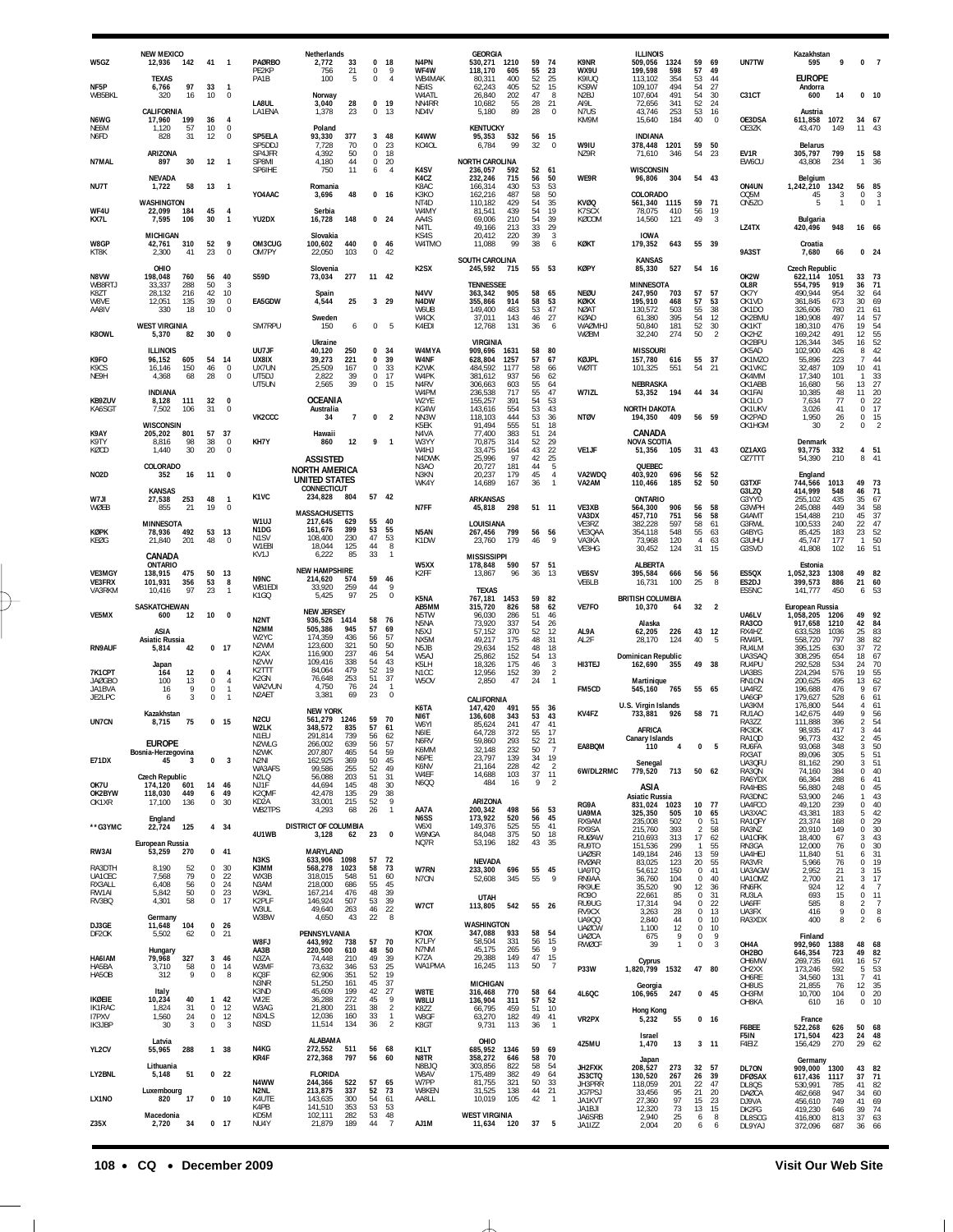| W5GZ                              | <b>NEW MEXICO</b><br>12,936<br>142                        | 41                                         | - 1                                            | <b>PAØRBO</b>                                                | Netherlands<br>2,772                                     | 33                       | $\Omega$<br>18                                               | N <sub>4</sub> PN                 | <b>GEORGIA</b><br>530,271 1210                      | 59                | 74                                                       | K9NR                                         | <b>ILLINOIS</b><br>509,056             | 1324               | 59                              | 69                     | UN7TW                                           | Kazakhstan<br>595                           | 9                        | $\mathbf{0}$                                | $\overline{7}$                                        |
|-----------------------------------|-----------------------------------------------------------|--------------------------------------------|------------------------------------------------|--------------------------------------------------------------|----------------------------------------------------------|--------------------------|--------------------------------------------------------------|-----------------------------------|-----------------------------------------------------|-------------------|----------------------------------------------------------|----------------------------------------------|----------------------------------------|--------------------|---------------------------------|------------------------|-------------------------------------------------|---------------------------------------------|--------------------------|---------------------------------------------|-------------------------------------------------------|
| NF5P                              | <b>TEXAS</b><br>6,766<br>97                               | 33                                         | $\overline{1}$                                 | PE2KP<br>PA1B                                                | 756<br>100                                               | 21<br>5                  | 0<br>9<br>$\mathbf 0$<br>$\overline{4}$                      | WF4W<br>WB4MAK<br>NE4S            | 605<br>118.170<br>400<br>80.311<br>62,243<br>405    | 55<br>52<br>52    | 23<br>25<br>15                                           | WX9U<br>K9ILIO<br>KS9W                       | 199,598<br>113.102<br>109,107          | 598<br>354<br>494  | 57<br>53<br>54                  | 49<br>44<br>27         |                                                 | <b>EUROPE</b><br>Andorra                    |                          |                                             |                                                       |
| WB5BKL                            | 320<br>16<br>CALIFORNIA                                   | 10                                         | $\mathbf 0$                                    | LA8UL<br>LA1ENA                                              | Norway<br>3,040<br>1,378                                 | 28<br>23                 | 0<br>19<br>$^{\circ}$<br>13                                  | W4ATL<br>NN4RR<br>ND4V            | 202<br>26,840<br>10,682<br>55<br>89<br>5,180        | 47<br>28<br>28    | 8<br>21<br>$\Omega$                                      | N2BJ<br>AI9L<br>N7US                         | 107,604<br>72,656<br>43,746            | 491<br>341<br>253  | 54<br>52<br>53                  | 30<br>24<br>16         | C31CT                                           | 600<br>Austria                              | 14                       | 0, 10                                       |                                                       |
| N6WG<br>NE6M<br>N6FD              | 17,960<br>199<br>57<br>1,120<br>31<br>828                 | 36<br>10<br>12                             | 4<br>$\overline{0}$<br>$\mathbf 0$             | SP5ELA                                                       | Poland<br>93,330                                         | 377                      | 3<br>48                                                      | K4WW                              | <b>KENTUCKY</b><br>95,353<br>532                    | 56                | 15                                                       | KM9M                                         | 15,640<br><b>INDIANA</b>               | 184                | 40                              | $\mathbf 0$            | OE3DSA<br>OE3ZK                                 | 611,858<br>43,470                           | 1072<br>149              | 34 67<br>11                                 | 43                                                    |
| N7MAL                             | <b>ARIZONA</b><br>897<br>30                               | 12                                         | $\overline{1}$                                 | SP5DDJ<br>SP4JFR<br>SP8MI                                    | 7,728<br>4,392<br>4,180                                  | 70<br>50<br>44           | $\mathbf 0$<br>23<br>$\mathbf{0}$<br>18<br>$\mathbf 0$<br>20 | KO4OL                             | 99<br>6,784<br><b>NORTH CAROLINA</b>                | 32                | $\Omega$                                                 | W9IU<br><b>N79R</b>                          | 378,448<br>71,610                      | 1201<br>346        | 59<br>54                        | 50<br>23               | EV1R<br>EW6CU                                   | <b>Belarus</b><br>305,797<br>43,808         | 799<br>234               | 15<br>1                                     | 58<br>36                                              |
| NU7T                              | <b>NEVADA</b><br>58<br>1,722                              | 13                                         | $\overline{1}$                                 | SP6IHE                                                       | 750<br>Romania                                           | 11                       | 6<br>$\overline{4}$                                          | K <sub>4</sub> SV<br>K4CZ<br>K8AC | 236,057<br>592<br>232,246<br>715<br>166,314<br>430  | 52<br>56<br>53    | 61<br>50<br>53                                           | WE9R                                         | <b>WISCONSIN</b><br>96,806             | 304                | 54 43                           |                        | ON4UN                                           | Belgium<br>1,242,210                        | 1342                     | 56                                          | 85                                                    |
| WF4U                              | WASHINGTON<br>22,099<br>184                               | 45                                         | $\overline{4}$                                 | YO4AAC                                                       | 3,696<br>Serbia                                          | 48                       | 0 <sub>16</sub>                                              | КЗКО<br>NT4D<br>W4MY              | 162,216<br>487<br>429<br>110,182<br>81,541<br>439   | 58<br>54<br>54    | 50<br>35<br>19                                           | <b>KVØQ</b><br>K7SCX                         | COLORADO<br>561,340 1115<br>78,075     | 410                | 59<br>56                        | 71<br>19               | OQ5M<br>ON5ZO                                   | 45<br>5                                     | 3<br>1                   | $^{\circ}$<br>$\mathbf 0$                   | 3                                                     |
| KX7L                              | 7,595<br>106<br><b>MICHIGAN</b>                           | 30                                         | -1                                             | YU2DX                                                        | 16,728<br>Slovakia                                       | 148                      | 0 <sub>24</sub>                                              | AA4S<br>N4TL<br>KS4S              | 69,006<br>210<br>49,166<br>213<br>20,412<br>220     | 54<br>33<br>39    | 39<br>29<br>3                                            | KØCOM                                        | 14,560<br><b>IOWA</b>                  | 121                | 49                              | 3                      | LZ4TX                                           | Bulgaria<br>420,496                         | 948                      | 16 66                                       |                                                       |
| W8GP<br>KT8K                      | 42,761<br>310<br>2,300<br>41                              | 52<br>23                                   | 9<br>$\mathbf 0$                               | OM3CUG<br>OM7PY                                              | 100,602<br>22,050                                        | 440<br>103               | $\mathbf{0}$<br>46<br>0<br>42                                | W4TMO                             | 11,088<br>99<br>SOUTH CAROLINA                      | 38                | 6                                                        | KØKT                                         | 179,352<br><b>KANSAS</b>               | 643                | 55 39                           |                        | 9A3ST                                           | Croatia<br>7,680                            | 66                       | 0 <sub>24</sub>                             |                                                       |
| <b>N8VW</b><br>WB8RTJ             | OHIO<br>198,048<br>760<br>288<br>33.337                   | 56<br>50                                   | 40<br>3                                        | <b>S59D</b>                                                  | Slovenia<br>73,034                                       | 277                      | 11 42                                                        | K <sub>2</sub> SX                 | 245,592<br>- 715<br><b>TENNESSEE</b>                | 55 53             |                                                          | <b>KØPY</b>                                  | 85,330<br><b>MINNESOTA</b>             | 527                | 54 16                           |                        | OK2W<br>OL8R                                    | <b>Czech Republic</b><br>622,114<br>554,795 | 1051<br>919              | 33<br>36                                    | 73<br>71                                              |
| K8ZT<br>W8VE<br>AA8IV             | 216<br>28.132<br>135<br>12.051<br>330<br>18               | 42<br>39<br>10                             | 10<br>$\mathbf 0$<br>$\mathbf 0$               | EA5GDW                                                       | Spain<br>4.544                                           | 25                       | $3$ 29                                                       | N <sub>4</sub> VV<br>N4DW<br>W6UB | 363,342<br>905<br>355,866<br>914<br>149,400<br>483  | 58<br>58<br>53    | 65<br>53<br>47                                           | <b>NEØU</b><br>KØKX<br><b>NØAT</b>           | 247,950<br>195,910<br>130,572          | 703<br>468<br>503  | 57<br>57<br>55                  | 57<br>53<br>38         | OK7Y<br>OK1VD<br>OK <sub>1</sub> DO             | 490,944<br>361,845<br>326,606               | 954<br>673<br>780        | 32<br>30<br>21                              | 64<br>69<br>61                                        |
| K80WL                             | <b>WEST VIRGINIA</b><br>5,370<br>82                       | 30                                         | $\pmb{0}$                                      | SM7RPU                                                       | Sweden<br>150                                            | 6                        | $\mathbf{0}$<br>-5                                           | W4CK<br>K4EDI                     | 37,011<br>143<br>12,768<br>131                      | 46<br>36          | 27<br>-6                                                 | KØAD<br><b>WAØMHJ</b><br>WØBM                | 61,380<br>50,840<br>32,240             | 395<br>181<br>274  | 54<br>52<br>50                  | 12<br>30<br>2          | OK2BMU<br>OK1KT<br>OK2HZ                        | 180,908<br>180,310<br>169,242               | 497<br>476<br>491        | 14<br>19<br>12                              | 57<br>54                                              |
| K9FO                              | <b>ILLINOIS</b><br>96,152<br>605                          | 54                                         | 14                                             | UU7JF<br>UX8IX                                               | Ukraine<br>40,120<br>39,273                              | 250<br>221               | 0<br>34<br>39<br>0                                           | W4MYA<br><b>W4NF</b>              | <b>VIRGINIA</b><br>909,696 1631<br>628,804<br>1257  | 58<br>57          | 80<br>67                                                 | KØJPL                                        | <b>MISSOURI</b><br>157,780             | 616                | 55                              | 37                     | OK2BPU<br>OK5AD<br>OK1MZO                       | 126,344<br>102,900<br>55,896                | 345<br>426<br>223        | 16<br>8<br>7                                | $\begin{array}{c} 55 \\ 52 \end{array}$<br>42<br>44   |
| K <sub>9</sub> CS<br>NE9H         | 16,146<br>150<br>68<br>4,368                              | 46<br>28                                   | $\mathbf 0$<br>$\mathbf 0$                     | UX7UN<br>UT5DJ<br>UT5UN                                      | 25,509<br>2,822<br>2,565                                 | 167<br>39<br>39          | $\mathbf 0$<br>33<br>$\mathbf 0$<br>17<br>$\bf 0$<br>15      | K2WK<br>W4PK<br>N4RV              | 484,592<br>1177<br>381,612<br>937<br>306,663<br>603 | 58<br>56<br>55    | 66<br>62<br>64                                           | WØTT                                         | 101,325<br>NEBRASKA                    | 551                | 54                              | 21                     | OK1VKC<br>OK4MM<br>OK1ABB                       | 32,487<br>17,340<br>16,680                  | 109<br>101<br>56         | 10<br>$\mathbf{1}$<br>13                    | 41<br>33<br>27                                        |
| KB9ZUV<br>KA6SGT                  | <b>INDIANA</b><br>8,128<br>111<br>7,502<br>106            | 32<br>31                                   | $\mathbf{0}$<br>$\mathbf 0$                    |                                                              | <b>OCEANIA</b><br>Australia                              |                          |                                                              | W4PM<br>W2YE<br>KG4W              | 236,538<br>717<br>155,257<br>391<br>143,616<br>554  | 55<br>54<br>53    | 47<br>53<br>43                                           | W7IZL                                        | 53,352<br><b>NORTH DAKOTA</b>          | 194                | 44 34                           |                        | OK1FAI<br>OK1LO<br>OK1UKV                       | 10,385<br>7,634<br>3,026                    | 48<br>77<br>41           | 11<br>$\mathbf 0$<br>0                      | 20<br>22<br>17                                        |
| K9AY                              | <b>WISCONSIN</b><br>801<br>205,202                        | 57                                         | 37                                             | VK2CCC                                                       | 34<br>Hawaii                                             | $\overline{7}$           | $\mathbf 0$<br>$\overline{2}$                                | NN3W<br>K5EK<br>N <sub>4</sub> VA | 118,103<br>444<br>91,494<br>555<br>77.400<br>383    | 53<br>51<br>51    | 36<br>18<br>24                                           | <b>NTØV</b>                                  | 194,350<br>CANADA                      | 409                | 56 59                           |                        | OK2PAD<br>OK1HGM                                | 1,950<br>30                                 | 26<br>$\overline{2}$     | $\mathbb O$<br>0                            | 15                                                    |
| K9TY<br>KØCD                      | 98<br>8,816<br>30<br>1,440                                | 38<br>20                                   | $\mathbf 0$<br>$\mathbf 0$                     | KH7Y                                                         | 860                                                      | 12                       | 9<br>-1                                                      | W3YY<br>W4HJ<br>N4DWK             | 70,875<br>314<br>33,475<br>164<br>25,996<br>97      | 52<br>43<br>42    | 29<br>22<br>25                                           | VE1JF                                        | <b>NOVA SCOTIA</b><br>51,356           | 105                | 31 43                           |                        | OZ1AXG<br>OZ7TTT                                | Denmark<br>93,775<br>54,390                 | 332<br>210               | $\overline{4}$<br>8                         | 51<br>41                                              |
| <b>NO2D</b>                       | COLORADO<br>352<br>16                                     | 11                                         | 0                                              |                                                              | <b>ASSISTED</b><br><b>NORTH AMERICA</b><br>UNITED STATES |                          |                                                              | N3AO<br>N3KN<br>WK4Y              | 20,727<br>181<br>20,237<br>179<br>167<br>14,689     | 44<br>45<br>36    | 5<br>$\overline{4}$<br>$\overline{1}$                    | VA2WDQ<br>VA2AM                              | QUEBEC<br>403,920<br>110,466           | 696<br>185         | 56<br>52                        | 52<br>50               | G3TXF                                           | England<br>744,566                          | 1013                     | 49                                          | 73                                                    |
| W7JI<br>WØEB                      | <b>KANSAS</b><br>27,538<br>253<br>855<br>21               | 48<br>19                                   | $\overline{1}$<br>0                            | K <sub>1</sub> V <sub>C</sub>                                | CONNECTICUT<br>234,828                                   | 804                      | 57 42                                                        | N7FF                              | <b>ARKANSAS</b><br>45,818<br>298                    | 51 11             |                                                          | VE3XB                                        | <b>ONTARIO</b><br>564,300              | 906                | 56                              | 58                     | G3LZQ<br>G3YYD<br>G3WPH                         | 414,999<br>255,102<br>245,088               | 548<br>435<br>449        | 46<br>35<br>34                              | $\begin{array}{c} 71 \\ 67 \end{array}$<br>58         |
| KØPK                              | <b>MINNESOTA</b><br>78,936<br>492                         | 53                                         | 13                                             | W1UJ<br>N1DG                                                 | <b>MASSACHUSETTS</b><br>217,645<br>161,676               | 629<br>399               | 55<br>40<br>53<br>55                                         | N5AN                              | LOUISIANA<br>267,456<br>799                         | 56                | 56                                                       | VA3DX<br>VE3RZ<br>VE3QAA                     | 457,710<br>382,228<br>354,118          | 751<br>597<br>548  | 56<br>58<br>55                  | 58<br>61<br>63         | G4AMT<br>G3RWL<br>G4BYG                         | 154,488<br>100,533<br>85,425                | 210<br>240<br>183        | 45<br>22<br>23                              | 37<br>$\frac{47}{52}$                                 |
| KEØG                              | 21,840<br>201<br>CANADA                                   | 48                                         | $\Omega$                                       | N <sub>1</sub> SV<br>W1EBI<br>KV1J                           | 108,400<br>18,044<br>6,222                               | 230<br>125<br>85         | 47<br>53<br>44<br>8<br>33<br>$\overline{1}$                  | K1DW                              | 23,760<br>179<br><b>MISSISSIPPI</b>                 | 46                | 9                                                        | VA3KA<br>VE3HG                               | 73,968<br>30,452                       | 120<br>124         | $\overline{4}$<br>31            | 63<br>15               | G3UHU<br>G3SVD                                  | 45.747<br>41,808                            | 177<br>102               | $\mathbf{1}$<br>16                          | 50<br>51                                              |
| VE3MGY                            | ONTARIO<br>138,915<br>475                                 | 50                                         | 13                                             |                                                              | <b>NEW HAMPSHIRE</b>                                     |                          |                                                              | W5XX<br>K <sub>2</sub> FF         | 178,848<br>590<br>13,867<br>96                      | 57<br>36          | 51<br>-13                                                | VE6SV                                        | <b>ALBERTA</b><br>395,584              |                    |                                 |                        |                                                 | Estonia                                     |                          |                                             |                                                       |
|                                   |                                                           |                                            |                                                | <b>N9NC</b>                                                  |                                                          | 574                      | 59<br>46                                                     |                                   |                                                     |                   |                                                          |                                              |                                        | 666                | 56                              | 56                     | ES5QX                                           | 1,052,323                                   | 1308                     | 49 82                                       |                                                       |
| <b>VE3FRX</b><br>VA3RKM           | 101,931<br>356<br>97<br>10.416                            | 53<br>23                                   | 8<br>$\overline{1}$                            | WB1FDI<br>K <sub>1</sub> GQ                                  | 214,620<br>33,920<br>5,425                               | 259<br>97                | 44<br>9<br>25<br>$\mathbf 0$                                 | K5NA                              | <b>TEXAS</b><br>767,181<br>1453                     | 59                | 82                                                       | VE6LB                                        | 16,731<br><b>BRITISH COLUMBIA</b>      | 100                | 25                              | 8                      | ES2DJ<br>ES5NC                                  | 399,573<br>141.777                          | 886<br>450               | 21<br>6                                     | 60<br>53                                              |
| VE5MX                             | SASKATCHEWAN<br>600<br>12                                 | 10                                         | 0                                              | N <sub>2</sub> N <sub>T</sub>                                | <b>NEW JERSEY</b><br>936,526                             | 1414                     | 58<br>76                                                     | AB5MM<br>N5TW<br>N5NA             | 315.720<br>826<br>96,030<br>286<br>73,920<br>337    | 58<br>51<br>54    | 62<br>46<br>26                                           | VE7FO                                        | 10,370<br>Alaska                       | 64                 | 32                              | $\overline{2}$         | UA6LV<br>RA3CO                                  | European Russia<br>1,058,205<br>917,658     | 1206<br>1210             | 49<br>42                                    | 92<br>84                                              |
| <b>RN9AUF</b>                     | ASIA<br><b>Asiatic Russia</b><br>42<br>5,814              | 0, 17                                      |                                                | N2MM<br>W2YC<br>N <sub>2</sub> WM                            | 505,386<br>174,359<br>123,600                            | 945<br>436<br>321        | 57<br>69<br>57<br>56<br>50<br>50                             | N5XJ<br>NX5M<br>N <sub>5</sub> JB | 370<br>57,152<br>49,217<br>175<br>29,634<br>152     | 52<br>48<br>48    | 12<br>31<br>18                                           | AL9A<br>AL <sub>2</sub> F                    | 62,205<br>28,170                       | 226<br>124         | 43<br>40                        | 12<br>-5               | RX4HZ<br>RW4PL<br>RU4LM                         | 633,528<br>558,720<br>395,125               | 1036<br>797<br>630       | 25<br>38<br>37                              | 83<br>82<br>72                                        |
| 7K1CPT                            | Japan<br>12<br>164                                        | 0                                          | $\overline{4}$                                 | K <sub>2</sub> AX<br>N <sub>2</sub> VW<br>K <sub>2</sub> TTT | 116,900<br>109,416<br>84,064                             | 237<br>338<br>479        | 54<br>46<br>54<br>43<br>52<br>19                             | W5AJ<br>K5LH<br>N <sub>1</sub> CC | 25,862<br>152<br>18,326<br>175<br>12,956<br>152     | 54<br>46<br>39    | 13<br>$\frac{3}{2}$                                      | HI3TEJ                                       | Dominican Republic<br>162,690          | 355                | 49 38                           |                        | UA3SAQ<br>RU4PU<br>UA3BS                        | 308,295<br>292,528<br>224,294               | 654<br>534<br>576        | 18<br>24<br>19                              | 67<br>$\frac{70}{55}$                                 |
| <b>JAØGBO</b><br>JA1BVA<br>JE2LPC | 100<br>13<br>9<br>16<br>3<br>6                            | $\mathbf{0}$<br>0<br>$\Omega$              | $\overline{4}$<br>$\mathbf{1}$<br>$\mathbf{1}$ | K <sub>2</sub> GN<br>WA2VUN<br>N <sub>2</sub> AET            | 76,648<br>4,750<br>3,381                                 | 253<br>76<br>69          | 51<br>37<br>24<br>$\overline{1}$<br>23<br>$\mathbf{0}$       | W5OV                              | 2,850<br>47<br>CALIFORNIA                           | 24                | $\overline{1}$                                           | FM5CD                                        | Martinique<br>545,160                  | 765                | 55 65                           |                        | RN <sub>1</sub> ON<br>UA4RZ<br>UA6GP            | 200,625<br>196,688<br>179,627               | 495<br>476<br>528        | 13<br>9<br>6                                | 62<br>67<br>61                                        |
| UN7CN                             | Kazakhstan<br>8,715<br>75                                 | 0 <sub>15</sub>                            |                                                | N <sub>2</sub> CU                                            | <b>NEW YORK</b><br>561,279                               | 1246                     | 59<br>70                                                     | K6TA<br>NI6T<br>W6YI              | 147,420<br>491<br>136,608<br>343<br>85,624<br>241   | 55<br>53<br>47    | 36<br>43<br>41                                           | KV4FZ                                        | U.S. Virgin Islands<br>733,881         | 926                | 58 71                           |                        | UA3KM<br>RU1AO<br>RA3ZZ                         | 176,800<br>142,675<br>111,888               | 544<br>449<br>396        | 4<br>$\mathsf Q$<br>2                       | 61<br>56<br>54                                        |
|                                   | EUROPE                                                    |                                            |                                                | W2LK<br>N1EU<br>N2WLG                                        | 348,572<br>291,814<br>266,002                            | 835<br>739<br>639        | 57<br>61<br>56<br>62<br>56<br>-57                            | N6IE<br><b>N6RV</b><br>K6MM       | 64,728<br>372<br>59.860<br>293<br>32,148<br>232     | 55<br>52<br>50    | -17<br>$\begin{array}{c} 21 \\ 7 \end{array}$            | EA8BQM                                       | <b>AFRICA</b><br>Canary Islands<br>110 | 4                  | 0                               | 5                      | RK3DK<br>RA1QD<br>RU6FA                         | 98,935<br>96,773<br>93,068                  | 417<br>432<br>348        | 3<br>$\mathfrak{p}$<br>$\sqrt{3}$           | 44<br>45<br>50                                        |
| <b>E71DX</b>                      | Bosnia-Herzegovina<br>45<br>3                             | 0                                          | 3                                              | N2WK<br>N2NI<br>WA3AFS                                       | 207,807<br>162,925<br>99,586                             | 465<br>369<br>255        | 54<br>59<br>45<br>50<br>52<br>49                             | N6PE<br>K6NV<br>W4EF              | 23,797<br>139<br>228<br>21,164                      | 34<br>42<br>37    | 19<br>$\overline{2}$<br>11                               | 6W/DL2RMC                                    | Senegal<br>779,520 713                 |                    | 50 62                           |                        | RX3AT<br>UA3QFU<br>RA3QN                        | 89,096<br>81,162<br>74,160                  | 305<br>290<br>384        | 5<br>3<br>0                                 | 51<br>51                                              |
| OK7U<br>OK2BYW                    | <b>Czech Republic</b><br>174,120<br>601<br>118,030<br>449 | 14<br>6                                    | 46<br>49                                       | N2LQ<br>NJ1F<br>K2QMF                                        | 56,088<br>44,694<br>42,478                               | 203<br>145<br>135        | 31<br>51<br>48<br>30<br>29<br>38                             | <b>N6QQ</b>                       | 14,688<br>103<br>484<br>16                          | 9                 | $\overline{2}$                                           |                                              | ASIA<br><b>Asiatic Russia</b>          |                    |                                 |                        | RA6YDX<br>RA4HBS<br>RA3DNC                      | 66,364<br>56,880<br>53,900                  | 288<br>248<br>246        | 6<br>0<br>1                                 | $^{40}_{41}$<br>45<br>43                              |
| OK1XR                             | 17.100<br>136<br>England                                  | $\mathbf 0$                                | 30                                             | KD <sub>2</sub> A<br>WB2TPS                                  | 33,001<br>4,293                                          | 215<br>68                | 52<br>9<br>26<br>$\overline{1}$                              | AA7A<br>N6SS                      | ARIZONA<br>200,342<br>498<br>173,922<br>520         | 56<br>56          | 53<br>45                                                 | RG9A<br>UA9MA<br>RX9AM                       | 831,024<br>325,350<br>235,008          | 1023<br>505<br>502 | 10 77<br>10<br>$\Omega$         | 65<br>51               | UA4FCO<br>UA3XAC<br>RA1QFY                      | 49,120<br>43,381<br>23,374                  | 239<br>183<br>168        | $\Omega$<br>5<br>$\mathbf 0$                | $40$<br>$42$<br>$29$                                  |
| **G3YMC                           | 22,724<br>125<br>European Russia                          | 4 34                                       |                                                | 4U1WB                                                        | DISTRICT OF COLUMBIA<br>3,128                            | 62                       | 23<br>$\mathbf 0$                                            | W6XI<br>W9NGA<br>NQ7R             | 525<br>149,376<br>84,048<br>375<br>53,196<br>182    | 55<br>50<br>43    | 41<br>18<br>- 35                                         | RX9SA<br><b>RUØAW</b><br>RU9TO               | 215,760<br>210,693<br>151,536          | 393<br>313<br>299  | 2<br>17<br>$\mathbf{1}$         | 58<br>62<br>55         | RA3NZ<br>UA10RK<br>RN3GA                        | 20,910<br>18,400<br>12,000                  | 149<br>67<br>76          | 0<br>3<br>0                                 | 30<br>43                                              |
| RW3AI<br>RA3DTH                   | 53,259<br>270<br>8,190<br>52                              | 041<br>0                                   | 30                                             | N3KS<br>K3MM                                                 | <b>MARYLAND</b><br>633,906<br>568,278                    | 1098<br>1023             | 57<br>72<br>58<br>73                                         | W7RN                              | <b>NEVADA</b><br>233,300<br>696                     | 55                | 45                                                       | <b>UAØSR</b><br><b>RVØAR</b><br>UA9TQ        | 149,184<br>83,025<br>54,612            | 246<br>123<br>150  | 13<br>20<br>$^{\circ}$          | 59<br>55<br>41         | UA4HEJ<br>RA3VR<br>UA3AGW                       | 11,840<br>5,966<br>2,952                    | 51<br>76<br>21           | 6<br>0<br>3                                 | $\frac{30}{31}$<br>19<br>15                           |
| UA1CEC<br>RX3ALL<br>RW1AI         | 79<br>7,568<br>6,408<br>56<br>5,842<br>50                 | 0<br>$\mathbf 0$<br>$\mathbb O$            | 22<br>24<br>23                                 | WX3B<br>N3AM<br>W3KL                                         | 318,015<br>218,000<br>167,214                            | 548<br>686<br>476        | 51<br>60<br>55<br>45<br>48<br>39                             | N7ON                              | 52,608<br>345                                       | 55                | 9                                                        | RN9AA<br>RK9UE<br>R090                       | 36,760<br>35,520<br>22,661             | 104<br>90<br>85    | 0<br>12<br>$\Omega$             | 40<br>36<br>31         | UA10MZ<br>RN6FK<br>RU3LA                        | 2,700<br>924<br>693                         | 21<br>12<br>15           | 3<br>4<br>$\,0\,$                           | 17<br>$\overline{7}$<br>11                            |
| RV3BQ                             | 4,301<br>58<br>Germany                                    | $\mathbf 0$                                | 17                                             | K2PLF<br>W3UL<br>W3BW                                        | 146,924<br>49,640<br>4,650                               | 507<br>263<br>43         | 39<br>53<br>46<br>22<br>$8\phantom{1}$<br>22                 | W7CT                              | UTAH<br>113,805<br>542                              | 55 26             |                                                          | RU9UG<br>RV9CX<br>UA900                      | 17,314<br>3,263<br>2,840               | 94<br>28<br>44     | 0<br>$\mathbf 0$<br>0           | 22<br>13<br>10         | UA6FF<br>UA3FX<br>RA3XDX                        | 585<br>416<br>400                           | 8<br>9<br>8              | $\overline{a}$<br>$\,0\,$<br>$\overline{2}$ | $\overline{7}$<br>$^{\rm 8}$<br>6                     |
| DJ3GE<br>DF <sub>2</sub> OK       | 11,648<br>104<br>5,502<br>62                              | 0 <sub>26</sub><br>$0$ 21                  |                                                | W8FJ                                                         | PENNSYLVANIA<br>443,992                                  | 738                      | 57<br>70                                                     | <b>K70X</b><br>K7LFY              | WASHINGTON<br>347,088<br>933<br>58,504<br>331       | 58<br>56          | 54<br>15                                                 | <b>UAØCW</b><br><b>UAØCA</b><br><b>RWØCF</b> | 1,100<br>675<br>39                     | 12<br>9<br>1       | $\mathbf 0$<br>0<br>$\mathbf 0$ | 10<br>9<br>3           | OH4A                                            | Finland<br>992,960                          | 1388                     | 48                                          | 68                                                    |
| HA6IAM<br>HA5BA                   | Hungary<br>327<br>79,968<br>3,710<br>58                   | $\overline{3}$<br>$\mathbb O$              | 46<br>14                                       | AA3B<br>N3ZA<br>W3MF                                         | 220,500<br>74,448<br>73,632                              | 610<br>210<br>346        | 48<br>50<br>$\frac{39}{25}$<br>49<br>53                      | N7NM<br>K7ZA<br>WA1PMA            | 45,175<br>265<br>149<br>29,388<br>113<br>16,245     | 56<br>47<br>50    | $\overline{9}$<br>$\begin{array}{c} 15 \\ 7 \end{array}$ | P33W                                         | Cyprus<br>1,820,799                    | 1532               | 47 80                           |                        | OH2BO<br>OH6MW<br>OH <sub>2</sub> XX            | 646,354<br>269,735<br>173,246               | 723<br>691<br>592        | 49<br>16<br>5                               |                                                       |
| HA5OB                             | 9<br>312<br>Italy                                         | $\mathbb O$                                | 8                                              | KQ3F<br>N3NR<br>K3ND                                         | 62,906<br>51,250<br>45,609                               | 351<br>161<br>199        | 19<br>52<br>45<br>37<br>27<br>42                             | W8TE                              | <b>MICHIGAN</b><br>316,468<br>770                   | 58                | 64                                                       | 4L6QC                                        | Georgia<br>106,965                     | 247                | $0$ 45                          |                        | OH6RE<br>OH8US<br>OH3FM                         | 34,560<br>21,855<br>10,700                  | 131<br>76                | 7<br>12<br>$\mathbf 0$                      | 82<br>57<br>53<br>41                                  |
| IKØEIE<br>IK1RAC<br>I7PXV         | 10,234<br>40<br>31<br>1,824<br>24<br>1,560                | $\mathbf{1}$<br>$\mathbf 0$<br>$\mathbf 0$ | 42<br>12<br>12                                 | WI2E<br>W3AG<br>N3XLS                                        | 36,288<br>21,800<br>12,036                               | 272<br>231<br>160        | 45<br>9<br>$\overline{2}$<br>38<br>$\overline{1}$<br>33      | W8LU<br>K8ZZ<br>W8GF              | 136,904<br>311<br>66,795<br>459<br>63,270<br>182    | 57<br>51<br>49    | 52<br>10<br>41                                           | VR2PX                                        | <b>Hong Kong</b>                       | 55                 |                                 | 0 <sub>16</sub>        | OH8KA                                           | 610                                         | 104<br>16                | 0                                           | $\frac{35}{20}$<br>10                                 |
| IK3JBP                            | 30<br>3<br>Latvia                                         | $\mathbf 0$                                | $\overline{3}$                                 | N3SD                                                         | 11,514<br><b>ALABAMA</b>                                 | 134                      | $\overline{2}$<br>36                                         | K8GT                              | 9,731<br>113<br>OHIO                                | 36                | $\overline{1}$                                           | 4Z5MU                                        | 5,232<br><b>Israel</b><br>1,470        | 13                 | $3 - 11$                        |                        | F6BEE<br>F5IN<br>F4EIZ                          | France<br>522,268<br>171,504<br>156,429     | 626<br>423<br>270        | 50<br>24<br>29                              | 68<br>48<br>62                                        |
| YL2CV                             | 288<br>55,965<br>Lithuania                                | 1 38                                       |                                                | N4KG<br>KR4F                                                 | 272,552<br>272,368                                       | 511<br>797               | 56 68<br>56<br>60                                            | K1LT<br>N8TR<br>N8BJQ             | 685,952<br>1346<br>358,272<br>646<br>822<br>303,856 | 59 69<br>58<br>58 | 70<br>54                                                 | JH2FXK                                       | Japan                                  | 273                | 32                              | 57                     | DL70N                                           | Germany<br>909,000 1300                     |                          |                                             |                                                       |
| LY2BNL                            | 5,148<br>51<br>Luxembourg                                 | 0 <sub>22</sub>                            |                                                | N4WW<br>N2NL                                                 | <b>FLORIDA</b><br>244,366<br>213,875                     | 522<br>337               | 57<br>65<br>52<br>73                                         | W8AV<br>W7PP<br>W8KEN             | 175,489<br>382<br>321<br>81,755<br>31,525<br>138    | 49<br>50<br>44    | 64<br>33<br>21                                           | JS3CTQ<br>JH3PRR                             | 208,527<br>130,520<br>118,059          | 267<br>201<br>95   | 26<br>22<br>21                  | 39<br>47<br>20         | <b>DFØSAX</b><br>DL8QS                          | 617,436<br>530,991                          | 1117<br>785              | 43 82<br>37<br>41                           |                                                       |
| LX1NO<br>Z35X                     | 17<br>820<br>Macedonia<br>34                              | $0$ 10<br>$0$ 17                           |                                                | K4UTE<br>K4PB<br>KD5M<br>NU4Y                                | 143,635<br>141,510<br>102,111<br>21,879                  | 300<br>353<br>282<br>189 | 54<br>61<br>53<br>53<br>53<br>48<br>44<br>$\overline{7}$     | AA8LL<br>AJ1M                     | 105<br>10,019<br><b>WEST VIRGINIA</b>               | 42<br>37          | $\overline{1}$                                           | <b>JG7PSJ</b><br>JA1KVT<br>JA1BJI<br>JA6SRB  | 33,456<br>27,360<br>12,320<br>2,940    | 97<br>73<br>25     | 15<br>13<br>6                   | 23<br>15<br>$^{\rm 8}$ | <b>DAØCA</b><br>DJ9VA<br>DK2FG<br><b>DL8SCG</b> | 462,668<br>456,610<br>419,230<br>416,800    | 947<br>749<br>646<br>813 | 34<br>41<br>39<br>37                        | $\frac{71}{82}$<br>$\frac{60}{69}$<br>$\frac{74}{63}$ |

**108 • CQ • December 2009 Visit Our Web Site**

 $\mapsto$ 

 $\mathbb{R}^2$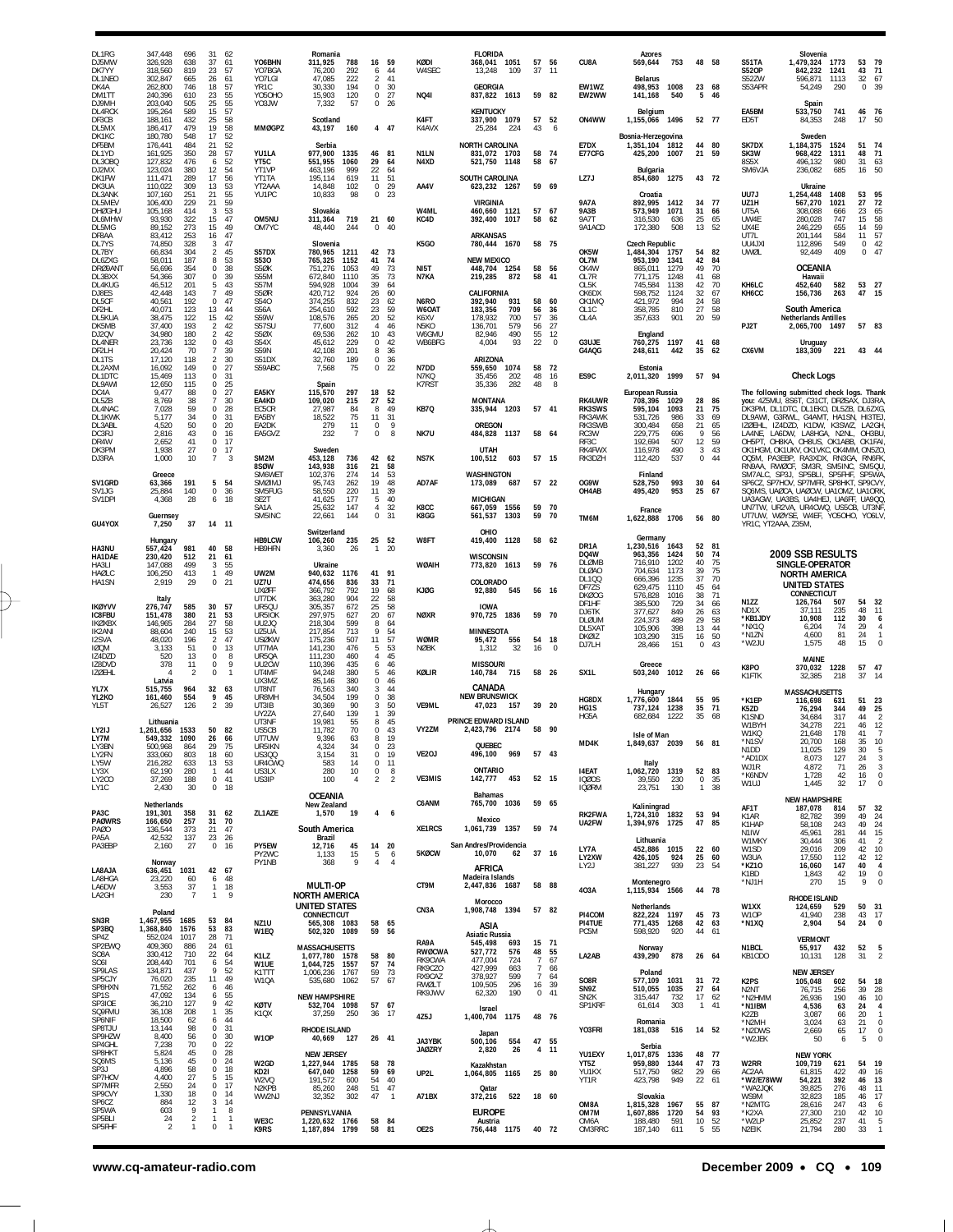| DL1RG<br>DJ5MW<br>DK7YY<br>DL1NEO<br>DK4A      | 347,448<br>696<br>326,928<br>638<br>318,560<br>819<br>302,847<br>665<br>262,800<br>746 | 31<br>37<br>23<br>26<br>18                        | 62<br>61<br>57<br>61<br>57 | YO6BHN<br>YO7BGA<br>YO7LGI<br>YR <sub>1</sub> C     | Romania<br>788<br>311,925<br>76,200<br>292<br>222<br>47,085<br>30.330<br>194                | 16<br>6<br>2                             | 59<br>44<br>41<br>30<br>$\Omega$                 | KØDI<br>W4SEC                   | <b>FLORIDA</b><br>368,041 1051<br>13,248<br>109<br><b>GEORGIA</b>                  | 57<br>37             | -56<br>11            | CU8A<br>EW1WZ                             | Azores<br>753<br>569,644<br><b>Belarus</b><br>1008<br>498,953                                 | 48<br>23                   | - 58<br>68                 | S51TA<br><b>S520P</b><br>S52ZW<br>S53APR       | Slovenia<br>1,479,324 1773<br>842,232<br>596,871<br>54,249                                                        | 1241<br>1113<br>290        | 53<br>43<br>32<br>0.39 | 79<br>71<br>67                         |
|------------------------------------------------|----------------------------------------------------------------------------------------|---------------------------------------------------|----------------------------|-----------------------------------------------------|---------------------------------------------------------------------------------------------|------------------------------------------|--------------------------------------------------|---------------------------------|------------------------------------------------------------------------------------|----------------------|----------------------|-------------------------------------------|-----------------------------------------------------------------------------------------------|----------------------------|----------------------------|------------------------------------------------|-------------------------------------------------------------------------------------------------------------------|----------------------------|------------------------|----------------------------------------|
| DM1TT<br>DJ9MH<br>DL4RCK<br>DF3CB              | 240,396<br>610<br>203,040<br>505<br>195,264<br>589<br>188,161<br>432                   | 23<br>25<br>15<br>25                              | 55<br>55<br>57<br>58       | <b>YO5OHO</b><br>Y03JW                              | 15,903<br>120<br>57<br>7,332<br>Scotland                                                    |                                          | 27<br>0<br>26<br>$\Omega$                        | <b>NQ41</b><br>K4FT             | 837,822 1613<br><b>KENTUCKY</b><br>337,900 1079                                    | 57                   | 59 82<br>52          | EW2WW<br>ON4WW                            | 141,168<br>540<br>Belgium<br>1,155,066 1496                                                   | 5<br>52 77                 | 46                         | EA5BM<br>ED5T                                  | Spain<br>533,750<br>84,353                                                                                        | 741<br>248                 | 46 76<br>17 50         |                                        |
| DL5MX<br>DK1KC<br>DF5BM<br>DL1YD<br>DL3OBQ     | 186,417<br>479<br>180,780<br>548<br>176,441<br>484<br>350<br>161,925<br>127,832<br>476 | 19<br>17<br>21<br>28<br>6                         | 58<br>52<br>52<br>57<br>52 | <b>MMØGPZ</b><br>YU1LA<br>YT5C                      | 43,197<br>160<br>Serbia<br>977,900<br>1335<br>551,955<br>1060                               | 46<br>29                                 | 4 47<br>81<br>64                                 | K4AVX<br>N1LN<br>N4XD           | 25,284<br>224<br><b>NORTH CAROLINA</b><br>831,072 1703<br>521,750<br>1148          | 43<br>58<br>58       | 6<br>74<br>67        | E7DX<br>E77CFG                            | Bosnia-Herzegovina<br>1,351,104 1812<br>425,200 1007                                          | 44<br>21                   | 80<br>59                   | SK7DX<br>SK3W<br>8S5X                          | Sweden<br>1,184,375<br>968,422<br>496,132                                                                         | 1524<br>1311<br>980        | 51 74<br>48<br>31      | 71<br>63                               |
| DJ2MX<br>DK1FW<br>DK3UA                        | 380<br>123,024<br>111,471<br>289<br>309<br>110,022                                     | 12<br>17<br>13                                    | 54<br>56<br>53             | YT1VP<br>YT1TA<br>YT2AAA                            | 463,196<br>999<br>195,114<br>619<br>14,848<br>102                                           | 22<br>11                                 | 64<br>51<br>$^{29}$<br>$^{\circ}$                | AA4V                            | SOUTH CAROLINA<br>623,232 1267                                                     |                      | 59 69                | LZ7J                                      | Bulgaria<br>854,680 1275                                                                      | 43                         | 72                         | SM6VJA                                         | 236,082<br>Ukraine                                                                                                | 685                        | 16                     | 50                                     |
| DL3ANK<br>DL5MEV<br><b>DHØGHU</b><br>DL6MHW    | 251<br>107,160<br>229<br>106,400<br>105,168<br>414<br>93,930<br>322                    | 21<br>21<br>3<br>15                               | 55<br>59<br>53<br>47       | YU1PC<br>OM5NU                                      | 10,833<br>Slovakia<br>311,364<br>719                                                        | 98<br>21                                 | 23<br>0<br>60                                    | W4ML<br>KC4D                    | <b>VIRGINIA</b><br>460.660 1121<br>392,400<br>1017                                 | 58                   | 57 67<br>62          | <b>9A7A</b><br><b>9A3B</b><br><b>9A7T</b> | Croatia<br>892,995<br>1412<br>573,949<br>1071<br>316,530<br>636                               | 34<br>31<br>25             | 77<br>66<br>65             | UU7J<br>UZ1H<br>UT5A<br>UW4E                   | 1,254,448<br>567,270<br>308,088<br>280,028                                                                        | 1408<br>1021<br>666<br>747 | 53<br>27<br>23<br>15   | 95<br>72<br>65<br>58                   |
| DL5MG<br>DF8AA<br>DL7YS                        | 89,152<br>273<br>83,412<br>253<br>328<br>74,850                                        | 15<br>16<br>3                                     | 49<br>47<br>47             | OM7YC                                               | 48,440<br>244<br>Slovenia                                                                   |                                          | 40<br>$\Omega$                                   | K5GO                            | <b>ARKANSAS</b><br>780,444 1670                                                    |                      | 58 75                | 9A1ACD                                    | 172,380<br>508<br>Czech Republic                                                              | 13                         | 52                         | UX4E<br>UT7L<br>UU4JXI                         | 246,229<br>201,144<br>112,896                                                                                     | 655<br>584<br>549          | 14<br>11<br>0          | 59<br>57<br>42                         |
| DL7BY<br>DL6ZXG<br>DRØ9ANT<br>DL3BXX<br>DL4KUG | 66,834<br>304<br>187<br>58,011<br>56,696<br>354<br>54,366<br>307<br>46,512<br>201      | $\overline{2}$<br>8<br>0<br>$\,0\,$<br>5          | 45<br>53<br>38<br>39<br>43 | S57DX<br>S530<br>S5ØK<br><b>S55M</b><br><b>S57M</b> | 780,965<br>1211<br>765,325<br>1152<br>751,276<br>1053<br>672,840<br>1110<br>594,928<br>1004 | 42<br>41<br>49<br>35<br>39               | 73<br>74<br>73<br>73<br>64                       | NI5T<br>N7KA                    | <b>NEW MEXICO</b><br>448,704 1254<br>219,285<br>872                                | 58<br>58             | 56<br>-41            | OK5W<br>OL7M<br>OK4W<br>OL7R<br>OL5K      | 1,484,304<br>1757<br>953,190<br>1341<br>865,011<br>1279<br>771,175<br>1248<br>745,584<br>1138 | 54<br>42<br>49<br>41<br>42 | 82<br>84<br>70<br>68<br>70 | UWØL<br>KH6LC                                  | 92,449<br><b>OCEANIA</b><br>Hawaii<br>452,640                                                                     | 409<br>582                 | 0<br>53 27             | 47                                     |
| DJ8ES<br>DL5CF<br>DF2HL<br>DL5KUA<br>DK5MB     | 143<br>42,448<br>40,561<br>192<br>40,071<br>123<br>38,475<br>122<br>37,400<br>193      | $\overline{7}$<br>0<br>13<br>15<br>$\overline{2}$ | 49<br>47<br>44<br>42<br>42 | S5ØR<br>S540<br>S56A<br><b>S59W</b><br>S57SU        | 420,712<br>924<br>374,255<br>832<br>254,610<br>592<br>108,576<br>265<br>77,600<br>312       | 26<br>23<br>23<br>20<br>$\overline{4}$   | 60<br>62<br>59<br>52<br>46                       | N6RO<br>W6OAT<br>K6XV<br>N5KO   | CALIFORNIA<br>392,940<br>931<br>709<br>183,356<br>178,932<br>700<br>136,701<br>579 | 58<br>56<br>57<br>56 | 60<br>36<br>36<br>27 | OK6DX<br>OK1MQ<br>OL1C<br>OL4A            | 598,752<br>1124<br>421,972<br>994<br>810<br>358,785<br>357,633<br>901                         | 32<br>24<br>27<br>20       | 67<br>58<br>58<br>59       | KH6CC<br>PJ2T                                  | 156,736<br>South America<br><b>Netherlands Antilles</b><br>2,065,700 1497                                         | 263                        | 47 15<br>57 83         |                                        |
| DJ2QV<br>DL4NER<br>DF2LH                       | 34,980<br>180<br>23,736<br>132<br>70<br>20,424                                         | $\overline{2}$<br>0<br>$\overline{7}$             | 42<br>43<br>39             | S5ØX<br>S54X<br><b>S59N</b>                         | 69.536<br>262<br>45,612<br>229<br>42,108<br>201                                             | 10<br>8                                  | 43<br>0<br>42<br>36                              | W6GMU<br>WB6BFG                 | 82,946<br>490<br>4,004<br>93                                                       | 55<br>22             | 12<br>$\mathbf 0$    | G3UJE<br>G4AQG                            | England<br>760,275 1197<br>442<br>248,611                                                     | 41<br>35                   | 68<br>-62                  | CX6VM                                          | Uruguay<br>183,309                                                                                                | 221                        | 43 44                  |                                        |
| DL1TS<br>DL2AXM<br>DL1DTC                      | 17,120<br>118<br>16,092<br>149<br>15,469<br>113                                        | $\overline{2}$<br>$\mathbf 0$<br>0                | 30<br>27<br>31             | S51DX<br>S59ABC                                     | 32,760<br>189<br>7,568                                                                      | 75                                       | 0<br>36<br>$\mathbf 0$<br>22                     | N7DD<br>N7KQ                    | ARIZONA<br>1074<br>559,650<br>35,456<br>202                                        | 58<br>48             | 72<br>16             | ES9C                                      | Estonia<br>2,011,320<br>1999                                                                  | 57 94                      |                            |                                                | <b>Check Logs</b>                                                                                                 |                            |                        |                                        |
| DL9AWI<br>DC4A<br>DL5ZB                        | 12,650<br>115<br>9,477<br>88<br>38<br>8,769                                            | $\Omega$<br>0<br>7                                | 25<br>27<br>30             | EA5KY<br>EA4KD                                      | Spain<br>115,570<br>297<br>109,020<br>215                                                   | 18<br>27                                 | 52<br>52                                         | <b>K7RST</b>                    | 282<br>35,336<br><b>MONTANA</b>                                                    | 48                   | 8                    | <b>RK4UWR</b>                             | European Russia<br>708,396<br>1029                                                            | 28                         | 86                         |                                                | The following submitted check logs. Thank<br>you: 4Z5MU, 8S6T, C31CT, DFØSAX, DJ3RA                               |                            |                        |                                        |
| DL4NAC<br>DL1KWK<br>DL3ABL                     | 59<br>7,028<br>34<br>5,177<br>4,520<br>50                                              | $\,0\,$<br>0<br>0                                 | 28<br>31<br>20             | EC5CR<br>EA5BY<br>EA2DK                             | 27,987<br>18,522<br>279                                                                     | 8<br>84<br>75<br>11<br>11<br>$\mathbf 0$ | 49<br>31<br>9                                    | KB7Q                            | 335,944 1203<br>OREGON                                                             |                      | 57 41                | RK3SWS<br>RK3AWK<br>RK3SWB                | 595,104<br>1093<br>531,726<br>986<br>300,484<br>658                                           | 21<br>33<br>21             | 75<br>69<br>65             |                                                | DK3PM, DL1DTC, DL1EKO, DL5ZB, DL6ZXG<br>DL9AWI, G3RWL, G4AMT, HA1SN, HI3TEJ<br>IZØEHL, IZ4DZD, K1DW, K3SWZ, LA2GH |                            |                        |                                        |
| DC3RJ<br>DR4W<br>DK3PM                         | 43<br>2,816<br>2,652<br>41<br>27<br>1,938                                              | 0<br>$\mathbb O$<br>0                             | 16<br>17<br>17             | EA5GVZ                                              | 232<br>Sweden                                                                               | -7                                       | 8<br>$\Omega$                                    | NK7U                            | 484,828 1137<br><b>UTAH</b>                                                        |                      | 58 64                | RC3W<br>RF3C<br>RK4FWX                    | 229,775<br>696<br>192,694<br>507<br>490<br>116,978                                            | 9<br>12<br>3               | 56<br>59<br>43             |                                                | LA4NE, LA6DW, LA8HGA, N2NL,<br>OH5PT. OH8KA. OH8US. OK1ABB.<br>OK1HGM, OK1UKV, OK1VKC, OK4MM, ON5ZO               |                            | OH3BL<br>OK1FAI        |                                        |
| DJ3RA                                          | 1,000<br>10                                                                            | $\overline{7}$                                    | 3                          | SM2M<br>8SØW<br>SM6WET                              | 453,128<br>736<br>143,938<br>316                                                            | 42<br>21<br>14                           | 62<br>58                                         | NS7K                            | 603<br>100,512<br><b>WASHINGTON</b>                                                |                      | 57 15                | RK3DZH                                    | 112,420<br>537<br>Finland                                                                     | $\mathbf 0$                | 44                         |                                                | OQ5M, PA3EBP, RA3XDX, RN3GA, RN6FK<br>RN9AA, RWØCF, SM3R, SM5INC,                                                 |                            | SM5QU<br>SP5WA         |                                        |
| SV1GRD<br>SV <sub>1</sub> J <sub>G</sub>       | Greece<br>63,366<br>191<br>140<br>25.884                                               | 5<br>$\mathbb O$                                  | 54<br>36                   | SMØIMJ<br>SM5FUG                                    | 102,376<br>274<br>95,743<br>262<br>58.550<br>220                                            | 19<br>11                                 | 53<br>48<br>39                                   | AD7AF                           | 173,089<br>687                                                                     |                      | 57 22                | OG9W<br>OH4AB                             | 528,750<br>993<br>953<br>495,420                                                              | 30<br>25                   | 64<br>67                   |                                                | SM7ALC, SP3J, SP5BLI, SP5FHF,<br>SP6CZ, SP7HOV, SP7MFR, SP8HKT,<br>SQ6MS, UAØCA, UAØCW, UA10MZ, UA10RK            |                            | SP9CVY                 |                                        |
| SV1DPI                                         | 28<br>4,368<br>Guernsey                                                                | 6                                                 | 18                         | SE <sub>2</sub> T<br>SA <sub>1</sub> A<br>SM5INC    | 41,625<br>177<br>25,632<br>147<br>22,661<br>144                                             |                                          | 5<br>40<br>32<br>$\overline{4}$<br>0<br>31       | K8CC<br>K8GG                    | <b>MICHIGAN</b><br>667.059<br>1556<br>561,537<br>1303                              | 59<br>59             | 70<br>70             | TM6M                                      | France<br>1,622,888 1706                                                                      | 56 80                      |                            |                                                | UA3AGW, UA3BS, UA4HEJ, UA6FF, UA9QC<br>UN7TW, UR2VA, UR4CWQ, US5CB, UT3NF<br>UT7UW, WØYSE, W4EF, YO5OHO, YO6LV    |                            |                        |                                        |
| GU4YOX<br>HA3NU                                | 37<br>7,250<br>Hungary<br>981                                                          | 14 11<br>40                                       | 58                         | HB9LCW<br>HB9HFN                                    | Switzerland<br>106,260<br>235<br>3,360                                                      | 25<br>26<br>$\mathbf{1}$                 | 52<br>20                                         | W8FT                            | OHIO<br>419,400 1128                                                               |                      | 58 62                | DR1A                                      | Germany<br>1,230,516<br>1643                                                                  | 52                         | 81                         | YR1C, YT2AAA, Z35M,                            |                                                                                                                   |                            |                        |                                        |
| HA1DAE<br>HA3LI                                | 557,424<br>230,420<br>512<br>147,088<br>499                                            | 21<br>3                                           | 61<br>55<br>49             |                                                     | Ukraine                                                                                     |                                          |                                                  | WØAIH                           | <b>WISCONSIN</b><br>773,820 1613                                                   |                      | 59 76                | DQ4W<br><b>DLØMB</b><br>DI ØAO            | 1424<br>963,356<br>716,910<br>1202<br>704,634<br>1173                                         | 50<br>40<br>39             | 74<br>75<br>75             |                                                | 2009 SSB RESULTS<br>SINGLE-OPERATOR                                                                               |                            |                        |                                        |
| HAØLC<br>HA1SN                                 | 413<br>106,250<br>2,919<br>29                                                          | -1<br>$\mathbf{0}$                                | 21                         | UW2M<br>UZ7U<br><b>UXØFF</b>                        | 940,632<br>1176<br>474,656<br>836<br>366,792<br>792                                         | 41<br>33<br>19                           | 91<br>71<br>68                                   | KJØG                            | COLORADO<br>92,880<br>545                                                          |                      | 56 16                | DL100<br>DF7ZS<br><b>DKØOG</b>            | 666,396<br>1235<br>629,475<br>1110<br>576,828<br>1016                                         | 37<br>45<br>38             | 70<br>64<br>71             |                                                | <b>NORTH AMERICA</b><br><b>UNITED STATES</b><br>CONNECTICUT                                                       |                            |                        |                                        |
| <b>IKØYVV</b><br>IC8FBU                        | Italy<br>276,747<br>585<br>151,478<br>380                                              | 30<br>21                                          | 57<br>53                   | UT7DK<br>UR50U<br>UR5IOK                            | 363,280<br>904<br>305,357<br>672<br>297,975<br>627                                          | 22<br>25<br>20                           | 58<br>58<br>67                                   | <b>NØXR</b>                     | <b>IOWA</b><br>970,725<br>1836                                                     |                      | 59 70                | DF1HF<br>DJ6TK                            | 385,500<br>729<br>377,627<br>849                                                              | 34<br>26                   | 66<br>63                   | N1ZZ<br>ND <sub>1</sub> X<br>*KB1JDY           | 126,764<br>37.111<br>10,908                                                                                       | 507<br>235<br>112          | 54 32<br>48<br>30      | 11<br>6                                |
| IKØXBX<br>IK2ANI<br>I2SVA                      | 146,965<br>284<br>240<br>88,604<br>48,020<br>196                                       | 27<br>15<br>$\overline{2}$                        | 58<br>53<br>47             | UU2JQ<br>UZ5UA<br><b>USØKW</b>                      | 218,304<br>599<br>217,854<br>713<br>175,236<br>507                                          | 8<br>$\mathsf{Q}$<br>11                  | 64<br>$\frac{54}{57}$                            | <b>WØMR</b>                     | <b>MINNESOTA</b><br>95,472<br>556                                                  | 54                   | 18                   | DLØUM<br>DL5XA1<br>DKØIZ                  | 489<br>224,373<br>398<br>105,906<br>103,290<br>315                                            | 29<br>13<br>16             | 58<br>44<br>50             | *NX1Q<br>*N1ZN                                 | 6,204<br>4,600                                                                                                    | 74<br>81                   | 29<br>24               | $\overline{4}$<br>$\mathbf{1}$         |
| <b>IØQM</b><br>IZ4DZD                          | 51<br>3,133<br>520<br>13                                                               | $\mathbb O$<br>0                                  | 13<br>8<br>9               | UT7MA<br>UR50A                                      | 141,230<br>476<br>111,230<br>460                                                            | 5                                        | 53<br>45<br>$\overline{4}$                       | <b>NØBK</b>                     | 1,312<br>32                                                                        | 16                   | $\overline{0}$       | DJ7LH                                     | 28,466<br>151<br>Greece                                                                       | $\Omega$                   | 43                         | *W2JU                                          | 1,575<br><b>MAINE</b>                                                                                             | 48                         | 15                     | $\mathbf 0$                            |
| IZ8DVD<br><b>IZØEHL</b>                        | 378<br>11<br>$\overline{2}$<br>Latvia                                                  | 0<br>0                                            | $\mathbf{1}$               | UU2CW<br>UT4MF<br>UX3MZ                             | 110,396<br>435<br>94,248<br>380<br>85,146<br>380                                            | $^{\circ}$                               | 46<br>6<br>46<br>5<br>46                         | KØLIR                           | <b>MISSOURI</b><br>140,784<br>715                                                  |                      | 58 26                | SX1L                                      | 503,240 1012                                                                                  | 26 66                      |                            | K8PO<br>K1FTK                                  | 370,032<br>32,385                                                                                                 | 1228<br>218                | 57 47<br>37            | -14                                    |
| YL7X<br>YL2KO<br>YL5T                          | 515,755<br>964<br>554<br>161,460<br>126<br>26,527                                      | 32<br>9<br>$\overline{2}$                         | 63<br>45<br>39             | UT8NT<br>UR8MH<br>UT3IB                             | 76,563<br>340<br>199<br>34,504<br>30,369<br>90                                              |                                          | 44<br>3<br>38<br>$\Omega$<br>50<br>3             | VE9ML                           | CANADA<br><b>NEW BRUNSWICK</b><br>47,023<br>157                                    |                      | 39 20                | HG8DX<br>HG <sub>1</sub> S                | Hungary<br>1,776,600 1844<br>737.124<br>1238                                                  | 55<br>35                   | 95<br>- 71                 | *K1EP<br>K5ZD                                  | <b>MASSACHUSETTS</b><br>116,698<br>76,294                                                                         | 631<br>344                 | 51 23<br>49            | 25                                     |
| LY2IJ                                          | Lithuania<br>1,261,656<br>1533                                                         | 50                                                | 82                         | UY2ZA<br>UT3NF<br>US5CB                             | 27,640<br>139<br>19,981<br>55<br>11,782                                                     | 8<br>70                                  | 39<br>1<br>45<br>0<br>43                         | VY2ZM                           | PRINCE EDWARD ISLAND<br>2,423,796 2174                                             | 58 90                |                      | HG5A                                      | 1222<br>682.684                                                                               | 35                         | 68                         | K1SND<br>W1BYH                                 | 34.684<br>34,278                                                                                                  | 317<br>221<br>178          | 44<br>46<br>41         | $\overline{2}$<br>12<br>$\overline{7}$ |
| LY7M<br>LY3BN<br>I Y2FN                        | 1090<br>549.332<br>500,968<br>864<br>333,060<br>803                                    | 26<br>29<br>18                                    | -66<br>- 75<br>60          | UT7UW<br>UR5IKN<br><b>US300</b>                     | 9.396<br>4.324<br>3,154                                                                     | 63<br>34<br>31                           | 19<br>8<br>$^{\circ}$<br>23<br>$\mathbf 0$<br>19 | VE2OJ                           | QUEBEC<br>496,100 969                                                              |                      | 57 43                | MD4K                                      | Isle of Man<br>1,849,637 2039 56 81                                                           |                            |                            | W1KQ<br>*N1SV<br>N <sub>1</sub> D <sub>D</sub> | 21,648<br>20.700<br>11,025                                                                                        | 168<br>129                 | 35 10<br>30            | 5                                      |
| LY5W<br>LY3X                                   | 216,282<br>633<br>62,190<br>280                                                        | 13<br>$\mathbf{1}$                                | 53<br>44<br>41             | UR4CWQ<br>US3LX<br>US3IP                            | 583<br>280                                                                                  | 14<br>10<br>4                            | 0<br>11<br>0<br>8<br>$\overline{2}$              | VE3MIS                          | ONTARIO<br>453<br>142,777                                                          |                      | 52 15                | <b>I4EAT</b><br><b>IQØOS</b>              | Italy<br>1,062,720 1319<br>39,550<br>230                                                      | 52 83<br>$\mathbf 0$       | 35                         | *AD1DX<br>WJ1R<br>*K6NDV                       | 8,073<br>4,872<br>1,728                                                                                           | 127<br>71<br>42            | 24<br>26<br>16         | 3<br>$\sqrt{3}$<br>$\,0\,$             |
| LY2CO<br>LY1C                                  | 37,269<br>188<br>30<br>2,430                                                           | $\mathbf{0}$<br>$\mathbf{0}$                      | 18                         |                                                     | 100<br><b>OCEANIA</b>                                                                       |                                          | 2                                                |                                 | Bahamas                                                                            |                      |                      | <b>IQØRM</b>                              | 23,751<br>130                                                                                 |                            | 1 38                       | W1UJ                                           | 1,445<br><b>NEW HAMPSHIRE</b>                                                                                     | 32                         | 17                     | $\bf 0$                                |
| PA3C<br><b>PAØWRS</b>                          | Netherlands<br>191,301<br>358<br>166,650<br>257                                        | 31 62<br>31                                       | 70                         | ZL1AZE                                              | New Zealand<br>19<br>1,570                                                                  |                                          | $\overline{4}$<br>6                              | C6ANM                           | 765,700 1036<br>Mexico                                                             |                      | 59 65                | RK2FWA<br>UA2FW                           | Kaliningrad<br>1.724.310 1832<br>1,394,976 1725                                               | 53<br>47                   | 94<br>85                   | AF1T<br>K1AR<br>K1HAP                          | 187,078<br>82,782<br>58,108                                                                                       | 814<br>399<br>243          | 57 32<br>49<br>49      | 24<br>24                               |
| <b>PAØO</b><br>PA5A<br>PA3EBP                  | 373<br>136,544<br>42,532<br>137<br>27<br>2,160                                         | 21<br>23<br>$\mathbf 0$                           | 47<br>26<br>-16            | PY5EW                                               | South America<br>Brazil<br>45<br>12.716                                                     |                                          | 14 20                                            | XE1RCS                          | 1,061,739 1357<br>San Andres/Providencia                                           |                      | 59 74                | LY7A                                      | Lithuania<br>452,886 1015                                                                     | 22                         | 60                         | N1IW<br>W1MKY<br>W1SD                          | 45,961<br>30,444                                                                                                  | 281<br>306<br>209          | 44<br>41<br>42         | 15<br>$\overline{2}$<br>10             |
| LA8AJA                                         | Norway<br>636,451<br>1031                                                              | 42                                                | 67                         | PY2WC<br>PY1NB                                      | 1,133<br>368                                                                                | 15<br>5<br>9                             | 6<br>$\overline{a}$<br>$\overline{4}$            | 5KØCW                           | 10,070<br>62<br>AFRICA                                                             |                      | 37 16                | LY2XW<br>LY2J                             | 426,105<br>924<br>939<br>381,227                                                              | 25<br>23                   | 60<br>-54                  | W3UA<br>*KZ10                                  | 29,016<br>17,550<br>16,060                                                                                        | 112<br>147                 | 42<br>40               | 12<br>4                                |
| LA8HGA<br>LA6DW                                | 23.220<br>60<br>3,553<br>37<br>$\overline{7}$                                          | 6<br>$\mathbf{1}$<br>$\mathbf{1}$                 | 48<br>18<br>9              |                                                     | MULTI-OP                                                                                    |                                          |                                                  | CT9M                            | Madeira Islands<br>2,447,836 1687                                                  |                      | 58 88                | 403A                                      | Montenegro<br>1,115,934 1566                                                                  | 44 78                      |                            | K1BD<br>*NJ1H                                  | 1,843<br>270                                                                                                      | 42<br>15                   | 19<br>9                | $\,0\,$<br>$\bf 0$                     |
| LA2GH                                          | 230<br>Poland                                                                          |                                                   |                            |                                                     | <b>NORTH AMERICA</b><br><b>UNITED STATES</b><br>CONNECTICUT                                 |                                          |                                                  | CN3A                            | Morocco<br>1,908,748 1394                                                          |                      | 57 82                | PI4COM                                    | Netherlands<br>822,224 1197                                                                   | 45                         | - 73                       | W1XX<br>W1OP                                   | RHODE ISLAND<br>124,659<br>41,940                                                                                 | 529<br>238                 | 50 31<br>43            | 17                                     |
| SN3R<br>SP3BQ<br>SP4Z                          | 1,467,955<br>1685<br>1,368,840<br>1576<br>552,024<br>1017                              | 53<br>53<br>28                                    | 84<br>83<br>- 71           | NZ <sub>1U</sub><br>W1EQ                            | 565,308 1083<br>502,320 1089                                                                | 58<br>59                                 | 65<br>56                                         |                                 | ASIA<br><b>Asiatic Russia</b>                                                      |                      |                      | PI4TUE<br>PC5M                            | 771,435 1268<br>598,920<br>920                                                                | 42<br>44                   | 63<br>61                   | *N1XQ                                          | 2,904<br><b>VERMONT</b>                                                                                           | 54                         | 24                     | $\mathbf 0$                            |
| SP2EWQ<br>SO8A<br>S061                         | 409,360<br>886<br>330,412<br>710<br>208,440<br>701                                     | 24<br>22<br>6                                     | 61<br>64<br>54             | K1LZ                                                | <b>MASSACHUSETTS</b><br>1,077,780 1578                                                      | 58<br>57                                 | -80                                              | RA9A<br><b>RWØCWA</b><br>RK9CWA | 545,498<br>693<br>527,772<br>576<br>477,004<br>724                                 | 48<br>7              | 15 71<br>55<br>67    | LA2AB                                     | Norway<br>878<br>439,290                                                                      | 26 64                      |                            | N1BCL<br>KB10D0                                | 55,917<br>10,131                                                                                                  | 432<br>128                 | 52<br>31               | $\frac{5}{2}$                          |
| SP9LAS<br>SP5CJY                               | 134,871<br>437<br>76,020<br>235                                                        | 9<br>11                                           | 52<br>49                   | W1UE<br>K1TTT<br>W1QA                               | 1,044,725 1557<br>1,006,236<br>1767<br>535,680 1062                                         | 59<br>57                                 | 74<br>73<br>67                                   | RK9CZO<br>RX9CAZ<br>RWØLT       | 427,999<br>663<br>378,927<br>599<br>109,505<br>296                                 | $\overline{7}$       | -66<br>7 64<br>16 39 | SO8R                                      | Poland<br>577,109<br>1031                                                                     |                            | 31 72                      | K <sub>2</sub> PS                              | <b>NEW JERSEY</b><br>105,048                                                                                      | 602                        | 54                     | 18                                     |
| SP8HXN<br>SP1S<br>SP3IOE                       | 71,552<br>262<br>47,092<br>134<br>36,210<br>127                                        | 6<br>6<br>9                                       | 46<br>55<br>42             | <b>KØTV</b>                                         | <b>NEW HAMPSHIRE</b><br>532,704 1098                                                        |                                          | 57 67                                            | RK9JWV                          | 62,320<br>190<br>Israel                                                            |                      | 0.41                 | SN9Z<br>SN <sub>2</sub> K<br>SP1KRF       | 510,055 1035<br>315,447<br>732<br>61,614<br>303                                               | 27<br>17<br>$\mathbf{1}$   | -64<br>62<br>41            | N <sub>2</sub> NT<br>*N2HMM<br>*N1IBM          | 76,715<br>26,936<br>4,536                                                                                         | 256<br>190<br>63           | 39<br>46<br>24         | 28<br>10<br>4                          |
| SQ9FMU<br>SP6NIF<br>SP8TJU                     | 36,108<br>208<br>18,500<br>62<br>13,144<br>98                                          | $\mathbf{1}$<br>6<br>0                            | 35<br>44<br>31             | K1QX                                                | 37,259<br>250<br><b>RHODE ISLAND</b>                                                        | 36                                       | - 17                                             | 4Z5J                            | 1,400,704 1175                                                                     |                      | 48 76                | YO3FRI                                    | Romania<br>181,038<br>516                                                                     |                            | 14 52                      | K2ZB<br>*N2MH<br>*N2DWS                        | 3,087<br>3,024<br>2,669                                                                                           | 66<br>63<br>65             | 20<br>21<br>17         | $\mathbf{1}$<br>$\mathbf 0$<br>$\,0\,$ |
| SP9HZW<br>SP4GHL<br>SP8HKT                     | 8,400<br>56<br>7,238<br>70<br>5,824<br>45                                              | 0<br>0<br>$\mathbb O$                             | 30<br>22<br>28             | W10P                                                | 40,669 127<br><b>NEW JERSEY</b>                                                             |                                          | 26 41                                            | JA3YBK<br><b>JAØZRY</b>         | Japan<br>554<br>500,106<br>26<br>2,820                                             |                      | 47 55<br>4 11        | YU1EXY                                    | Serbia<br>1,017,875 1336                                                                      | 48 77                      |                            | *W2JEK                                         | 50<br><b>NEW YORK</b>                                                                                             | 6                          | 5                      | $\bf 0$                                |
| SQ6MS<br>SP3J<br>SP7HOV                        | 45<br>5,136<br>4,896<br>58<br>4,400<br>27                                              | 0<br>0<br>5                                       | 24<br>18<br>15             | W2GD<br>KD2I                                        | 1,227,944 1785<br>647,040 1258                                                              | 58<br>59                                 | - 78<br>69                                       | UP2L                            | Kazakhstan<br>1,064,805 1165                                                       |                      | 25 80                | YT5Z<br>YU1KX                             | 959,880 1344<br>982<br>517,750                                                                | 47<br>29                   | 73<br>66                   | W2RR<br>AC2AA                                  | 109,719<br>61,815                                                                                                 | 621<br>422                 | 54 19<br>49            | 16                                     |
| SP7MFR<br>SP9CVY                               | 2,550<br>24<br>1,330<br>18                                                             | $\mathbf 0$<br>0                                  | 17<br>14                   | W2VQ<br>N <sub>2</sub> KPB<br>WW2NJ                 | 191,572<br>600<br>85,260<br>248<br>32,352<br>302                                            | 54<br>47                                 | 40<br>51 47<br>$\overline{1}$                    | A71BX                           | Oatar<br>372,216<br>522                                                            |                      | 18 60                | YT1R                                      | 949<br>423,798<br>Slovakia                                                                    | 22                         | 61                         | *W2/E78WW<br>*WA2JQK<br>WS9M                   | 54,221<br>39,825<br>32,823                                                                                        | 392<br>276<br>185          | 46<br>48<br>46         | 13<br>11<br>17                         |
| SP6CZ<br>SP5WA<br>SP5BLI                       | 884<br>12<br>603<br>9<br>$\overline{2}$<br>24                                          | 3<br>$\mathbf{1}$<br>$\mathbf{1}$                 | 14<br>8<br>$\mathbf{1}$    | WE3C                                                | PENNSYLVANIA<br>1,220,632 1766                                                              |                                          | 58 84                                            |                                 | <b>EUROPE</b><br>Austria                                                           |                      |                      | OM8A<br>OM7M<br>OM6A                      | 1,815,328 1967<br>1,607,886<br>1720<br>188,480<br>591                                         | 55<br>54<br>10             | 87<br>93<br>52             | *N2MTG<br>*K2XA<br>*W2LP                       | 28,616<br>27,300<br>25,852                                                                                        | 247<br>210<br>237          | 43<br>42<br>41         | 6<br>10<br>5                           |
| SP5FHF                                         | 2<br>$\mathbf{1}$                                                                      | 0                                                 | $\mathbf{1}$               | K9RS                                                | 1,187,894 1799                                                                              |                                          | 58 81                                            | OE2S                            | 756,448 1175                                                                       | 40 72                |                      | OM3RRC                                    | 187,140<br>611                                                                                |                            | 5 55                       | N2EIK                                          | 21,794                                                                                                            | 280                        | 33                     | $\overline{1}$                         |

D

 $\sim 10$ 

**www.cq-amateur-radio.com December 2009 • CQ • 109**

 $\mathbf{I}$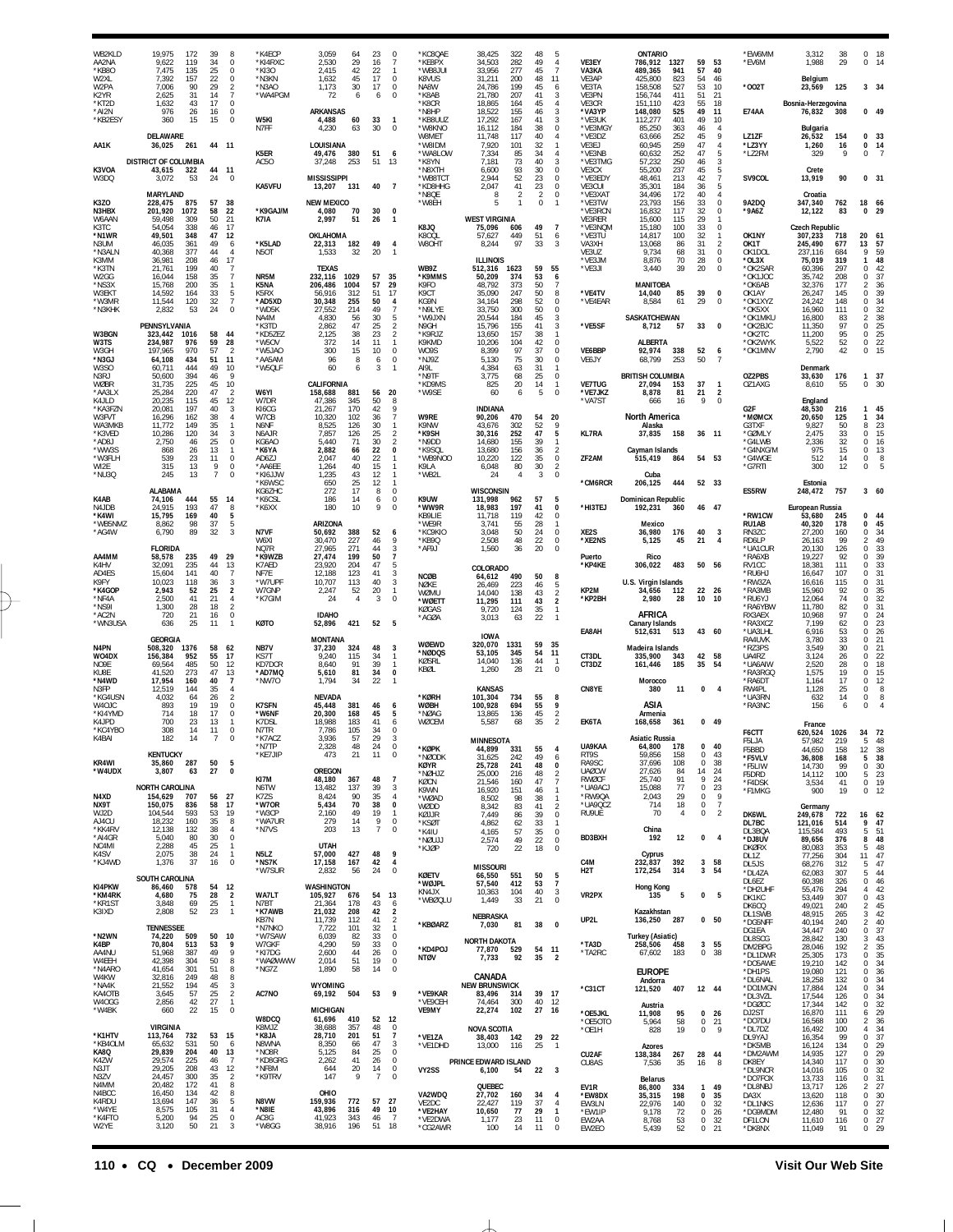| WB2KLD<br>AA2NA<br>*KB80<br>W2XL<br>W2PA<br>K2YR<br>*KT2D<br>*AI2N<br>*KB2ESY<br>AA1K<br>K3VOA<br>W3DQ<br>K3ZO                                        | 19,975<br>172<br>9,622<br>119<br>7.475<br>135<br>7,392<br>157<br>7,006<br>90<br>2,625<br>31<br>43<br>1,632<br>976<br>26<br>360<br>15<br>DELAWARE<br>36,025<br>261<br><b>DISTRICT OF COLUMBIA</b><br>43,615<br>322<br>3,072<br>53<br><b>MARYLAND</b><br>228,475<br>875                            | 39<br>34<br>25<br>22<br>29<br>14<br>17<br>16<br>15<br>44<br>24<br>57                                               | 8<br>$\theta$<br>$\Omega$<br>0<br>$\sqrt{2}$<br>$\overline{7}$<br>$\Omega$<br>$\theta$<br>$\mathbf 0$<br>44 11<br>11<br>$\Omega$<br>38                                    | *K4ECP<br>*KI4RXC<br>*KI30<br>*N3KN<br>$*$ N3AO<br>*WA4PGM<br>W5KI<br>N7FF<br>K5ER<br>AC5O<br>KA5VFU                                             | 3,059<br>2,530<br>2.415<br>1,632<br>1,173<br>72<br><b>ARKANSAS</b><br>4,488<br>4,230<br>LOUISIANA<br>49,476<br>37,248<br><b>MISSISSIPPI</b><br>13,207<br><b>NEW MEXICO</b> | 23<br>64<br>29<br>16<br>42<br>22<br>45<br>17<br>30<br>17<br>6<br>60<br>33<br>30<br>63<br>380<br>51<br>51<br>253<br>131                                                               | $\Omega$<br>-1<br>0<br>$\Omega$<br>6<br>$\Omega$<br>$\mathbf{1}$<br>$\Omega$<br>-6<br>13<br>40<br>$\overline{7}$                                                                                             | *KC8OAE<br>*KE8PX<br>*WB8 JUI<br>K8VUS<br>NA8W<br>*K8AB<br>*K8CR<br>*N8HP<br>*KB8UUZ<br>*W8KNO<br>W8MET<br>*W8IDM<br>*WA8LOW<br>*K8YN<br>*N8XTH<br>*WB8TCT<br>*KD8HHG<br>*N8OF<br>*W8EH | 38,425<br>322<br>34,503<br>282<br>33,956<br>277<br>31,211<br>200<br>24,786<br>199<br>21,780<br>207<br>164<br>18,865<br>18,522<br>155<br>17,292<br>167<br>16,112<br>184<br>11,748<br>117<br>7,920<br>101<br>7,334<br>85<br>7,181<br>73<br>6,600<br>93<br>2,944<br>52<br>2,047<br>41<br>$\mathcal{P}$<br>-8<br>5 | 48<br>49<br>45<br>48<br>45<br>41<br>45<br>46<br>41<br>38<br>40<br>32<br>34<br>40<br>30<br>23<br>23<br>$\overline{2}$<br>0 | -5<br>$\overline{4}$<br>$\overline{7}$<br>11<br>6<br>3<br>$\overline{4}$<br>3<br>3<br>$\bf 0$<br>$\overline{4}$<br>$\overline{1}$<br>$\overline{4}$<br>$\overline{3}$<br>$\mathbf 0$<br>$\mathbb O$<br>$^{\circ}$<br>$\mathbb O$<br>$\mathbf{1}$ | VE3EY<br>VA3KA<br>VE3AP<br>VE3TA<br>VE3PN<br>VE3CR<br>*VA3YP<br>*VE3UK<br>*VE3MGY<br>*VE3DZ<br>VE3EJ<br>*VE3NB<br>*VE3TMG<br>VE3CX<br>*VE3EDY<br>VE3CUI<br>*VE3XAT<br>*VE3TW | ONTARIO<br>786,912<br>489,365<br>425.800<br>158,508<br>156,744<br>151,110<br>148,080<br>112,277<br>85,250<br>63,666<br>60,945<br>60,632<br>57,232<br>55,200<br>48,461<br>35,301<br>34,496<br>23,793 | 1327<br>941<br>823<br>527<br>411<br>423<br>525<br>401<br>363<br>252<br>259<br>252<br>250<br>237<br>213<br>184<br>172<br>156 | 59<br>57<br>54<br>53<br>51<br>55<br>49<br>49<br>46<br>45<br>47<br>47<br>46<br>45<br>42<br>36<br>40<br>33 | 53<br>40<br>46<br>10<br>21<br>18<br>11<br>10<br>$\overline{4}$<br>9<br>$\overline{4}$<br>5<br>3<br>$\overline{7}$<br>5<br>$\overline{4}$<br>0 | *EW6MM<br>*EV6M<br>*002T<br><b>E74AA</b><br>LZ1ZF<br>*LZ3YY<br>*LZ2FM<br>SV9COL<br>9A2DQ                                                   | 3.312<br>1,988<br>Belgium<br>23,569<br>Bosnia-Herzegovina<br>76,832<br>Bulgaria<br>26,532<br>1,260<br>329<br>Crete<br>13,919<br>Croatia<br>347,340         | 38<br>29<br>125<br>308<br>154<br>16<br>9<br>90<br>762                                | $\Omega$<br>18<br>0<br>14<br>3 34<br>0, 49<br>0 <sub>33</sub><br>0<br>14<br>$\Omega$<br>0, 31<br>18 66                                                                                                               |  |
|-------------------------------------------------------------------------------------------------------------------------------------------------------|--------------------------------------------------------------------------------------------------------------------------------------------------------------------------------------------------------------------------------------------------------------------------------------------------|--------------------------------------------------------------------------------------------------------------------|---------------------------------------------------------------------------------------------------------------------------------------------------------------------------|--------------------------------------------------------------------------------------------------------------------------------------------------|----------------------------------------------------------------------------------------------------------------------------------------------------------------------------|--------------------------------------------------------------------------------------------------------------------------------------------------------------------------------------|--------------------------------------------------------------------------------------------------------------------------------------------------------------------------------------------------------------|-----------------------------------------------------------------------------------------------------------------------------------------------------------------------------------------|----------------------------------------------------------------------------------------------------------------------------------------------------------------------------------------------------------------------------------------------------------------------------------------------------------------|---------------------------------------------------------------------------------------------------------------------------|--------------------------------------------------------------------------------------------------------------------------------------------------------------------------------------------------------------------------------------------------|------------------------------------------------------------------------------------------------------------------------------------------------------------------------------|-----------------------------------------------------------------------------------------------------------------------------------------------------------------------------------------------------|-----------------------------------------------------------------------------------------------------------------------------|----------------------------------------------------------------------------------------------------------|-----------------------------------------------------------------------------------------------------------------------------------------------|--------------------------------------------------------------------------------------------------------------------------------------------|------------------------------------------------------------------------------------------------------------------------------------------------------------|--------------------------------------------------------------------------------------|----------------------------------------------------------------------------------------------------------------------------------------------------------------------------------------------------------------------|--|
| N3HBX<br>W6AAN<br>K3TC<br>*N1WR<br>N3UM<br>*N3ALN<br>K3MM<br>*K3TN<br>W2GG<br>*NS3X<br>W3EKT<br>*W3MR<br>*N3KHK                                       | 201.920<br>1072<br>59,498<br>309<br>54.054<br>338<br>49,501<br>348<br>46,035<br>361<br>40,368<br>377<br>36,981<br>208<br>21,761<br>199<br>16,044<br>158<br>15,768<br>200<br>14,592<br>164<br>11,544<br>120<br>2,832<br>53<br>PENNSYLVANIA                                                        | 58<br>50<br>46<br>47<br>49<br>44<br>46<br>40<br>35<br>35<br>33<br>32<br>24                                         | 22<br>21<br>17<br>12<br>6<br>$\overline{4}$<br>17<br>$\overline{7}$<br>7<br>$\mathbf{1}$<br>5<br>$\overline{7}$<br>0                                                      | *K9GAJ/M<br>K7IA<br>*K5LAD<br>N5OT<br>NR5M<br>K5NA<br>K5RX<br>*AD5XD<br>*WD5K<br>NA4M<br>*K3TD                                                   | 4,080<br>2,997<br>OKLAHOMA<br>22,313<br>1,533<br><b>TEXAS</b><br>232,116<br>1029<br>206,486<br>1004<br>56,916<br>30,348<br>27,552<br>4,830<br>2,862                        | 70<br>30<br>51<br>26<br>49<br>182<br>32<br>20<br>57<br>57<br>51<br>312<br>50<br>255<br>214<br>49<br>30<br>-56<br>47<br>25                                                            | 0<br>$\mathbf{1}$<br>$\overline{4}$<br>$\mathbf{1}$<br>35<br>29<br>17<br>$\overline{4}$<br>$\overline{7}$<br>5<br>$\overline{2}$                                                                             | K8JQ<br>K800L<br>W8OHT<br>WB9Z<br>*K9MMS<br>K9FO<br>K9CT<br>KG9N<br>*N9LYE<br>*W9JXN<br>N9GH                                                                                            | <b>WEST VIRGINIA</b><br>75,096<br>606<br>449<br>57,627<br>97<br>8,244<br><b>ILLINOIS</b><br>512,316<br>1623<br>50,209<br>374<br>48,792<br>373<br>35,090<br>247<br>34,164<br>298<br>33,750<br>300<br>20,544<br>184<br>15,796<br>155                                                                             | 49<br>51<br>33<br>59<br>53<br>50<br>50<br>52<br>50<br>45<br>41                                                            | $\overline{7}$<br>6<br>3<br>55<br>6<br>7<br>8<br>$\mathbf 0$<br>$\mathbf 0$<br>3<br>3                                                                                                                                                            | *VE3RCN<br>VE3RER<br>*VE3NQM<br>*VE3TU<br>VA3XH<br>VE3UZ<br>*VE3JM<br>*VE3JI<br>*VE4TV<br>*VE4EAR<br>*VE5SF                                                                  | 16,832<br>15,600<br>15,180<br>14,817<br>13,068<br>9,734<br>8,876<br>3,440<br><b>MANITOBA</b><br>14,040<br>8,584<br><b>SASKATCHEWAN</b><br>8,712                                                     | 117<br>115<br>100<br>100<br>86<br>68<br>70<br>39<br>85<br>61<br>57                                                          | 32<br>29<br>33<br>32<br>31<br>31<br>28<br>20<br>39<br>29<br>33                                           | $\Omega$<br>$^{\circ}$<br>$\mathbf{1}$<br>2<br>0<br>0<br>0<br>0<br>$\bf 0$<br>0                                                               | *9A6Z<br>OK1NY<br>OK1T<br>OK1DOL<br>*OL3X<br>*OK2SAR<br>*OK1JOC<br>*OK6AB<br>OK1AY<br>*OK1XY7<br>*OK5XX<br>*OK1MKU<br>*OK2BJC              | 12,122<br><b>Czech Republic</b><br>307,233<br>245,490<br>237,116<br>75,019<br>60,396<br>35,742<br>32,376<br>26,247<br>24,242<br>16,960<br>16,800<br>11,350 | 83<br>718<br>677<br>684<br>319<br>297<br>208<br>177<br>145<br>148<br>111<br>83<br>97 | 29<br>0<br>20<br>-61<br>57<br>13<br>9<br>59<br>48<br>1<br>0<br>42<br>37<br>0<br>$\frac{36}{39}$<br>$\overline{\mathbf{c}}$<br>0<br>$\frac{34}{32}$<br>$\mathbf 0$<br>0<br>$\frac{38}{25}$<br>$\overline{2}$<br>0     |  |
| W3BGN<br>W3TS<br>W3GH<br>*N3GJ<br>W3SO<br>N3RJ<br>WØBR<br>*AA3LX<br>K4JLD<br>*KA3FZN<br>W3FVT<br>WA3MKB<br>*K3VED<br>*AD8J<br>*WW3S<br>*W3FLH<br>WI2E | 1016<br>323,442<br>234,987<br>976<br>970<br>197.965<br>64,108<br>434<br>60,711<br>444<br>50,600<br>394<br>225<br>31,735<br>25,284<br>220<br>20,235<br>115<br>20,081<br>197<br>16,296<br>162<br>11.772<br>149<br>10,286<br>120<br>2,750<br>46<br>868<br>26<br>539<br>23<br>315<br>13<br>245<br>13 | 58<br>59<br>57<br>51<br>49<br>46<br>45<br>47<br>45<br>40<br>38<br>35<br>34<br>25<br>13<br>11<br>9<br>$\mathcal{I}$ | 44<br>28<br>$\overline{2}$<br>11<br>10<br>9<br>10<br>$\overline{2}$<br>12<br>3<br>4<br>$\mathbf{1}$<br>3<br>$\bf 0$<br>$\mathbf{1}$<br>$\bf 0$<br>$\theta$<br>$\mathbf 0$ | *KD5ZEZ<br>*W5OV<br>*W5JAO<br>*AA5AM<br>*W5QLF<br>W6YI<br>W7DR<br>KI6CG<br>W7CB<br>N6NF<br>N6AJR<br>KG6AO<br>*K6YA<br>AD6ZJ<br>*AA6EE<br>*KI6JJW | 2,125<br>372<br>300<br>96<br>60<br>CALIFORNIA<br>158,688<br>47,386<br>21,267<br>10,320<br>8.525<br>7,857<br>5.440<br>2,882<br>2,047<br>1,264<br>1,235                      | 23<br>38<br>14<br>11<br>10<br>15<br>8<br>6<br>881<br>56<br>345<br>50<br>170<br>42<br>102<br>36<br>30<br>126<br>25<br>126<br>30<br>71<br>22<br>66<br>22<br>40<br>40<br>15<br>43<br>12 | $\overline{2}$<br>$\mathbf{1}$<br>$\Omega$<br>$\theta$<br>6<br>3<br>-1<br>20<br>9<br>$\overline{7}$<br>$\mathbf{1}$<br>$\overline{2}$<br>$\overline{2}$<br>0<br>$\mathbf{1}$<br>$\mathbf{1}$<br>$\mathbf{1}$ | *K9RJZ<br>K9KMD<br>WO9S<br>*NJ9Z<br>AI9L<br>*N9TF<br>*KD9MS<br>*W9SE<br>W9RE<br>K9NW<br>*K9SH<br>*N9DD<br>*K9SQL<br>*WB9NOO<br>K9LA<br>*WB2L                                            | 13,650<br>157<br>10,206<br>104<br>97<br>8,399<br>5,130<br>75<br>63<br>4,384<br>3,775<br>68<br>20<br>825<br>60<br>6<br><b>INDIANA</b><br>90,206<br>470<br>302<br>43,676<br>30,316<br>252<br>14,680<br>155<br>13,680<br>156<br>122<br>10,220<br>80<br>6,048<br>24<br>$\overline{4}$                              | 38<br>42<br>37<br>30<br>31<br>25<br>14<br>5<br>54<br>52<br>47<br>39<br>36<br>35<br>30<br>3                                | $\overline{1}$<br>$\mathbf 0$<br>$\mathbf 0$<br>$\mathbf 0$<br>$\mathbf{1}$<br>$\mathbb O$<br>$\mathbf{1}$<br>$\Omega$<br>20<br>9<br>5<br>-1<br>$\overline{2}$<br>$\mathbf 0$<br>$\overline{2}$<br>$\mathbf 0$                                   | VE6BBP<br>VE6JY<br><b>VE7TUG</b><br>*VE7JKZ<br>*VA7ST<br><b>KL7RA</b><br>ZF2AM                                                                                               | <b>ALBERTA</b><br>92,974<br>68,799<br><b>BRITISH COLUMBIA</b><br>27,094<br>8,878<br>666<br><b>North America</b><br>Alaska<br>37,835<br>Cayman Islands<br>515,419<br>Cuba                            | 338<br>253<br>153<br>81<br>16<br>158<br>864                                                                                 | 52<br>50<br>37<br>21<br>9<br>36<br>54 53                                                                 | 6<br>$\overline{7}$<br>$\overline{1}$<br>$\overline{2}$<br>$\Omega$<br>11                                                                     | *OK2TC<br>*OK2WYK<br>*OK1MNV<br>OZ2PBS<br>OZ1AXG<br>G <sub>2F</sub><br>*MØMCX<br>G3TXF<br>*GØMLY<br>*G4LWB<br>*G4NXG/M<br>*G4WGE<br>*G7RTI | 11,200<br>5,522<br>2,790<br>Denmark<br>33,630<br>8,610<br>England<br>48,530<br>20,650<br>9.827<br>2,475<br>2,336<br>975<br>512<br>300                      | 95<br>52<br>42<br>176<br>55<br>216<br>125<br>50<br>33<br>32<br>15<br>14<br>12        | 25<br>$\mathbf 0$<br>$\bf 0$<br>22<br>15<br>$\Omega$<br>37<br>1<br>$\Omega$<br>30<br>45<br>1<br>34<br>1<br>23<br>8<br>0<br>15<br>$\mathbf 0$<br>16<br>0<br>13<br>0<br>8<br>$\Omega$                                  |  |
| *NU3Q<br>K4AB<br>N4JDB<br>*K4WI<br>*WB5NMZ<br>*AG4W<br>AA4MM                                                                                          | <b>ALABAMA</b><br>74,106<br>444<br>193<br>24,915<br>15,795<br>169<br>8,862<br>98<br>6,790<br>89<br><b>FLORIDA</b><br>58,578<br>235                                                                                                                                                               | 55<br>47<br>40<br>37<br>32<br>49                                                                                   | 14<br>8<br>5<br>5<br>$\overline{3}$<br>29                                                                                                                                 | *K6WSC<br>KG6ZHC<br>*K6CSL<br>*K6XX<br>N7VF<br>W6XI<br>NO7R<br>*K9WZB                                                                            | 650<br>272<br>186<br>180<br>ARIZONA<br>50,692<br>388<br>30,470<br>27.965<br>271<br>27,474                                                                                  | 25<br>12<br>17<br>14<br>10<br>52<br>227<br>46<br>44<br>199<br>50                                                                                                                     | $\mathbf{1}$<br>$\Omega$<br>8<br>$\theta$<br>6<br>9<br>$\Omega$<br>6<br>-9<br>3<br>$\overline{7}$                                                                                                            | K9UW<br>*WW9R<br>KB9LIE<br>*WE9R<br>*KC9KIO<br>*KB9Q<br>*AF9J                                                                                                                           | <b>WISCONSIN</b><br>131,998<br>962<br>18,983<br>197<br>11,718<br>119<br>3,741<br>55<br>3,048<br>50<br>2,508<br>48<br>1,560<br>36                                                                                                                                                                               | 57<br>41<br>42<br>28<br>24<br>22<br>20                                                                                    | 5<br>$\Omega$<br>$\mathbf 0$<br>$\mathbf{1}$<br>$\mathbf 0$<br>$^{\circ}$<br>$\mathbf 0$                                                                                                                                                         | *CM6RCR<br>*HI3TEJ<br>XE2S<br>*XE2NS<br>Puerto                                                                                                                               | 206,125<br><b>Dominican Republic</b><br>192,231<br>Mexico<br>36,980<br>5,125<br>Rico                                                                                                                | 444<br>360<br>176<br>45                                                                                                     | 52 33<br>46<br>40<br>21                                                                                  | 47<br>$\overline{\mathbf{3}}$<br>$\overline{4}$                                                                                               | ES5RW<br>*RW1CW<br>RU1AB<br>RN3ZC<br>RD6LP<br>*UA1CUR<br>*RA6XB                                                                            | Estonia<br>248,472<br>European Russia<br>53,680<br>40,320<br>27,200<br>26,163<br>20,130<br>19,227                                                          | 757<br>245<br>178<br>160<br>99<br>126<br>92                                          | 360<br>0<br>44<br>0<br>45<br>34<br>0<br>49<br>$\overline{\mathbf{c}}$<br>$\begin{array}{c} 33 \\ 39 \end{array}$<br>$\bf 0$<br>0                                                                                     |  |
| K4HV<br>AD4ES<br>K9FY<br>*K4GOP<br>*NF4A<br>*NS9I<br>*AC2N<br>*WN3USA                                                                                 | 235<br>32.091<br>15,604<br>141<br>10,023<br>118<br>2,943<br>52<br>2,500<br>41<br>1,300<br>28<br>720<br>21<br>636<br>25<br><b>GEORGIA</b>                                                                                                                                                         | 44<br>40<br>36<br>25<br>21<br>18<br>16<br>11                                                                       | 13<br>$\overline{7}$<br>3<br>$\boldsymbol{2}$<br>4<br>$\overline{2}$<br>0<br>$\mathbf{1}$                                                                                 | K7AED<br>NF7E<br>*W7UPF<br>W7GNP<br>*K7GIM<br>KØTO                                                                                               | 23.920<br>12,188<br>10,707<br>2,247<br>24<br><b>IDAHO</b><br>52,896<br><b>MONTANA</b>                                                                                      | 204<br>47<br>123<br>41<br>40<br>113<br>20<br>52<br>$\overline{4}$<br>421                                                                                                             | 5<br>3<br>3<br>$\mathbf{1}$<br>$\mathbf 0$<br>-3<br>52<br>5                                                                                                                                                  | <b>NCØB</b><br>NØKE<br>WØMU<br>*WØETT<br>KØGAS<br>*AGØA<br>WØEWD                                                                                                                        | COLORADO<br>64,612<br>490<br>223<br>26,469<br>14,040<br>138<br>11,295<br>111<br>9,720<br>124<br>3,013<br>63<br><b>IOWA</b><br>320,070<br>1331                                                                                                                                                                  | 50<br>46<br>43<br>43<br>35<br>22<br>59                                                                                    | 8<br>5<br>$\overline{2}$<br>$\sqrt{2}$<br>$\mathbf{1}$<br>$\overline{1}$<br>35                                                                                                                                                                   | *KP4KE<br>KP2M<br>*KP2BH<br>EA8AH                                                                                                                                            | 306,022<br>U.S. Virgin Islands<br>34,656<br>2,980<br>AFRICA<br>Canary Islands<br>512,631                                                                                                            | 483<br>112<br>28<br>513                                                                                                     | 50<br>22<br>10<br>43                                                                                     | 56<br>26<br>-10<br>- 60                                                                                                                       | RV1CC<br>*RU6H.<br>*RW3ZA<br>*RA3MB<br>*RU6YJ<br>*RA6YBW<br>RX3AEX<br>*RA3XCZ<br>*UA3LHL<br>RA4UVK                                         | 18,381<br>16,647<br>16,616<br>15,960<br>12,064<br>11,780<br>10,968<br>7,199<br>6,916<br>3,780                                                              | 111<br>107<br>115<br>92<br>74<br>82<br>97<br>62<br>53<br>33                          | $\bf 0$<br>33<br>0<br>31<br>$\bf 0$<br>31<br>35<br>0<br>32<br>0<br>31<br>0<br>$\Omega$<br>24<br>23<br>0<br>0<br>26<br>21<br>$\mathbf 0$                                                                              |  |
| N4PN<br>W04DX<br>NO9E<br>KURF<br>*N4WD<br>N3FP<br>*KG4USN<br>W4OJC<br>*KI4YMD<br>K4JPD<br>*KC4YBO                                                     | 508,320<br>1376<br>156,384<br>952<br>69,564<br>485<br>41.520<br>273<br>17,954<br>160<br>12,519<br>144<br>64<br>4.032<br>893<br>19<br>714<br>18<br>700<br>23<br>308<br>14                                                                                                                         | 58<br>55<br>50<br>47<br>40<br>35<br>26<br>19<br>17<br>13<br>11                                                     | 62<br>17<br>12<br>$\begin{array}{c} 13 \\ 7 \end{array}$<br>$\overline{4}$<br>$\overline{2}$<br>0<br>$\theta$<br>$\mathbf{1}$<br>0                                        | NB7V<br><b>KS7T</b><br>KD7DCR<br>*AD7MQ<br>*NW7O<br><b>K7SFN</b><br>*W6NF<br>K7DSL<br>N7TR                                                       | 37,230<br>9.240<br>8,640<br>5,610<br>1,794<br><b>NEVADA</b><br>45,448<br>20,300<br>18,988<br>7,786                                                                         | 324<br>48<br>115<br>34<br>91<br>39<br>81<br>34<br>34<br>22<br>381<br>46<br>168<br>45<br>183<br>41<br>105<br>34                                                                       | 3<br>-1<br>$\mathbf{1}$<br>$\mathbf 0$<br>6<br>5<br>6<br>$\Omega$                                                                                                                                            | *NØDQS<br>KØSRL<br>KBØL<br>*KØRH<br><b>WØBH</b><br>*NØAG<br>WØCEM                                                                                                                       | 53,105<br>345<br>136<br>14,040<br>28<br>1,260<br><b>KANSAS</b><br>101,304<br>734<br>100,928<br>694<br>13,865<br>136<br>5,587<br>68                                                                                                                                                                             | 54<br>44<br>21<br>55<br>55<br>45<br>35                                                                                    | 11<br>$\overline{1}$<br>$\mathbf 0$<br>8<br>9<br>$\overline{2}$<br>$\mathfrak{p}$                                                                                                                                                                | CT3DL<br>CT3DZ<br>CN8YE<br>EK6TA                                                                                                                                             | Madeira Islands<br>335,900<br>161,446<br>Morocco<br>380<br>ASIA<br>Armenia<br>168,658                                                                                                               | 343<br>185<br>11<br>361                                                                                                     | 42<br>35                                                                                                 | 58<br>54<br>$0 \t 4$<br>0, 49                                                                                                                 | *RZ3PS<br>UA4RZ<br>*UA6AIW<br>*RA3RGQ<br>*RA6DT<br>RW4PL<br>*UA3RN<br>*RA3NC                                                               | 3,549<br>3.124<br>2,520<br>1,575<br>1,164<br>1,128<br>632<br>156<br>France                                                                                 | 30<br>26<br>28<br>19<br>17<br>25<br>14<br>6                                          | 21<br>0<br>$\mathbf 0$<br>22<br>18<br>0<br>$\bf 0$<br>15<br>0<br>12<br>8<br>$\mathbf 0$<br>0<br>8<br>$\Omega$                                                                                                        |  |
| K4BAI<br>KR4WI<br>*W4UDX<br>N4XD<br>NX9T<br>WJ2D                                                                                                      | 182<br><b>KENTUCKY</b><br>35,860<br>287<br>3,807<br>63<br><b>NORTH CAROLINA</b><br>154,629<br>707<br>150,075<br>836<br>104,544<br>593                                                                                                                                                            | 50<br>27<br>56<br>58<br>53                                                                                         | 5<br>0<br>27<br>17<br>19                                                                                                                                                  | *K7ACZ<br>*N7TP<br>*KE7JIP<br>KI7M<br>N6TW<br><b>K77S</b><br>*W70R<br>*W3CP                                                                      | 2,328<br>473<br>OREGON<br>48,180<br>13,482<br>8,424<br>5,434<br>2.160                                                                                                      | 57<br>29<br>48<br>24<br>21<br>11<br>48<br>367<br>137<br>39<br>90<br>35<br>70<br>38<br>19<br>49                                                                                       | 0<br>0<br>$\overline{7}$<br>3<br>4<br>0<br>$\mathbf{1}$                                                                                                                                                      | *KØPK<br>*NØODK<br>KØYR<br>*NØHJZ<br>KØCN<br>K9WN<br>*WØAD<br>WØDD<br>KØJJR                                                                                                             | MINNESOTA<br>44,899<br>331<br>31,625<br>242<br>25,728<br>241<br>25,000<br>216<br>21,546<br>160<br>16,920<br>151<br>8,502<br>98<br>8,342<br>83<br>7,449<br>86                                                                                                                                                   | 55<br>49<br>48<br>48<br>47<br>46<br>38<br>41<br>39                                                                        | $\overline{4}$<br>6<br>0<br>$\overline{2}$<br>$\overline{7}$<br>$\mathbf{1}$<br>$\overline{1}$<br>$\overline{2}$<br>$\bf 0$                                                                                                                      | UA9KAA<br>RT9S<br>RA9SC<br><b>UAØCW</b><br><b>RWØCF</b><br>*UA9ACJ<br>*RW9QA<br>*UA9QCZ<br>RU9UE                                                                             | Asiatic Russia<br>64,800<br>59,856<br>37,696<br>27,626<br>25,740<br>15,088<br>2,043<br>714<br>70                                                                                                    | 178<br>158<br>108<br>84<br>91<br>77<br>29<br>18<br>4                                                                        | $\Omega$<br>$^{\circ}$<br>0<br>14<br>9<br>0<br>$\mathbf 0$<br>0<br>$\bf 0$                               | 40<br>43<br>38<br>24<br>24<br>23<br>9<br>$\overline{7}$<br>$\overline{2}$                                                                     | F6CTT<br>F5LJA<br>F5BBD<br>*F5VLV<br>*F5LIW<br>F5DRD<br>*F4DSK<br>*F1MKG<br>DK6WL                                                          | 620,524<br>57.982<br>44,650<br>36,808<br>14,730<br>14,112<br>3,534<br>900<br>Germany<br>249,678                                                            | 1026<br>219<br>158<br>168<br>99<br>100<br>41<br>19<br>722                            | 34 72<br>5<br>48<br>12<br>$\frac{38}{38}$<br>5<br>$\,0\,$<br>$\frac{30}{23}$<br>5<br>$\mathbf 0$<br>19<br>0<br>12<br>16                                                                                              |  |
| AJ4CU<br>*KK4RV<br>*AI4GR<br>NC4MI<br>K4SV<br>*KJ4WD<br>KI4PKW                                                                                        | 18,232<br>160<br>12,138<br>132<br>5,040<br>80<br>2,288<br>45<br>2,075<br>38<br>37<br>1,376<br><b>SOUTH CAROLINA</b><br>86,460<br>578                                                                                                                                                             | 35<br>38<br>30<br>25<br>24<br>16<br>54                                                                             | 8<br>$\overline{4}$<br>0<br>$\mathbf{1}$<br>$\mathbf{1}$<br>$\bf 0$<br>12                                                                                                 | *WA7UR<br>*N7VS<br>N5LZ<br>*NS7K<br>*W7SUR                                                                                                       | 279<br>203<br><b>UTAH</b><br>57,000<br>17,158<br>2,832<br>WASHINGTON                                                                                                       | 14<br>13<br>48<br>427<br>42<br>167<br>56<br>24                                                                                                                                       | 9<br>0<br>7<br>$\Omega$<br>9<br>$\overline{4}$<br>0                                                                                                                                                          | *KSØT<br>*K4IU<br>*NØUJJ<br>*KJØP<br><b>KØETV</b><br>*WØJPL<br>KN4JX                                                                                                                    | 4,862<br>62<br>57<br>4,165<br>2,574<br>49<br>22<br>720<br><b>MISSOURI</b><br>66,550<br>551<br>57,540<br>412<br>104<br>10,363                                                                                                                                                                                   | 33<br>35<br>22<br>18<br>50<br>53<br>40                                                                                    | $\mathbf{1}$<br>$\mathbb O$<br>$^{\circ}$<br>$\mathbf 0$<br>$\frac{5}{7}$<br>3                                                                                                                                                                   | BD3BXH<br>C4M<br>H <sub>2</sub> T                                                                                                                                            | China<br>192<br>Cyprus<br>232,837<br>172,254<br><b>Hong Kong</b>                                                                                                                                    | 12<br>392<br>314                                                                                                            | 0<br>3<br>3                                                                                              | $\overline{4}$<br>58<br>54                                                                                                                    | DL7BC<br>DL3BQA<br>*DJ8UV<br><b>DKØRX</b><br>DL1Z<br>DL5JS<br>*DL4ZA<br>DL6EZ<br>*DH2UHF                                                   | 121,016<br>115,584<br>89,656<br>80,083<br>77,256<br>68,276<br>62,083<br>60,398<br>55,476                                                                   | 514<br>493<br>376<br>353<br>304<br>312<br>307<br>326<br>294                          | 62<br>9<br>47<br>5<br>51<br>48<br>8<br>5<br>48<br>11<br>$\substack{47 \\ 47}$<br>5<br>44<br>5<br>46<br>$\bf 0$<br>$\begin{array}{c} 42 \\ 43 \end{array}$<br>4                                                       |  |
| *KM4RK<br>*KR1ST<br>K3IXD<br>*N2WN<br>K4BP<br>AA4NU<br>W4EEH<br>*N4ARO<br>W4KW                                                                        | 4,680<br>75<br>3,848<br>69<br>2,808<br>52<br><b>TENNESSEE</b><br>509<br>74,220<br>70,804<br>513<br>51,968<br>387<br>42,398<br>304<br>41,654<br>301<br>32,816<br>249                                                                                                                              | 28<br>25<br>23<br>50<br>53<br>49<br>50<br>51<br>48                                                                 | $\overline{2}$<br>$\mathbf{1}$<br>$\mathbf{1}$<br>10<br>9<br>9<br>8<br>$\, 8$<br>8                                                                                        | WA7LT<br>N7BT<br>*K7AWB<br>KB7N<br>*N7NKO<br>*W7SAW<br>W7GKF<br>*KI7DG<br>*WAØWWW<br>*NG7Z                                                       | 105,927<br>676<br>21.364<br>21,032<br>11,739<br>7,722<br>6,039<br>4,290<br>2,600<br>2,014<br>1,890                                                                         | 54<br>43<br>178<br>208<br>42<br>41<br>112<br>101<br>32<br>33<br>82<br>59<br>33<br>26<br>44<br>51<br>19<br>58<br>14                                                                   | 13<br>6<br>$\boldsymbol{2}$<br>$\overline{2}$<br>$\mathbf{1}$<br>$\bf 0$<br>0<br>0<br>0<br>$\Omega$                                                                                                          | *WBØQLU<br>*KBØARZ<br>*KD4POJ<br><b>NTØV</b>                                                                                                                                            | 1,449<br>33<br>NEBRASKA<br>81<br>7,030<br>NORTH DAKOTA<br>77,870<br>529<br>7,733<br>92<br>CANADA                                                                                                                                                                                                               | 21<br>38<br>54 11<br>35                                                                                                   | $^{\circ}$<br>0<br>$\overline{2}$                                                                                                                                                                                                                | VR <sub>2</sub> PX<br>UP2L<br>*TA3D<br>*TA2RC                                                                                                                                | 135<br>Kazakhstan<br>136,250<br><b>Turkey (Asiatic)</b><br>258,506<br>67,602<br><b>EUROPE</b><br>Andorra                                                                                            | 5<br>287<br>458<br>183                                                                                                      | 0<br>3<br>$\bf{0}$                                                                                       | 5<br>0 <sub>50</sub><br>55<br>38                                                                                                              | DK1KC<br>DK6CQ<br>DL1SWB<br>*DG5NFF<br>DG1EA<br>DL8SCG<br>DM2BPG<br>*DL1DWR<br>*DO5AWE<br>*DH1PS<br>*DL6NAL                                | 53,449<br>49,021<br>48,915<br>40,194<br>34,447<br>28,842<br>28,046<br>25,305<br>19,210<br>19,080<br>18,258                                                 | 307<br>240<br>265<br>240<br>240<br>130<br>192<br>173<br>142<br>121<br>132            | 0<br>45<br>$\overline{\mathbf{c}}$<br>42<br>3<br>$\begin{array}{c} 40 \\ 37 \end{array}$<br>$\sqrt{2}$<br>0<br>$43$<br>$35$<br>$35$<br>3<br>$\overline{\mathbf{c}}$<br>$\,0\,$<br>34<br>0<br>36<br>0<br>34<br>0      |  |
| *NA4K<br>KA4OTB<br>W4OGG<br>*W4BK<br>*K1HTV<br>*KB4OLM<br>KA8Q<br>K4ZW<br>N3JT<br>N3ZV<br>N4MM                                                        | 194<br>21,552<br>3,645<br>57<br>42<br>2,856<br>22<br>660<br><b>VIRGINIA</b><br>113,764<br>732<br>65,632<br>531<br>29,839<br>204<br>29,574<br>225<br>29,205<br>208<br>24,457<br>300<br>20,482<br>172                                                                                              | 45<br>25<br>27<br>15<br>53<br>50<br>40<br>46<br>43<br>35<br>41                                                     | 3<br>$\sqrt{2}$<br>1<br>$\bf 0$<br>15<br>6<br>13<br>$\overline{7}$<br>12<br>$\sqrt{2}$<br>8                                                                               | AC7NO<br>W8DCQ<br><b>K8MJ7</b><br>*K8JA<br>N8WNA<br>*NO8R<br>*KD8GRG<br>*NF8M<br>*K9TRV                                                          | WYOMING<br>69,192<br>MICHIGAN<br>61,696<br>38,688<br>28,710<br>8.350<br>5,125<br>2,262<br>644<br>147                                                                       | 504<br>53<br>410<br>52<br>48<br>357<br>201<br>51<br>47<br>66<br>84<br>25<br>26<br>41<br>20<br>14<br>9                                                                                | 9<br>12<br>0<br>$\overline{7}$<br>3<br>0<br>0<br>0<br>$\bf 0$<br>7                                                                                                                                           | *VE9KAR<br>*VF9CFH<br>VE9MY<br>*VE1ZA<br>*VE1DHD<br>VY2SS                                                                                                                               | <b>NEW BRUNSWICK</b><br>83,496<br>314<br>300<br>74,464<br>22,274<br>102<br><b>NOVA SCOTIA</b><br>38,403<br>142<br>13,000<br>116<br>PRINCE EDWARD ISLAND<br>6,100<br>54                                                                                                                                         | 39 17<br>40<br>27<br>29<br>25<br>22                                                                                       | 12<br>16<br>22<br>$\overline{1}$<br>$\overline{\mathbf{3}}$                                                                                                                                                                                      | $*$ C31CT<br>*OE5JKL<br>*OE5OTO<br>*OE1H<br>CU2AF<br>CU8AS                                                                                                                   | 121,520<br>Austria<br>11,908<br>5,964<br>828<br><b>Azores</b><br>138,384<br>7,536<br>Belarus                                                                                                        | 407<br>95<br>58<br>19<br>267<br>35                                                                                          | 12 44<br>$\mathbf{0}$<br>0<br>$\mathbf{0}$<br>28<br>16                                                   | 26<br>21<br>$\overline{9}$<br>- 44<br>8                                                                                                       | *DO1MGN<br>*DL3VZL<br>*DGØCC<br>DJ2ST<br>*DO7DU<br>*DL7DZ<br>DL9YAJ<br>*DK5MB<br>*DM2AWM<br>DK8EY<br>*DL9NCR<br>*DO7FOX                    | 17,884<br>17,544<br>17,344<br>16,870<br>16,568<br>16,492<br>16,354<br>16,124<br>14,935<br>14,340<br>14,016<br>13,733                                       | 124<br>126<br>142<br>111<br>100<br>100<br>99<br>134<br>127<br>117<br>105<br>116      | 34<br>$\Omega$<br>$\bf 0$<br>34<br>32<br>0<br>$\frac{29}{36}$<br>6<br>$\overline{\mathbf{c}}$<br>$\overline{4}$<br>34<br>37<br>0<br>$\frac{29}{29}$<br>$\bf 0$<br>0<br>30<br>$\mathbf 0$<br>32<br>0<br>31<br>$\bf 0$ |  |
| N4BCC<br>K4RDU<br>*W4YE<br>*K4FTO<br>W2YE                                                                                                             | 134<br>16,450<br>147<br>13,694<br>105<br>8,575<br>5,200<br>94<br>50<br>3,120                                                                                                                                                                                                                     | 42<br>36<br>31<br>25<br>21                                                                                         | 8<br>5<br>4<br>0<br>3                                                                                                                                                     | N8VW<br>*N8IE<br>AC8G<br>*W8GG                                                                                                                   | OHIO<br>159,936<br>43,896<br>41,923<br>38,916                                                                                                                              | 772<br>57<br>49<br>316<br>343<br>46<br>51<br>196                                                                                                                                     | 27<br>10<br>$\overline{7}$<br>18                                                                                                                                                                             | VA2WDQ<br>VE2DC<br>*VE2HAY<br>*VE2DWA<br>*CG2AWR                                                                                                                                        | QUEBEC<br>27,702<br>160<br>119<br>22,427<br>77<br>10,650<br>23<br>1,177<br>100<br>14                                                                                                                                                                                                                           | 34<br>37<br>29<br>11<br>11                                                                                                | 4<br>$\overline{4}$<br>$\mathbf{1}$<br>$\mathbf 0$<br>$\mathbb O$                                                                                                                                                                                | EV1R<br>*EW8DX<br>EW3LN<br>*EW1IP<br>EW2AA<br>EW2EO                                                                                                                          | 86,800<br>35,315<br>22,976<br>9,178<br>8,768<br>5,439                                                                                                                                               | 334<br>198<br>140<br>72<br>53<br>52                                                                                         | $\mathbf{1}$<br>$\mathbf 0$<br>0<br>0<br>$\mathbf 0$<br>0                                                | 49<br>35<br>32<br>26<br>32<br>21                                                                                                              | *DL8NBJ<br>DA3X<br>*DL1NKS<br>*DG9MDM<br>DF1LON<br>*DK8NX                                                                                  | 13,717<br>13,620<br>12,636<br>12,480<br>11,610<br>11,049                                                                                                   | 126<br>118<br>117<br>91<br>116<br>91                                                 | 27<br>2<br>30<br>$\mathbf 0$<br>$\bf 0$<br>27<br>32<br>0<br>27<br>0<br>$0$ 29                                                                                                                                        |  |

**110 • CQ • December 2009 Visit Our Web Site**

 $\mapsto$ 

 $\overline{1}$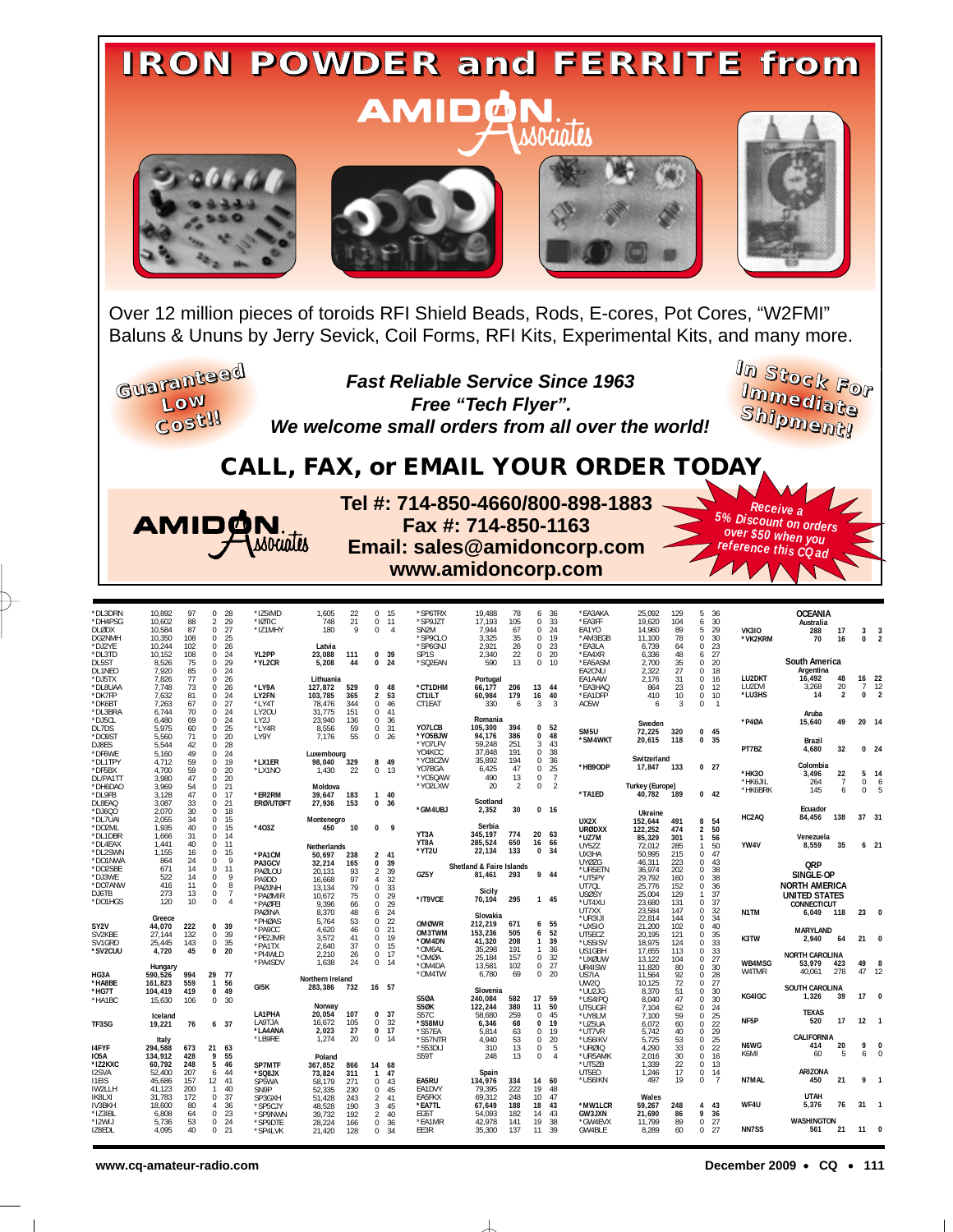

Over 12 million pieces of toroids RFI Shield Beads, Rods, E-cores, Pot Cores, "W2FMI" Baluns & Ununs by Jerry Sevick, Coil Forms, RFI Kits, Experimental Kits, and many more.

**Guaranteed Low Cost!!**

**Fast Reliable Service Since 1963 Free "Tech Flyer". We welcome small orders from all over the world!** **I I n m S tock For m ediate Sh ipment!**

> *Receive a 5% Discount on orders*

*over \$50 when you reference this CQ ad*

## **CALL, FAX, or EMAIL YOUR ORDER TODAY**



**Tel #: 714-850-4660/800-898-1883 Fax #: 714-850-1163 Email: sales@amidoncorp.com www.amidoncorp.com**

| *DL3DRN<br>*DH4PSG<br><b>DLØDX</b><br>DG2NMH<br>*DJ2YE<br>*DL3TD | 10,892<br>10.602<br>10,584<br>10,350<br>10,244<br>10.152 | 97<br>88<br>87<br>108<br>102<br>108 | 0<br>$\overline{2}$<br>$\Omega$<br>$\mathbf 0$<br>$\mathbf 0$<br>$\mathbf 0$ | - 28<br>29<br>27<br>25<br>26<br>24 | *IZ5IMD<br>*IØTIC<br>*IZ1MHY<br>YL2PP | 1.605<br>748<br>180<br>Latvia<br>23.088 | 22<br>21<br>9 | $\mathbf{0}$<br>$\mathbf{0}$<br>$\mathbf 0$<br>$\mathbf 0$ | - 15<br>11<br>$\overline{4}$<br>- 39 | *SP6TRX<br>*SP9JZT<br>SN <sub>2M</sub><br>*SP9CLO<br>*SP6GNJ<br>SP1S | 19.488<br>17.193<br>7,944<br>3.325<br>2,921<br>2,340 | 78<br>105<br>67<br>35<br>26<br>22 | 6<br>$\mathbf 0$<br>$\Omega$<br>$\Omega$<br>$\Omega$<br>$\mathbf 0$ | 36<br>33<br>24<br>19<br>23<br>20 | *EA3AKA<br>*EA3FF<br>EA1YO<br>*AM3EGB<br>*EA3LA<br>*EA4XR | 25.092<br>19.620<br>14,960<br>11.100<br>6,739<br>6,336 | 129<br>104<br>89<br>78<br>64<br>48 | 5<br>6<br>5<br>$\mathbf 0$<br>$\mathbf 0$<br>6 | 36<br>30<br>29<br>30<br>23<br>27 | <b>VK310</b><br>*VK2KRM | <b>OCEANIA</b><br>Australia<br>288<br>70 | 17<br>16             | 3<br>0       | $\overline{\mathbf{3}}$<br>$\overline{2}$ |
|------------------------------------------------------------------|----------------------------------------------------------|-------------------------------------|------------------------------------------------------------------------------|------------------------------------|---------------------------------------|-----------------------------------------|---------------|------------------------------------------------------------|--------------------------------------|----------------------------------------------------------------------|------------------------------------------------------|-----------------------------------|---------------------------------------------------------------------|----------------------------------|-----------------------------------------------------------|--------------------------------------------------------|------------------------------------|------------------------------------------------|----------------------------------|-------------------------|------------------------------------------|----------------------|--------------|-------------------------------------------|
| DL5ST                                                            | 8,526                                                    | 75                                  | $\Omega$                                                                     | 29                                 | *YL2CR                                | 5,208                                   | 111<br>44     |                                                            | 0 <sub>24</sub>                      | *SQ2EAN                                                              | 590                                                  | 13                                |                                                                     | 0, 10                            | *EA5ASM                                                   | 2,700                                                  | 35                                 | $\Omega$                                       | 20                               |                         | South America                            |                      |              |                                           |
| DL1NEO<br>*DJ5TX                                                 | 7,920<br>7.826                                           | 85<br>77                            | $\mathbf 0$<br>$\mathbf 0$                                                   | 24<br>26                           |                                       | Lithuania                               |               |                                                            |                                      |                                                                      | Portugal                                             |                                   |                                                                     |                                  | EA2CNU<br>EA1AAW                                          | 2,322<br>2.176                                         | 27<br>31                           | $\mathbf 0$<br>$\mathbf 0$                     | 18<br>16                         | LU2DKT                  | Argentina<br>16,492                      | 48                   |              | 16 22                                     |
| *DL8UAA                                                          | 7,748                                                    | 73                                  | $\mathbf 0$                                                                  | 26                                 | *LY9A                                 | 127,872                                 | 529           | $\mathbf{0}$                                               | 48                                   | *CT1DHM                                                              | 66.177                                               | 206                               | 13                                                                  | -44                              | *EA3HAQ                                                   | 864                                                    | 23                                 | $\mathbf 0$                                    | 12                               | LU2DVI                  | 3,268<br>14                              | 20<br>$\overline{2}$ | $\mathbf{0}$ | $7 - 12$<br>$\overline{2}$                |
| *DK7FP<br>*DK6BT                                                 | 7.632<br>7,263                                           | 81<br>67                            | $\mathbf 0$<br>$\mathbf 0$                                                   | 24<br>27                           | LY2FN<br>*LY4T                        | 103.785<br>78,476                       | 365<br>344    | $\overline{2}$<br>$\mathbf{0}$                             | 53<br>46                             | CT1ILT<br>CT1EAT                                                     | 60,984<br>330                                        | 179<br>6                          | 16<br>3                                                             | 40<br>-3                         | *EA1DFP<br>A05W                                           | 410<br>6                                               | 10<br>$\overline{\mathbf{3}}$      | $\mathbf 0$<br>$\Omega$                        | 10<br>$\mathbf{1}$               | *LU3HS                  |                                          |                      |              |                                           |
| *DL3BRA                                                          | 6.744                                                    | 70<br>69                            | $\mathbf 0$<br>$\Omega$                                                      | 24<br>24                           | LY20U                                 | 31.775                                  | 151<br>136    | $\mathbf{0}$<br>$\Omega$                                   | 41                                   |                                                                      | Romania                                              |                                   |                                                                     |                                  |                                                           |                                                        |                                    |                                                |                                  |                         | Aruba                                    |                      |              |                                           |
| *DJ5CL<br>DL7DS                                                  | 6,480<br>5,975                                           | 60                                  | $\mathbf 0$                                                                  | 25                                 | LY2J<br>*LY4R                         | 23,940<br>8,556                         | 59            | $\mathbf{0}$                                               | 36<br>31                             | YO7LCB                                                               | 105,300                                              | 394                               |                                                                     | 0, 52                            | SM5U                                                      | Sweden<br>72.225                                       | 320                                | 0                                              | 45                               | *P40A                   | 15,640                                   | 49                   | 20 14        |                                           |
| *DO9ST<br>DJ8ES                                                  | 5.560<br>5.544                                           | 71<br>42                            | $\mathbf 0$<br>$\Omega$                                                      | 20<br>28                           | LY9Y                                  | 7.176                                   | 55            | $\mathbf{0}$                                               | 26                                   | *Y05BJW<br>*YO7LFV                                                   | 94,176<br>59,248                                     | 386<br>251                        | $\mathbf{0}$<br>3                                                   | 48<br>43                         | *SM4WKT                                                   | 20,615                                                 | 118                                | $\bf{0}$                                       | 35                               |                         | Brazil                                   |                      |              |                                           |
| *DF6WE                                                           | 5.160                                                    | 49                                  | $\mathbf 0$                                                                  | 24                                 |                                       | Luxembourg                              |               |                                                            |                                      | YO4KCC                                                               | 37,848                                               | 191                               | $\Omega$                                                            | 38                               |                                                           |                                                        |                                    |                                                |                                  | PT7BZ                   | 4,680                                    | 32                   |              | 0 <sub>24</sub>                           |
| *DL1TPY<br>*DF5BX                                                | 4,712<br>4.700                                           | 59<br>59                            | $\mathbf 0$<br>$\Omega$                                                      | 19<br>20                           | *LX1ER<br>*LX1NO                      | 98.040<br>1.430                         | 329<br>22     | $\mathbf{0}$                                               | 8 49<br><b>13</b>                    | *YO3CZW<br>YO7BGA                                                    | 35,892<br>6,425                                      | 194<br>47                         | $\mathbf 0$<br>$\Omega$                                             | 36<br>25                         | *HB9ODP                                                   | Switzerland<br>17,847                                  | 133                                |                                                | 0 <sub>27</sub>                  |                         | Colombia                                 |                      |              |                                           |
| DL/PA1TT                                                         | 3,980                                                    | 47                                  | $\Omega$                                                                     | 20                                 |                                       |                                         |               |                                                            |                                      | *Y05QAW                                                              | 490                                                  | 13                                | $^{\circ}$                                                          | $\overline{7}$                   |                                                           |                                                        |                                    |                                                |                                  | *HK30<br>*HK6JIL        | 3.496<br>264                             | 22<br>$\overline{7}$ | $\mathbf 0$  | $5 - 14$<br>6                             |
| *DH6DAC<br>*DL9FB                                                | 3.969<br>3,128                                           | 54<br>47                            | $\mathbf 0$<br>$\mathbf 0$                                                   | 21<br>17                           | *ER2RM                                | Moldova<br>39,647                       | 183           |                                                            | 140                                  | *YO2LXW                                                              | 20                                                   | 2                                 | $\mathbf 0$                                                         | $\overline{2}$                   | *TA1ED                                                    | <b>Turkey (Europe)</b><br>40,782                       | 189                                |                                                | $0$ 42                           | *HK6BRK                 | 145                                      | $\mathbf{6}$         | $\mathbf 0$  |                                           |
| DL8EAQ                                                           | 3,087                                                    | 33                                  | $\mathbf 0$                                                                  | 21                                 | <b>ERØ/UTØFT</b>                      | 27,936                                  | 153           |                                                            | 0 <sub>36</sub>                      |                                                                      | Scotland                                             |                                   |                                                                     |                                  |                                                           |                                                        |                                    |                                                |                                  |                         |                                          |                      |              |                                           |
| $*$ DJ6QO<br>*DL7UAI                                             | 2.070<br>2.055                                           | 30<br>34                            | $\mathbf 0$<br>0                                                             | 18<br>15                           |                                       | Montenegro                              |               |                                                            |                                      | *GM4UBJ                                                              | 2,352                                                | 30                                |                                                                     | 0 <sub>16</sub>                  | UX2X                                                      | Ukraine<br>152,644                                     | 491                                | 8                                              | 54                               | HC2AQ                   | Ecuador<br>84,456                        | 138                  | 37 31        |                                           |
| *DO2ML                                                           | 1.935                                                    | 40                                  | $\mathbf 0$                                                                  | 15                                 | $*403Z$                               | 450                                     | 10            | $\mathbf{0}$                                               | 9                                    |                                                                      | Serbia<br>345.197                                    |                                   | 20                                                                  | 63                               | <b>URØDXX</b>                                             | 122.252                                                | 474                                | $\overline{2}$                                 | 50                               |                         |                                          |                      |              |                                           |
| *DL1DBR<br>*DL4EAX                                               | 1,666<br>1.441                                           | 31<br>40                            | $\Omega$<br>$\Omega$                                                         | 14<br>11                           |                                       |                                         |               |                                                            |                                      | YT3A<br>YT8A                                                         | 285,524                                              | 774<br>650                        | 16                                                                  | 66                               | *UZ7M                                                     | 85,329                                                 | 301                                | $\mathbf{1}$                                   | 56                               | YW4V                    | Venezuela<br>8,559                       | 35                   |              | 6 <sub>21</sub>                           |
| *DL2SWN                                                          | 1,155                                                    | 16                                  | $\mathbf 0$                                                                  | 15                                 | *PA1CM                                | Netherlands<br>50,697                   | 238           |                                                            | 2, 41                                | *YT2U                                                                | 22,134                                               | 133                               |                                                                     | 0, 34                            | UY5ZZ<br>UX3HA                                            | 72.012<br>50,995                                       | 285<br>215                         | $\mathbf{1}$<br>$\Omega$                       | 50<br>47                         |                         |                                          |                      |              |                                           |
| *DO1NWA                                                          | 864                                                      | 24                                  | $\mathbf 0$                                                                  | 9                                  | PA3GCV                                | 32.214                                  | 165           | $\bf{0}$                                                   | 39                                   |                                                                      |                                                      |                                   |                                                                     |                                  | <b>UYØZG</b>                                              | 46,311                                                 | 223                                | $\mathbf 0$                                    | 43                               |                         | <b>QRP</b>                               |                      |              |                                           |
| *DO2SBE                                                          | 671                                                      | 14                                  | $\mathbf 0$                                                                  | 11                                 | PAØLOU                                | 20,131                                  | 93            | $\overline{2}$                                             | 39                                   | GZ5Y                                                                 | Shetland & Faire Islands<br>81,461                   | 293                               |                                                                     | 9 44                             | *UR5ETN                                                   | 36,974                                                 | 202                                | $\mathbf 0$                                    | 38                               |                         | SINGLE-OP                                |                      |              |                                           |
| *DJ3WE<br>*DO7ANW                                                | 522<br>416                                               | 14<br>11                            | 0<br>$\mathbf 0$                                                             | 9<br>8                             | PA9DD                                 | 16,668<br>13.134                        | 97<br>79      | $\overline{4}$<br>$\mathbf{0}$                             | 32<br>33                             |                                                                      |                                                      |                                   |                                                                     |                                  | *UT5PY<br>UT70L                                           | 29,792<br>25,776                                       | 160<br>152                         | $\mathbf 0$<br>$\Omega$                        | 38<br>36                         |                         | <b>NORTH AMERICA</b>                     |                      |              |                                           |
| DJ6TB                                                            | 273                                                      | 13                                  | $\mathbf 0$                                                                  | $\overline{7}$                     | PAØJNH<br>*PAØMIR                     | 10,672                                  | 75            | $\mathbf{0}$                                               | 29                                   |                                                                      | <b>Sicily</b>                                        |                                   |                                                                     |                                  | <b>USØSY</b>                                              | 25,004                                                 | 129                                | $\mathbf{1}$                                   | 37                               |                         | UNITED STATES                            |                      |              |                                           |
| *DO1HGS                                                          | 120                                                      | 10                                  | $\mathbf 0$                                                                  | $\overline{4}$                     | *PAØFEI                               | 9,396                                   | 66            | $\mathbf{0}$                                               | 29                                   | *IT9VCE                                                              | 70,104                                               | 295                               |                                                                     | 1 45                             | *UT4XU                                                    | 23,680                                                 | 131                                | $\Omega$                                       | 37                               |                         | <b>CONNECTICUT</b>                       |                      |              |                                           |
|                                                                  | Greece                                                   |                                     |                                                                              |                                    | PAØINA                                | 8,370                                   | 48            | 6                                                          | 24                                   |                                                                      | Slovakia                                             |                                   |                                                                     |                                  | UT7XX<br>*UR3IJI                                          | 23,584<br>22,814                                       | 147<br>144                         | $\mathbf 0$<br>$\Omega$                        | 32<br>34                         | N1TM                    | 6,049                                    | 118                  | 23           | $\Omega$                                  |
| SY2V                                                             | 44,070                                                   | 222                                 | $\Omega$                                                                     | 39                                 | *PHØAS<br>*PA9CC                      | 5,764<br>4,620                          | 53<br>46      | 0<br>$\mathbf{0}$                                          | 22<br>21                             | <b>OMØWR</b>                                                         | 212,219                                              | 671                               |                                                                     | 6 <sub>55</sub>                  | *UX5IO                                                    | 21,200                                                 | 102                                | $\mathbf 0$                                    | 40                               |                         |                                          |                      |              |                                           |
| SV2KBE                                                           | 27.144                                                   | 132                                 | $\mathbf 0$                                                                  | 39                                 | *PE2JMR                               | 3.572                                   | 41            | $\mathbf{0}$                                               | -19                                  | OM3TWM                                                               | 153,236                                              | 505<br>208                        | 6                                                                   | 52                               | UT5ECZ                                                    | 20,195                                                 | 121                                | $\mathbf 0$                                    | 35                               | K3TW                    | <b>MARYLAND</b><br>2,940                 | 64                   | 21           | $\Omega$                                  |
| SV1GRD<br>*SV2CUU                                                | 25,445<br>4,720                                          | 143<br>45                           | $\mathbb O$<br>$\mathbf 0$                                                   | 35<br>20                           | *PA1TX                                | 2.640                                   | 37            | $\mathbf{0}$                                               | - 15                                 | *OM4DN<br>*OM6AL                                                     | 41,320<br>35,298                                     | 191                               | $\mathbf{1}$<br>$\mathbf{1}$                                        | 39<br>36                         | *US5ISV<br>US1GBH                                         | 18,975<br>17,655                                       | 124<br>113                         | $\mathbf 0$<br>$\mathbf 0$                     | 33<br>33                         |                         |                                          |                      |              |                                           |
|                                                                  |                                                          |                                     |                                                                              |                                    | *PI4WLD                               | 2.210                                   | 26            | $\mathbf{0}$                                               | - 17                                 | *OMØA                                                                | 25,184                                               | 157                               | $\mathbf 0$                                                         | 32                               | *UXØUW                                                    | 13,122                                                 | 104                                | $\mathbf 0$                                    | 27                               |                         | <b>NORTH CAROLINA</b>                    |                      |              |                                           |
|                                                                  | Hungary                                                  |                                     |                                                                              |                                    | *PA4SDV                               | 1,638                                   | 24            |                                                            | $0 \t14$                             | *OM4DA                                                               | 13,581                                               | 102                               | $\mathbf{0}$                                                        | 27                               | UR4ISW                                                    | 11,820                                                 | 80                                 | $\mathbf 0$                                    | 30                               | WB4MSG<br>W4TMR         | 53,979<br>40,061                         | 423<br>278           | 49<br>47     | 8<br>-12                                  |
| HG3A                                                             | 590.526                                                  | 994<br>559                          | 29 77                                                                        |                                    |                                       | Northern Ireland                        |               |                                                            |                                      | *OM4TW                                                               | 6,780                                                | 69                                |                                                                     | 0 <sub>20</sub>                  | US7IA                                                     | 11,564                                                 | 92<br>72                           | $\mathbf 0$<br>$\mathbf 0$                     | 28<br>27                         |                         |                                          |                      |              |                                           |
| *HA8BE<br>*HG7T                                                  | 161.823<br>104,419                                       | 419                                 | $\mathbf{1}$<br>$\mathbf{0}$                                                 | 56<br>49                           | GI5K                                  | 283,386                                 | 732           | 16 57                                                      |                                      |                                                                      | Slovenia                                             |                                   |                                                                     |                                  | <b>UW2Q</b><br>*UU2JG                                     | 10.125<br>8.370                                        | 51                                 | $\mathbf 0$                                    | 30                               |                         | SOUTH CAROLINA                           |                      |              |                                           |
| *HA1BC                                                           | 15,630                                                   | 106                                 | $\mathbf 0$                                                                  | 30                                 |                                       |                                         |               |                                                            |                                      | <b>S50A</b>                                                          | 240,084                                              | 582                               | 17                                                                  | 59                               | *US4IPQ                                                   | 8,040                                                  | 47                                 | $\mathbf 0$                                    | 30                               | KG4IGC                  | 1,326                                    | 39                   | 17           | $\Omega$                                  |
|                                                                  |                                                          |                                     |                                                                              |                                    | LA1PHA                                | Norway<br>20,054                        | 107           | $\mathbf{0}$                                               | - 37                                 | <b>S50K</b><br>S57C                                                  | 122.244                                              | 380<br>259                        | 11<br>$\mathbf{0}$                                                  | 50<br>45                         | UT5UGR                                                    | 7.104                                                  | 62                                 | $\Omega$                                       | 24                               |                         | <b>TEXAS</b>                             |                      |              |                                           |
| TF3SG                                                            | Iceland<br>19,221                                        | 76                                  |                                                                              | 6, 37                              | LA9TJA                                | 16,672                                  | 105           | $\mathbf{0}$                                               | 32                                   | *S58MU                                                               | 58,680<br>6,346                                      | 68                                | $\bf{0}$                                                            | 19                               | *UY8LM<br>*UZ5UA                                          | 7.100<br>6,072                                         | 59<br>60                           | $\mathbf 0$<br>$\Omega$                        | 25<br>22                         | NF5P                    | 520                                      | 17                   | $12 \quad 1$ |                                           |
|                                                                  |                                                          |                                     |                                                                              |                                    | *LA4ANA                               | 2,023                                   | 27            | $\bf{0}$                                                   | - 17                                 | *S57EA                                                               | 5.814                                                | 63                                |                                                                     | 0, 19                            | *UT7VR                                                    | 5.742                                                  | 40                                 | $\mathbf 0$                                    | 29                               |                         |                                          |                      |              |                                           |
|                                                                  | Italy                                                    |                                     |                                                                              |                                    | *LB9RE                                | 1,274                                   | 20            | $\mathbf{0}$                                               | -14                                  | *S57NTR                                                              | 4.940                                                | 53                                |                                                                     | 0 <sub>20</sub>                  | *US6IKV                                                   | 5,725                                                  | 53                                 | $\mathbf 0$                                    | 25                               | N6WG                    | CALIFORNIA<br>414                        | 20                   | 9            | $\Omega$                                  |
| <b>I4FYF</b><br><b>IO5A</b>                                      | 294.588<br>134,912                                       | 673<br>428                          | 21<br>9                                                                      | 63<br>55                           |                                       |                                         |               |                                                            |                                      | *S53DIJ<br>S59T                                                      | 310<br>248                                           | 13<br>13                          | $\mathbf{0}$<br>$\Omega$                                            | -5<br>$\overline{4}$             | *URØIQ<br>*UR5AMK                                         | 4.290<br>2.016                                         | 33<br>30                           | $\Omega$<br>$\mathbf 0$                        | 22<br>16                         | K6MI                    | 60                                       | 5                    | 6            | $\Omega$                                  |
| *IZ2KXC                                                          | 60,792                                                   | 248                                 | 5                                                                            | 46                                 | SP7MTF                                | Poland<br>367,852                       | 866           | 14                                                         | 68                                   |                                                                      |                                                      |                                   |                                                                     |                                  | *UT5ZB                                                    | 1,339                                                  | 22                                 | $\mathbf 0$                                    | 13                               |                         |                                          |                      |              |                                           |
| I2SVA                                                            | 52,400                                                   | 207                                 | 6                                                                            | 44                                 | *SQ8JX                                | 73.824                                  | 311           | $\mathbf{1}$                                               | 47                                   |                                                                      | Spain                                                |                                   |                                                                     |                                  | UT5EO                                                     | 1,246                                                  | 17                                 | $\mathbf 0$                                    | 14                               |                         | <b>ARIZONA</b>                           |                      |              |                                           |
| <b>I1EIS</b>                                                     | 45,686                                                   | 157                                 | 12                                                                           | 41                                 | SP5WA                                 | 58.179                                  | 271           | $\mathbf{0}$                                               | 43                                   | EA5RU                                                                | 134,976                                              | 334                               | 14                                                                  | 60                               | *US6IKN                                                   | 497                                                    | 19                                 | $\Omega$                                       | $\overline{7}$                   | N7MAL                   | 450                                      | 21                   | 9            | - 1                                       |
| IW2LLH<br><b>IK8LXI</b>                                          | 41,123<br>31,783                                         | 200<br>172                          | $\mathbf{1}$<br>$\mathbf 0$                                                  | 40<br>37                           | SN9P<br>SP3GXH                        | 52.335<br>51,428                        | 230<br>243    | $\mathbf{0}$<br>2                                          | 45<br>41                             | EA1DVY<br>EA5FKX                                                     | 79,395<br>69,312                                     | 222<br>248                        | 19                                                                  | 48<br>10 47                      |                                                           | Wales                                                  |                                    |                                                |                                  |                         | <b>UTAH</b>                              |                      |              |                                           |
| IV3BKH                                                           | 18.600                                                   | 80                                  | 4                                                                            | 36                                 | *SP5CJY                               | 48.528                                  | 190           | 3                                                          | 45                                   | *EA7TL                                                               | 67.649                                               | 188                               | 18                                                                  | 43                               | *MW1LCR                                                   | 59,267                                                 | 248                                | 4                                              | 43                               | WF4U                    | 5.376                                    | 76                   | 31           | - 1                                       |
| *IZ3IBL                                                          | 6,808                                                    | 64                                  | $\Omega$                                                                     | 23                                 | *SP9NWN                               | 39,732                                  | 192           | $\overline{2}$                                             | 40                                   | EG5T                                                                 | 54,093                                               | 182                               | 14                                                                  | 43                               | GW3JXN                                                    | 21,690                                                 | 86                                 | 9                                              | 36                               |                         |                                          |                      |              |                                           |
| *I2WIJ<br>IZ8EDL                                                 | 5.736<br>4,095                                           | 53<br>40                            | $\mathbf 0$<br>$\mathbf 0$                                                   | 24<br>21                           | *SP9DTE<br>*SP4LVK                    | 28,224                                  | 166<br>128    | 0                                                          | 36<br>34                             | *EA1MR<br>EE3R                                                       | 42.978<br>35,300                                     | 141<br>137                        | 19<br>11                                                            | 38<br>39                         | *GW4EVX<br>GW4BLE                                         | 11,799<br>8,289                                        | 89<br>60                           | $\mathbf 0$<br>$\Omega$                        | 27<br>27                         | <b>NN7SS</b>            | WASHINGTON<br>561                        | 21                   |              | $11 \quad 0$                              |
|                                                                  |                                                          |                                     |                                                                              |                                    |                                       | 21,420                                  |               | 0                                                          |                                      |                                                                      |                                                      |                                   |                                                                     |                                  |                                                           |                                                        |                                    |                                                |                                  |                         |                                          |                      |              |                                           |

 $\Box$ 

**www.cq-amateur-radio.com December 2009 • CQ • 111**